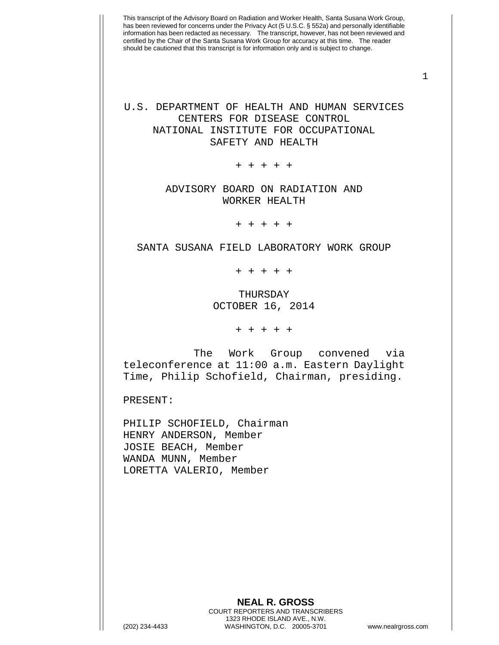1

## U.S. DEPARTMENT OF HEALTH AND HUMAN SERVICES CENTERS FOR DISEASE CONTROL NATIONAL INSTITUTE FOR OCCUPATIONAL SAFETY AND HEALTH

+ + + + +

## ADVISORY BOARD ON RADIATION AND WORKER HEALTH

+ + + + +

SANTA SUSANA FIELD LABORATORY WORK GROUP

+ + + + +

THURSDAY OCTOBER 16, 2014

+ + + + +

The Work Group convened via teleconference at 11:00 a.m. Eastern Daylight Time, Philip Schofield, Chairman, presiding.

PRESENT:

PHILIP SCHOFIELD, Chairman HENRY ANDERSON, Member JOSIE BEACH, Member WANDA MUNN, Member LORETTA VALERIO, Member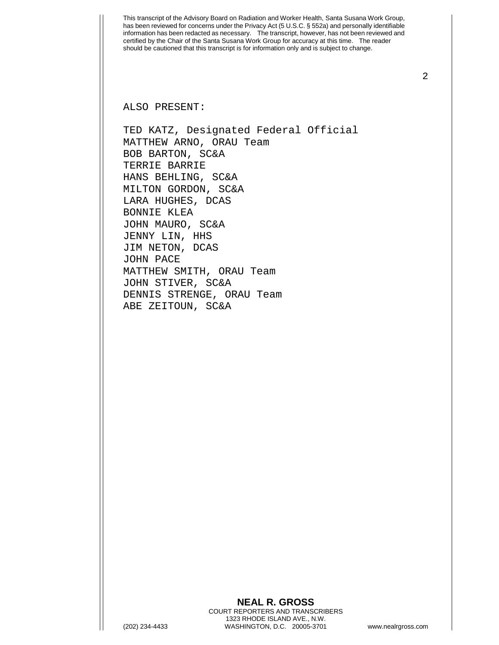ALSO PRESENT:

TED KATZ, Designated Federal Official MATTHEW ARNO, ORAU Team BOB BARTON, SC&A TERRIE BARRIE HANS BEHLING, SC&A MILTON GORDON, SC&A LARA HUGHES, DCAS BONNIE KLEA JOHN MAURO, SC&A JENNY LIN, HHS JIM NETON, DCAS JOHN PACE MATTHEW SMITH, ORAU Team JOHN STIVER, SC&A DENNIS STRENGE, ORAU Team ABE ZEITOUN, SC&A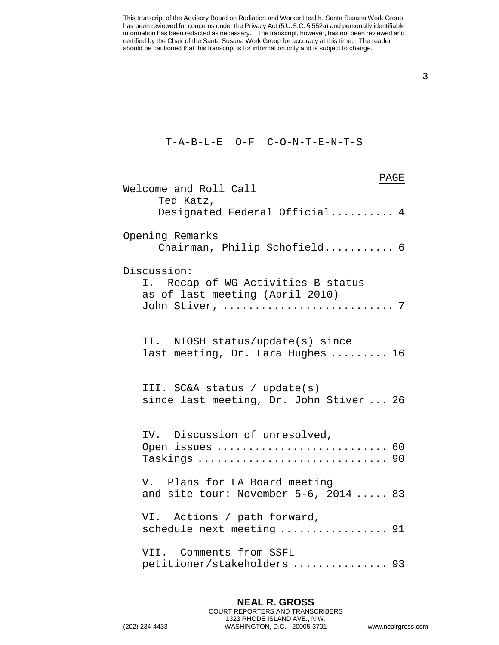

(202) 234-4433 WASHINGTON, D.C. 20005-3701 www.nealrgross.com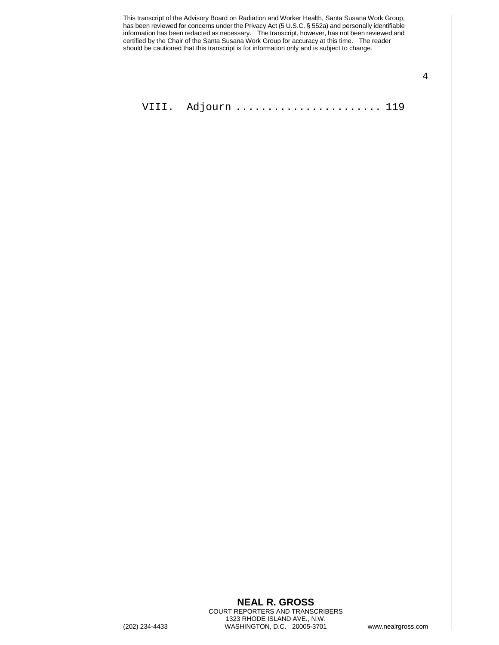|                | This transcript of the Advisory Board on Radiation and Worker Health, Santa Susana Work Group,<br>has been reviewed for concerns under the Privacy Act (5 U.S.C. § 552a) and personally identifiable<br>information has been redacted as necessary. The transcript, however, has not been reviewed and<br>certified by the Chair of the Santa Susana Work Group for accuracy at this time. The reader<br>should be cautioned that this transcript is for information only and is subject to change. |                    |
|----------------|-----------------------------------------------------------------------------------------------------------------------------------------------------------------------------------------------------------------------------------------------------------------------------------------------------------------------------------------------------------------------------------------------------------------------------------------------------------------------------------------------------|--------------------|
|                |                                                                                                                                                                                                                                                                                                                                                                                                                                                                                                     |                    |
|                | VIII. Adjourn  119                                                                                                                                                                                                                                                                                                                                                                                                                                                                                  |                    |
|                |                                                                                                                                                                                                                                                                                                                                                                                                                                                                                                     |                    |
|                |                                                                                                                                                                                                                                                                                                                                                                                                                                                                                                     |                    |
|                |                                                                                                                                                                                                                                                                                                                                                                                                                                                                                                     |                    |
|                |                                                                                                                                                                                                                                                                                                                                                                                                                                                                                                     |                    |
|                |                                                                                                                                                                                                                                                                                                                                                                                                                                                                                                     |                    |
|                |                                                                                                                                                                                                                                                                                                                                                                                                                                                                                                     |                    |
|                |                                                                                                                                                                                                                                                                                                                                                                                                                                                                                                     |                    |
|                |                                                                                                                                                                                                                                                                                                                                                                                                                                                                                                     |                    |
|                |                                                                                                                                                                                                                                                                                                                                                                                                                                                                                                     |                    |
|                |                                                                                                                                                                                                                                                                                                                                                                                                                                                                                                     |                    |
|                |                                                                                                                                                                                                                                                                                                                                                                                                                                                                                                     |                    |
|                |                                                                                                                                                                                                                                                                                                                                                                                                                                                                                                     |                    |
|                |                                                                                                                                                                                                                                                                                                                                                                                                                                                                                                     |                    |
|                |                                                                                                                                                                                                                                                                                                                                                                                                                                                                                                     |                    |
|                |                                                                                                                                                                                                                                                                                                                                                                                                                                                                                                     |                    |
|                |                                                                                                                                                                                                                                                                                                                                                                                                                                                                                                     |                    |
|                |                                                                                                                                                                                                                                                                                                                                                                                                                                                                                                     |                    |
|                |                                                                                                                                                                                                                                                                                                                                                                                                                                                                                                     |                    |
|                | <b>NEAL R. GROSS</b><br>COURT REPORTERS AND TRANSCRIBERS                                                                                                                                                                                                                                                                                                                                                                                                                                            |                    |
| (202) 234-4433 | 1323 RHODE ISLAND AVE., N.W.<br>WASHINGTON, D.C. 20005-3701                                                                                                                                                                                                                                                                                                                                                                                                                                         | www.nealrgross.com |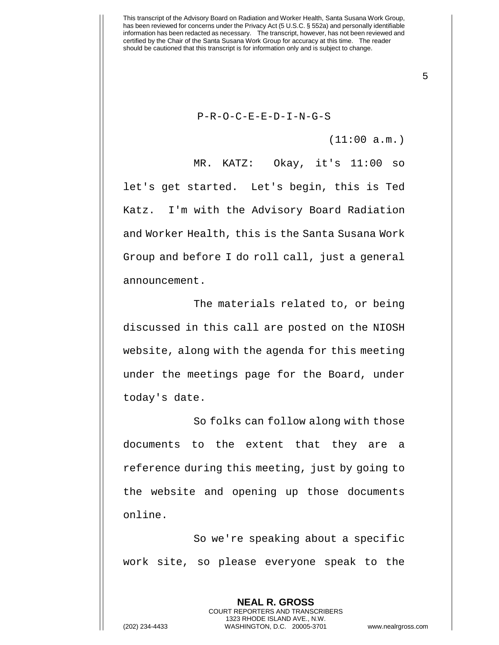P-R-O-C-E-E-D-I-N-G-S

(11:00 a.m.)

5

MR. KATZ: Okay, it's 11:00 so let's get started. Let's begin, this is Ted Katz. I'm with the Advisory Board Radiation and Worker Health, this is the Santa Susana Work Group and before I do roll call, just a general announcement.

The materials related to, or being discussed in this call are posted on the NIOSH website, along with the agenda for this meeting under the meetings page for the Board, under today's date.

So folks can follow along with those documents to the extent that they are a reference during this meeting, just by going to the website and opening up those documents online.

So we're speaking about a specific work site, so please everyone speak to the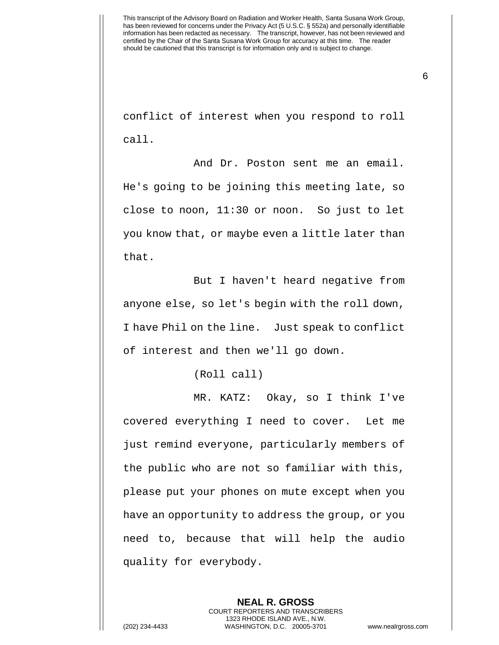6

conflict of interest when you respond to roll call.

And Dr. Poston sent me an email. He's going to be joining this meeting late, so close to noon, 11:30 or noon. So just to let you know that, or maybe even a little later than that.

But I haven't heard negative from anyone else, so let's begin with the roll down, I have Phil on the line. Just speak to conflict of interest and then we'll go down.

(Roll call)

MR. KATZ: Okay, so I think I've covered everything I need to cover. Let me just remind everyone, particularly members of the public who are not so familiar with this, please put your phones on mute except when you have an opportunity to address the group, or you need to, because that will help the audio quality for everybody.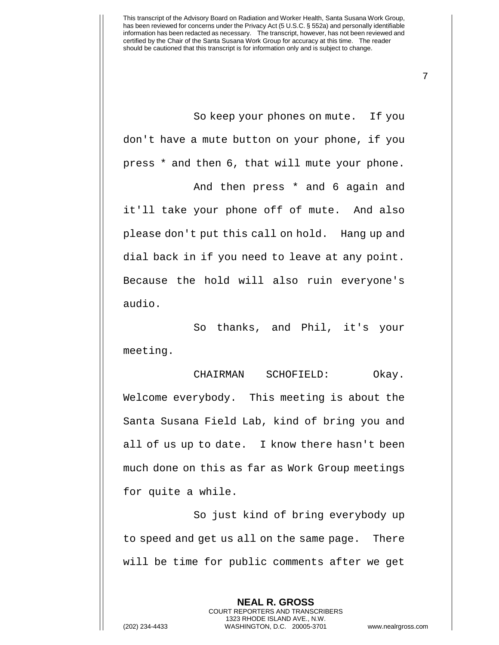So keep your phones on mute. If you don't have a mute button on your phone, if you press \* and then 6, that will mute your phone. And then press \* and 6 again and

it'll take your phone off of mute. And also please don't put this call on hold. Hang up and dial back in if you need to leave at any point. Because the hold will also ruin everyone's audio.

So thanks, and Phil, it's your meeting.

CHAIRMAN SCHOFIELD: Okay. Welcome everybody. This meeting is about the Santa Susana Field Lab, kind of bring you and all of us up to date. I know there hasn't been much done on this as far as Work Group meetings for quite a while.

So just kind of bring everybody up to speed and get us all on the same page. There will be time for public comments after we get

> **NEAL R. GROSS** COURT REPORTERS AND TRANSCRIBERS 1323 RHODE ISLAND AVE., N.W.

(202) 234-4433 WASHINGTON, D.C. 20005-3701 www.nealrgross.com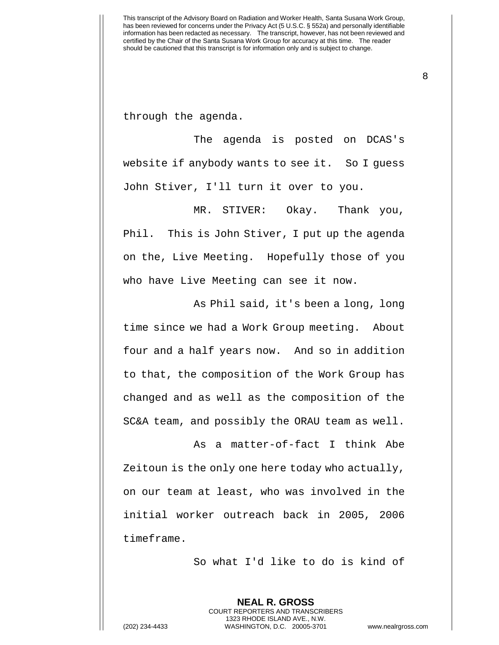through the agenda.

The agenda is posted on DCAS's website if anybody wants to see it. So I guess John Stiver, I'll turn it over to you.

MR. STIVER: Okay. Thank you, Phil. This is John Stiver, I put up the agenda on the, Live Meeting. Hopefully those of you who have Live Meeting can see it now.

As Phil said, it's been a long, long time since we had a Work Group meeting. About four and a half years now. And so in addition to that, the composition of the Work Group has changed and as well as the composition of the SC&A team, and possibly the ORAU team as well.

As a matter-of-fact I think Abe Zeitoun is the only one here today who actually, on our team at least, who was involved in the initial worker outreach back in 2005, 2006 timeframe.

So what I'd like to do is kind of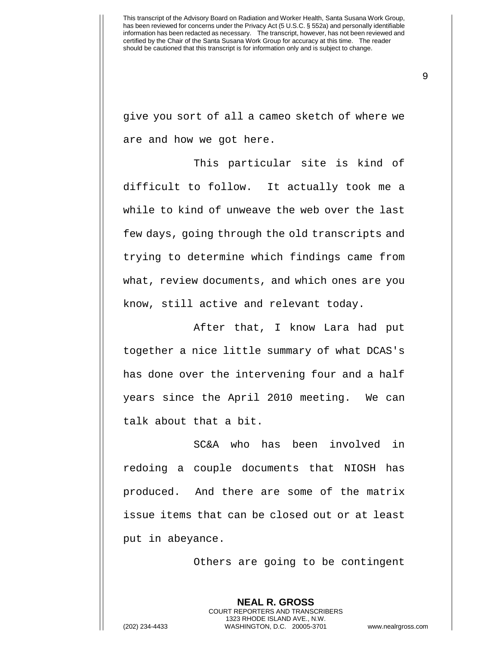9

give you sort of all a cameo sketch of where we are and how we got here.

This particular site is kind of difficult to follow. It actually took me a while to kind of unweave the web over the last few days, going through the old transcripts and trying to determine which findings came from what, review documents, and which ones are you know, still active and relevant today.

After that, I know Lara had put together a nice little summary of what DCAS's has done over the intervening four and a half years since the April 2010 meeting. We can talk about that a bit.

SC&A who has been involved in redoing a couple documents that NIOSH has produced. And there are some of the matrix issue items that can be closed out or at least put in abeyance.

Others are going to be contingent

**NEAL R. GROSS** COURT REPORTERS AND TRANSCRIBERS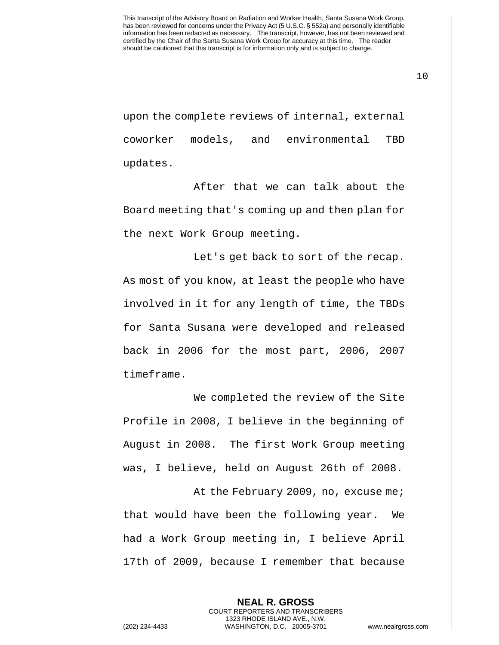10

upon the complete reviews of internal, external coworker models, and environmental TBD updates.

After that we can talk about the Board meeting that's coming up and then plan for the next Work Group meeting.

Let's get back to sort of the recap. As most of you know, at least the people who have involved in it for any length of time, the TBDs for Santa Susana were developed and released back in 2006 for the most part, 2006, 2007 timeframe.

We completed the review of the Site Profile in 2008, I believe in the beginning of August in 2008. The first Work Group meeting was, I believe, held on August 26th of 2008.

At the February 2009, no, excuse me; that would have been the following year. We had a Work Group meeting in, I believe April 17th of 2009, because I remember that because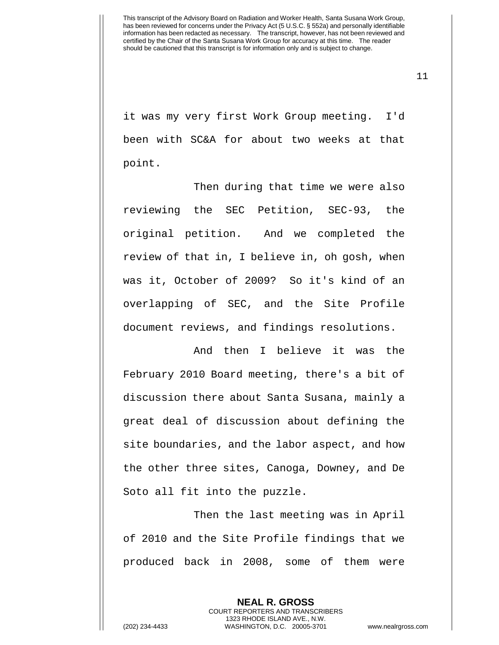11

it was my very first Work Group meeting. I'd been with SC&A for about two weeks at that point.

Then during that time we were also reviewing the SEC Petition, SEC-93, the original petition. And we completed the review of that in, I believe in, oh gosh, when was it, October of 2009? So it's kind of an overlapping of SEC, and the Site Profile document reviews, and findings resolutions.

And then I believe it was the February 2010 Board meeting, there's a bit of discussion there about Santa Susana, mainly a great deal of discussion about defining the site boundaries, and the labor aspect, and how the other three sites, Canoga, Downey, and De Soto all fit into the puzzle.

Then the last meeting was in April of 2010 and the Site Profile findings that we produced back in 2008, some of them were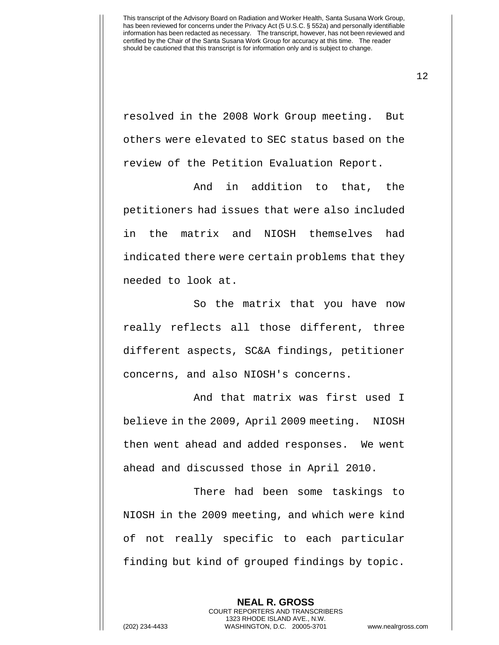resolved in the 2008 Work Group meeting. But others were elevated to SEC status based on the review of the Petition Evaluation Report.

And in addition to that, the petitioners had issues that were also included in the matrix and NIOSH themselves had indicated there were certain problems that they needed to look at.

So the matrix that you have now really reflects all those different, three different aspects, SC&A findings, petitioner concerns, and also NIOSH's concerns.

And that matrix was first used I believe in the 2009, April 2009 meeting. NIOSH then went ahead and added responses. We went ahead and discussed those in April 2010.

There had been some taskings to NIOSH in the 2009 meeting, and which were kind of not really specific to each particular finding but kind of grouped findings by topic.

**NEAL R. GROSS**

COURT REPORTERS AND TRANSCRIBERS 1323 RHODE ISLAND AVE., N.W. (202) 234-4433 WASHINGTON, D.C. 20005-3701 www.nealrgross.com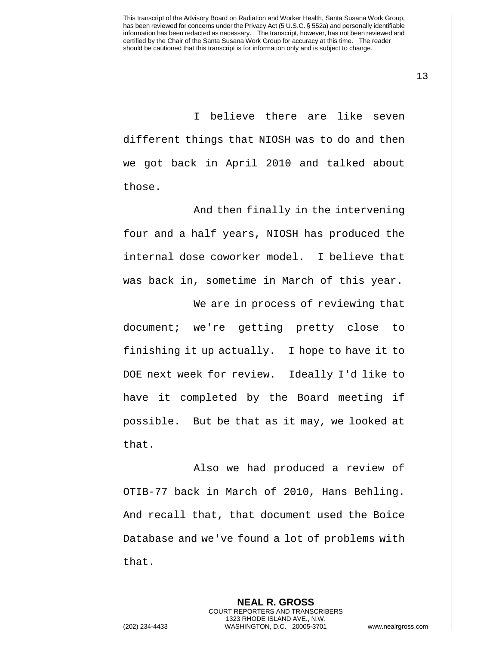13

I believe there are like seven different things that NIOSH was to do and then we got back in April 2010 and talked about those.

And then finally in the intervening four and a half years, NIOSH has produced the internal dose coworker model. I believe that was back in, sometime in March of this year.

We are in process of reviewing that document; we're getting pretty close to finishing it up actually. I hope to have it to DOE next week for review. Ideally I'd like to have it completed by the Board meeting if possible. But be that as it may, we looked at that.

Also we had produced a review of OTIB-77 back in March of 2010, Hans Behling. And recall that, that document used the Boice Database and we've found a lot of problems with that.

**NEAL R. GROSS**

COURT REPORTERS AND TRANSCRIBERS 1323 RHODE ISLAND AVE., N.W. (202) 234-4433 WASHINGTON, D.C. 20005-3701 www.nealrgross.com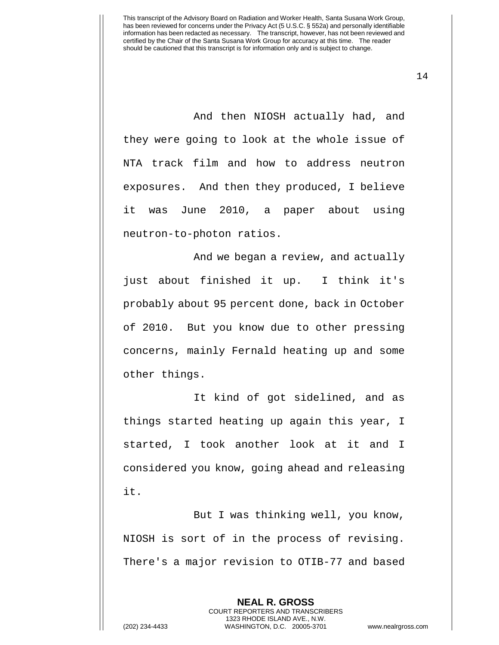And then NIOSH actually had, and they were going to look at the whole issue of NTA track film and how to address neutron exposures. And then they produced, I believe it was June 2010, a paper about using neutron-to-photon ratios.

And we began a review, and actually just about finished it up. I think it's probably about 95 percent done, back in October of 2010. But you know due to other pressing concerns, mainly Fernald heating up and some other things.

It kind of got sidelined, and as things started heating up again this year, I started, I took another look at it and I considered you know, going ahead and releasing it.

But I was thinking well, you know, NIOSH is sort of in the process of revising. There's a major revision to OTIB-77 and based

> **NEAL R. GROSS** COURT REPORTERS AND TRANSCRIBERS 1323 RHODE ISLAND AVE., N.W.

(202) 234-4433 WASHINGTON, D.C. 20005-3701 www.nealrgross.com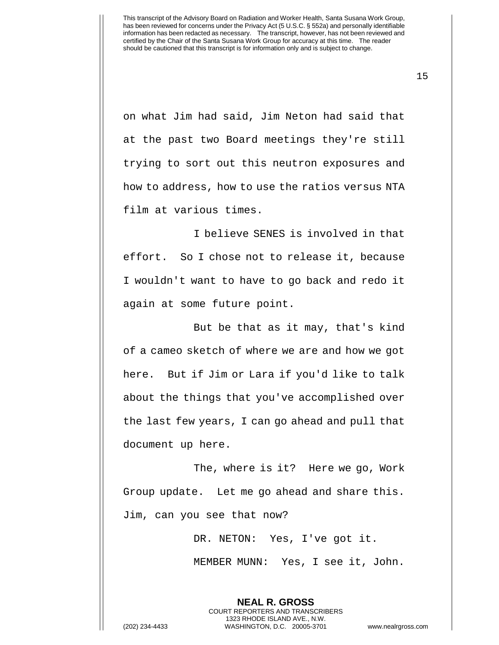on what Jim had said, Jim Neton had said that at the past two Board meetings they're still trying to sort out this neutron exposures and how to address, how to use the ratios versus NTA film at various times.

I believe SENES is involved in that effort. So I chose not to release it, because I wouldn't want to have to go back and redo it again at some future point.

But be that as it may, that's kind of a cameo sketch of where we are and how we got here. But if Jim or Lara if you'd like to talk about the things that you've accomplished over the last few years, I can go ahead and pull that document up here.

The, where is it? Here we go, Work Group update. Let me go ahead and share this. Jim, can you see that now?

DR. NETON: Yes, I've got it.

MEMBER MUNN: Yes, I see it, John.

**NEAL R. GROSS** COURT REPORTERS AND TRANSCRIBERS 1323 RHODE ISLAND AVE., N.W. (202) 234-4433 WASHINGTON, D.C. 20005-3701 www.nealrgross.com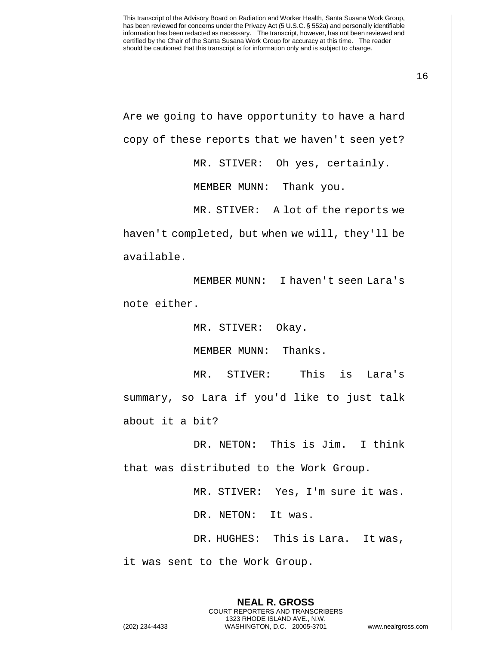16

Are we going to have opportunity to have a hard copy of these reports that we haven't seen yet?

MR. STIVER: Oh yes, certainly.

MEMBER MUNN: Thank you.

MR. STIVER: A lot of the reports we haven't completed, but when we will, they'll be available.

MEMBER MUNN: I haven't seen Lara's note either.

MR. STIVER: Okay.

MEMBER MUNN: Thanks.

MR. STIVER: This is Lara's summary, so Lara if you'd like to just talk about it a bit?

DR. NETON: This is Jim. I think that was distributed to the Work Group.

MR. STIVER: Yes, I'm sure it was.

DR. NETON: It was.

DR. HUGHES: This is Lara. It was,

it was sent to the Work Group.

**NEAL R. GROSS** COURT REPORTERS AND TRANSCRIBERS 1323 RHODE ISLAND AVE., N.W. (202) 234-4433 WASHINGTON, D.C. 20005-3701 www.nealrgross.com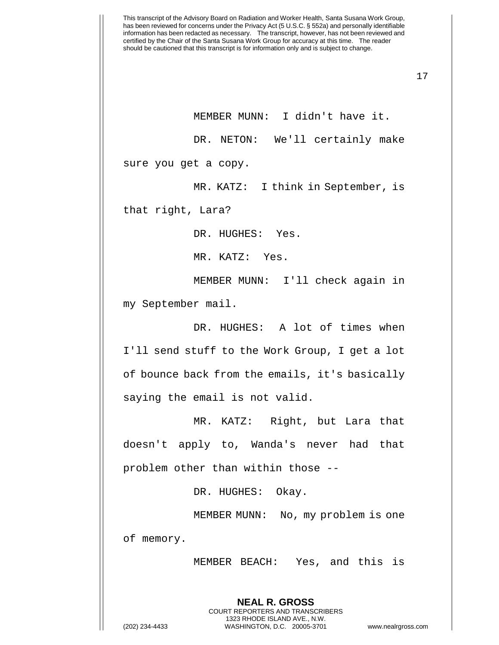17

MEMBER MUNN: I didn't have it. DR. NETON: We'll certainly make sure you get a copy.

MR. KATZ: I think in September, is

that right, Lara?

DR. HUGHES: Yes.

MR. KATZ: Yes.

MEMBER MUNN: I'll check again in my September mail.

DR. HUGHES: A lot of times when I'll send stuff to the Work Group, I get a lot of bounce back from the emails, it's basically saying the email is not valid.

MR. KATZ: Right, but Lara that doesn't apply to, Wanda's never had that problem other than within those --

DR. HUGHES: Okay.

MEMBER MUNN: No, my problem is one of memory.

> **NEAL R. GROSS** COURT REPORTERS AND TRANSCRIBERS 1323 RHODE ISLAND AVE., N.W.

MEMBER BEACH: Yes, and this is

(202) 234-4433 WASHINGTON, D.C. 20005-3701 www.nealrgross.com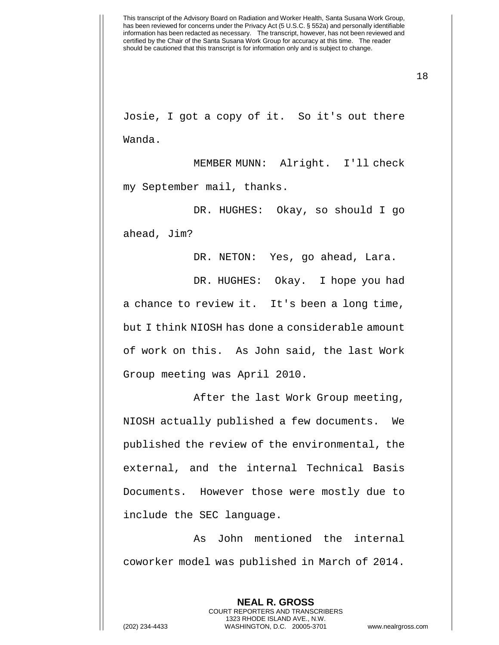18

Josie, I got a copy of it. So it's out there Wanda.

MEMBER MUNN: Alright. I'll check my September mail, thanks.

DR. HUGHES: Okay, so should I go ahead, Jim?

DR. NETON: Yes, go ahead, Lara.

DR. HUGHES: Okay. I hope you had a chance to review it. It's been a long time, but I think NIOSH has done a considerable amount of work on this. As John said, the last Work Group meeting was April 2010.

After the last Work Group meeting, NIOSH actually published a few documents. We published the review of the environmental, the external, and the internal Technical Basis Documents. However those were mostly due to include the SEC language.

As John mentioned the internal coworker model was published in March of 2014.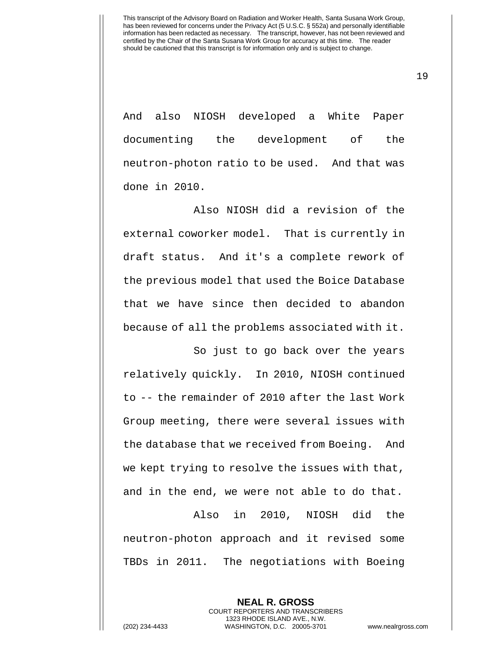19

And also NIOSH developed a White Paper documenting the development of the neutron-photon ratio to be used. And that was done in 2010.

Also NIOSH did a revision of the external coworker model. That is currently in draft status. And it's a complete rework of the previous model that used the Boice Database that we have since then decided to abandon because of all the problems associated with it.

So just to go back over the years relatively quickly. In 2010, NIOSH continued to -- the remainder of 2010 after the last Work Group meeting, there were several issues with the database that we received from Boeing. And we kept trying to resolve the issues with that, and in the end, we were not able to do that.

Also in 2010, NIOSH did the neutron-photon approach and it revised some TBDs in 2011. The negotiations with Boeing

**NEAL R. GROSS** COURT REPORTERS AND TRANSCRIBERS 1323 RHODE ISLAND AVE., N.W. (202) 234-4433 WASHINGTON, D.C. 20005-3701 www.nealrgross.com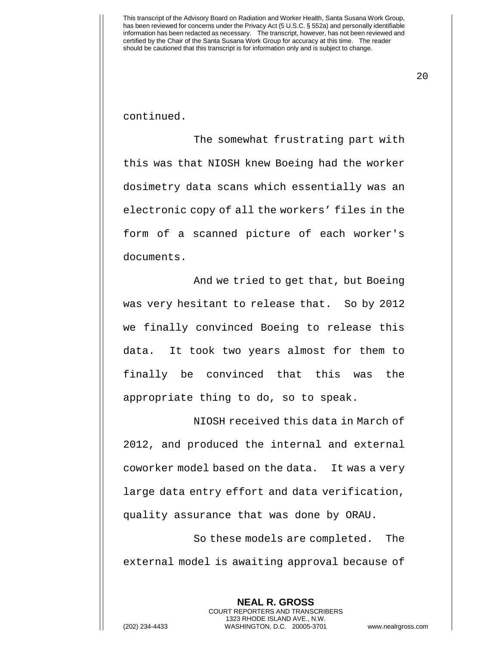20

continued.

The somewhat frustrating part with this was that NIOSH knew Boeing had the worker dosimetry data scans which essentially was an electronic copy of all the workers' files in the form of a scanned picture of each worker's documents.

And we tried to get that, but Boeing was very hesitant to release that. So by 2012 we finally convinced Boeing to release this data. It took two years almost for them to finally be convinced that this was the appropriate thing to do, so to speak.

NIOSH received this data in March of 2012, and produced the internal and external coworker model based on the data. It was a very large data entry effort and data verification, quality assurance that was done by ORAU.

So these models are completed. The external model is awaiting approval because of

**NEAL R. GROSS** COURT REPORTERS AND TRANSCRIBERS 1323 RHODE ISLAND AVE., N.W. (202) 234-4433 WASHINGTON, D.C. 20005-3701 www.nealrgross.com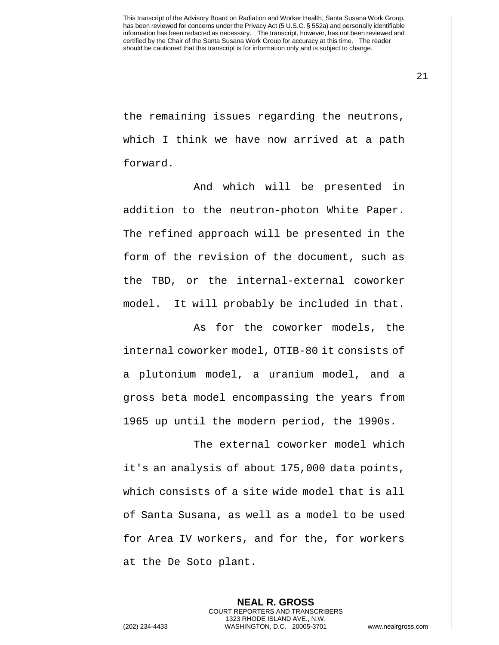21

the remaining issues regarding the neutrons, which I think we have now arrived at a path forward.

And which will be presented in addition to the neutron-photon White Paper. The refined approach will be presented in the form of the revision of the document, such as the TBD, or the internal-external coworker model. It will probably be included in that.

As for the coworker models, the internal coworker model, OTIB-80 it consists of a plutonium model, a uranium model, and a gross beta model encompassing the years from 1965 up until the modern period, the 1990s.

The external coworker model which it's an analysis of about 175,000 data points, which consists of a site wide model that is all of Santa Susana, as well as a model to be used for Area IV workers, and for the, for workers at the De Soto plant.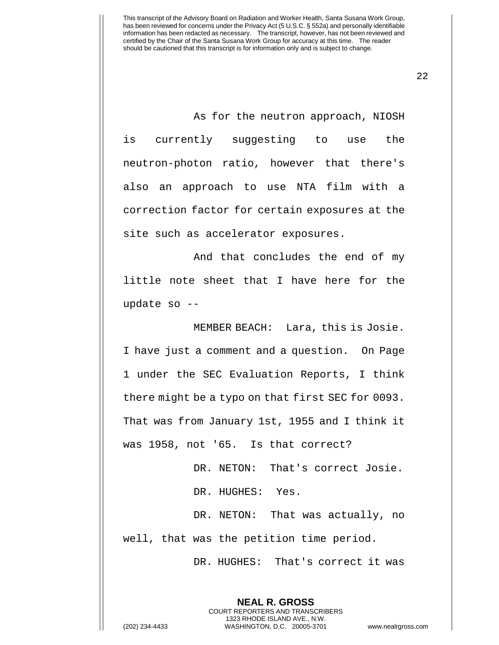22

As for the neutron approach, NIOSH is currently suggesting to use the neutron-photon ratio, however that there's also an approach to use NTA film with a correction factor for certain exposures at the site such as accelerator exposures.

And that concludes the end of my little note sheet that I have here for the update so --

MEMBER BEACH: Lara, this is Josie. I have just a comment and a question. On Page 1 under the SEC Evaluation Reports, I think there might be a typo on that first SEC for 0093. That was from January 1st, 1955 and I think it was 1958, not '65. Is that correct?

> DR. NETON: That's correct Josie. DR. HUGHES: Yes.

DR. NETON: That was actually, no well, that was the petition time period.

DR. HUGHES: That's correct it was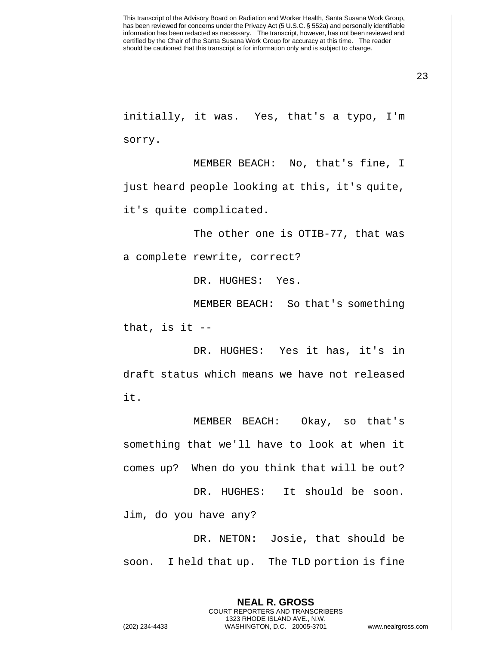23

initially, it was. Yes, that's a typo, I'm sorry.

MEMBER BEACH: No, that's fine, I just heard people looking at this, it's quite, it's quite complicated.

The other one is OTIB-77, that was a complete rewrite, correct?

DR. HUGHES: Yes.

MEMBER BEACH: So that's something that, is it  $-$ 

DR. HUGHES: Yes it has, it's in draft status which means we have not released it.

MEMBER BEACH: Okay, so that's something that we'll have to look at when it comes up? When do you think that will be out?

DR. HUGHES: It should be soon. Jim, do you have any?

DR. NETON: Josie, that should be soon. I held that up. The TLD portion is fine

> **NEAL R. GROSS** COURT REPORTERS AND TRANSCRIBERS 1323 RHODE ISLAND AVE., N.W.

(202) 234-4433 WASHINGTON, D.C. 20005-3701 www.nealrgross.com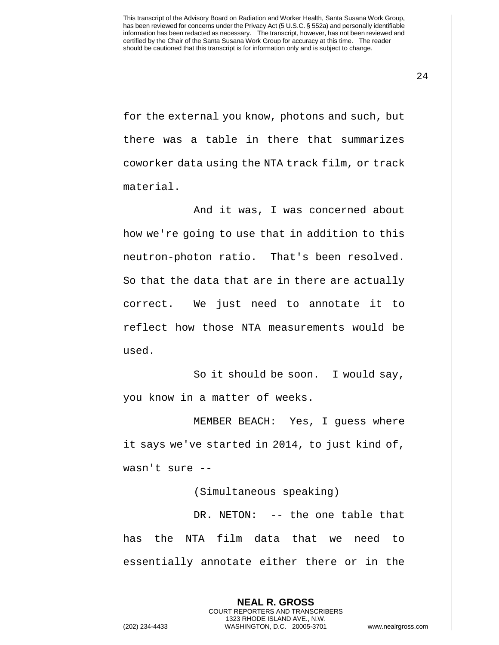24

for the external you know, photons and such, but there was a table in there that summarizes coworker data using the NTA track film, or track material.

And it was, I was concerned about how we're going to use that in addition to this neutron-photon ratio. That's been resolved. So that the data that are in there are actually correct. We just need to annotate it to reflect how those NTA measurements would be used.

So it should be soon. I would say, you know in a matter of weeks.

MEMBER BEACH: Yes, I guess where it says we've started in 2014, to just kind of, wasn't sure --

(Simultaneous speaking)

DR. NETON: -- the one table that has the NTA film data that we need to essentially annotate either there or in the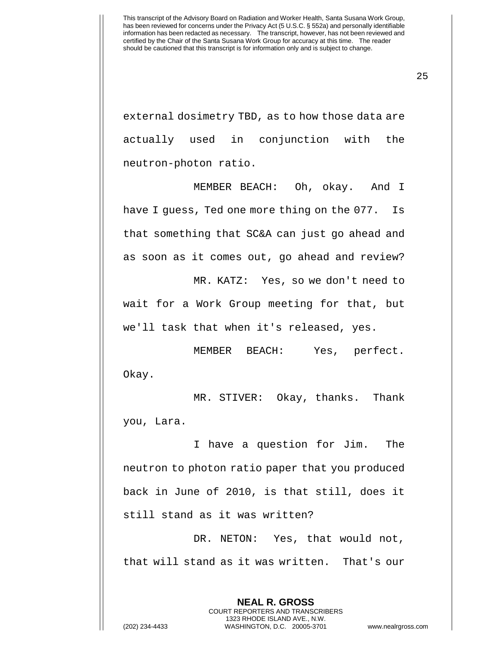25

external dosimetry TBD, as to how those data are actually used in conjunction with the neutron-photon ratio.

MEMBER BEACH: Oh, okay. And I have I guess, Ted one more thing on the 077. Is that something that SC&A can just go ahead and as soon as it comes out, go ahead and review?

MR. KATZ: Yes, so we don't need to wait for a Work Group meeting for that, but we'll task that when it's released, yes.

MEMBER BEACH: Yes, perfect. Okay.

MR. STIVER: Okay, thanks. Thank you, Lara.

I have a question for Jim. The neutron to photon ratio paper that you produced back in June of 2010, is that still, does it still stand as it was written?

DR. NETON: Yes, that would not, that will stand as it was written. That's our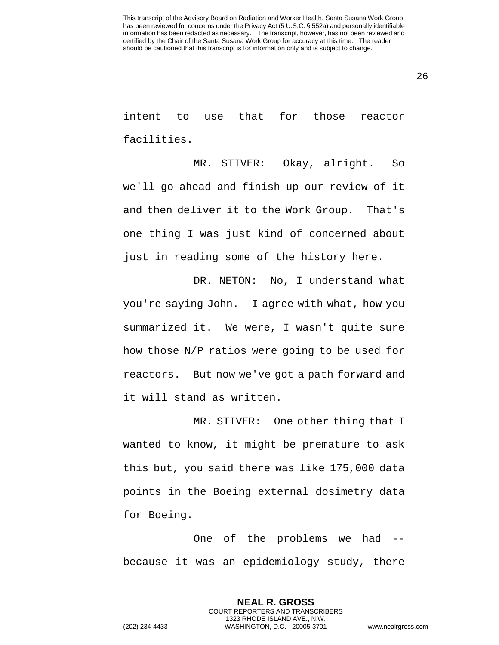26

intent to use that for those reactor facilities.

MR. STIVER: Okay, alright. So we'll go ahead and finish up our review of it and then deliver it to the Work Group. That's one thing I was just kind of concerned about just in reading some of the history here.

DR. NETON: No, I understand what you're saying John. I agree with what, how you summarized it. We were, I wasn't quite sure how those N/P ratios were going to be used for reactors. But now we've got a path forward and it will stand as written.

MR. STIVER: One other thing that I wanted to know, it might be premature to ask this but, you said there was like 175,000 data points in the Boeing external dosimetry data for Boeing.

One of the problems we had - because it was an epidemiology study, there

**NEAL R. GROSS** COURT REPORTERS AND TRANSCRIBERS 1323 RHODE ISLAND AVE., N.W. (202) 234-4433 WASHINGTON, D.C. 20005-3701 www.nealrgross.com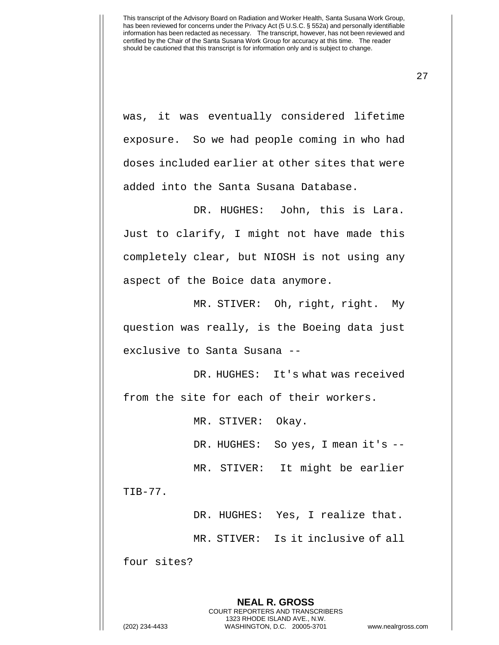was, it was eventually considered lifetime exposure. So we had people coming in who had doses included earlier at other sites that were added into the Santa Susana Database.

DR. HUGHES: John, this is Lara. Just to clarify, I might not have made this completely clear, but NIOSH is not using any aspect of the Boice data anymore.

MR. STIVER: Oh, right, right. My question was really, is the Boeing data just exclusive to Santa Susana --

DR. HUGHES: It's what was received from the site for each of their workers.

MR. STIVER: Okay.

DR. HUGHES: So yes, I mean it's --

MR. STIVER: It might be earlier

TIB-77.

DR. HUGHES: Yes, I realize that.

MR. STIVER: Is it inclusive of all

four sites?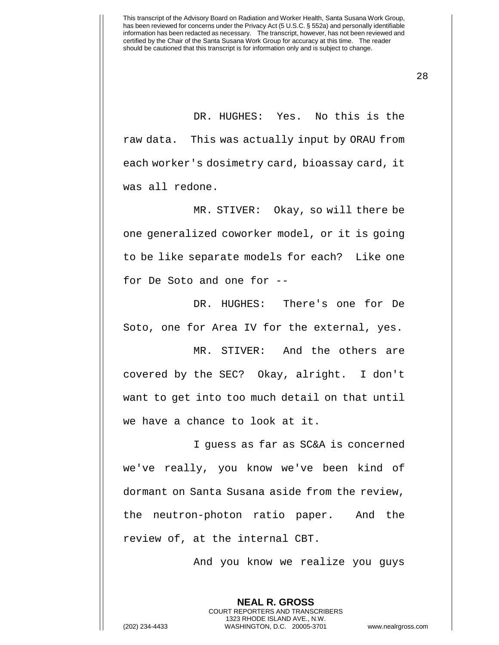DR. HUGHES: Yes. No this is the raw data. This was actually input by ORAU from each worker's dosimetry card, bioassay card, it was all redone.

MR. STIVER: Okay, so will there be one generalized coworker model, or it is going to be like separate models for each? Like one for De Soto and one for --

DR. HUGHES: There's one for De Soto, one for Area IV for the external, yes.

MR. STIVER: And the others are covered by the SEC? Okay, alright. I don't want to get into too much detail on that until we have a chance to look at it.

I guess as far as SC&A is concerned we've really, you know we've been kind of dormant on Santa Susana aside from the review, the neutron-photon ratio paper. And the review of, at the internal CBT.

And you know we realize you guys

**NEAL R. GROSS** COURT REPORTERS AND TRANSCRIBERS 1323 RHODE ISLAND AVE., N.W.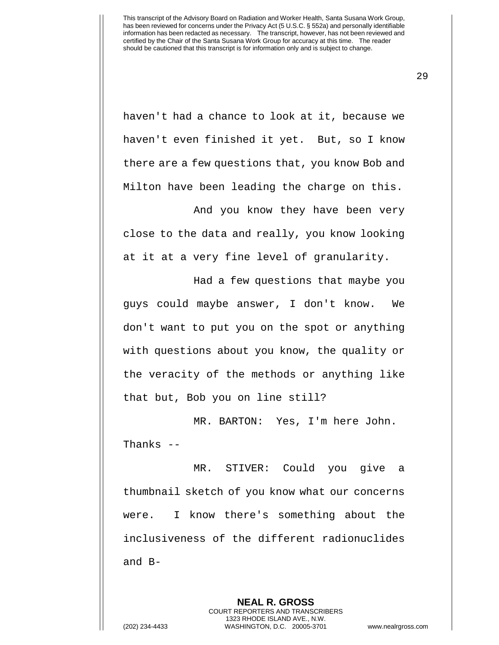haven't had a chance to look at it, because we haven't even finished it yet. But, so I know there are a few questions that, you know Bob and Milton have been leading the charge on this.

And you know they have been very close to the data and really, you know looking at it at a very fine level of granularity.

Had a few questions that maybe you guys could maybe answer, I don't know. We don't want to put you on the spot or anything with questions about you know, the quality or the veracity of the methods or anything like that but, Bob you on line still?

MR. BARTON: Yes, I'm here John. Thanks --

MR. STIVER: Could you give a thumbnail sketch of you know what our concerns were. I know there's something about the inclusiveness of the different radionuclides and B-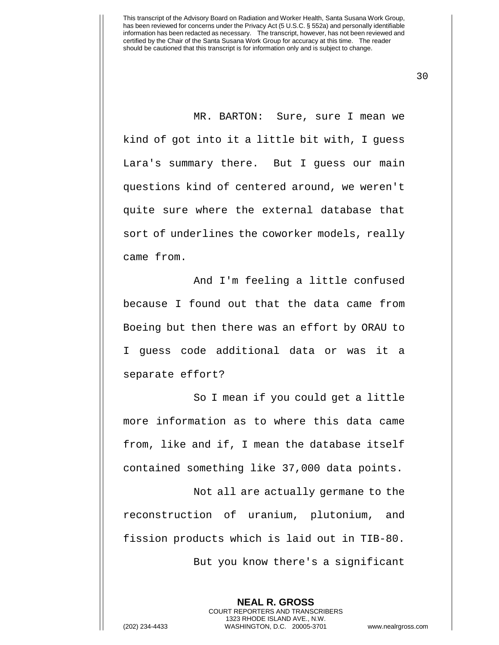30

MR. BARTON: Sure, sure I mean we kind of got into it a little bit with, I guess Lara's summary there. But I guess our main questions kind of centered around, we weren't quite sure where the external database that sort of underlines the coworker models, really came from.

And I'm feeling a little confused because I found out that the data came from Boeing but then there was an effort by ORAU to I guess code additional data or was it a separate effort?

So I mean if you could get a little more information as to where this data came from, like and if, I mean the database itself contained something like 37,000 data points.

Not all are actually germane to the reconstruction of uranium, plutonium, and fission products which is laid out in TIB-80. But you know there's a significant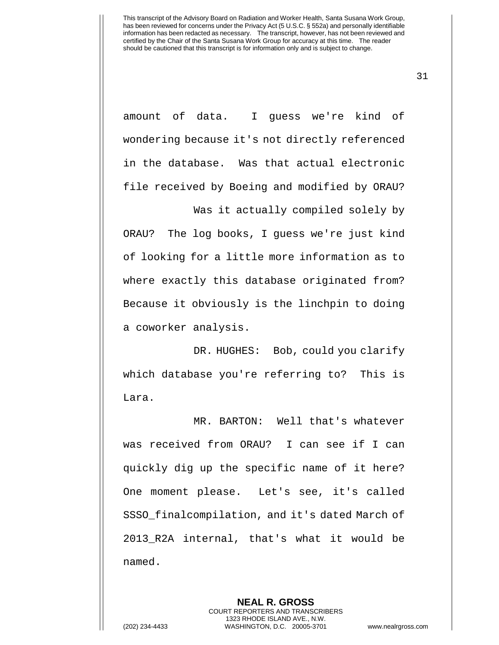31

amount of data. I guess we're kind of wondering because it's not directly referenced in the database. Was that actual electronic file received by Boeing and modified by ORAU?

Was it actually compiled solely by ORAU? The log books, I guess we're just kind of looking for a little more information as to where exactly this database originated from? Because it obviously is the linchpin to doing a coworker analysis.

DR. HUGHES: Bob, could you clarify which database you're referring to? This is Lara.

MR. BARTON: Well that's whatever was received from ORAU? I can see if I can quickly dig up the specific name of it here? One moment please. Let's see, it's called SSSO\_finalcompilation, and it's dated March of 2013\_R2A internal, that's what it would be named.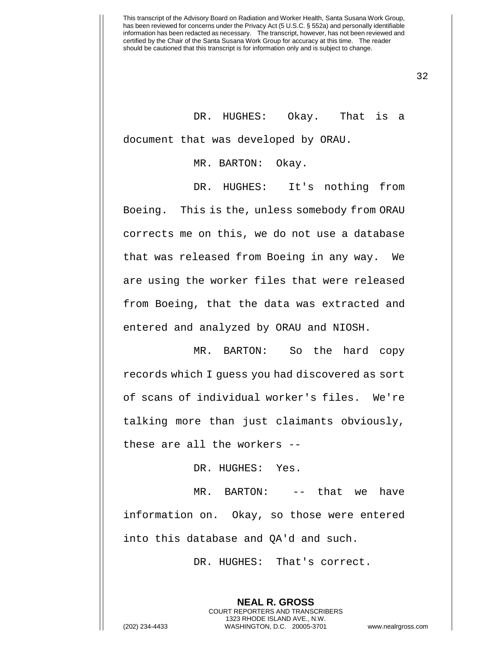32

DR. HUGHES: Okay. That is a document that was developed by ORAU.

MR. BARTON: Okay.

DR. HUGHES: It's nothing from Boeing. This is the, unless somebody from ORAU corrects me on this, we do not use a database that was released from Boeing in any way. We are using the worker files that were released from Boeing, that the data was extracted and entered and analyzed by ORAU and NIOSH.

MR. BARTON: So the hard copy records which I guess you had discovered as sort of scans of individual worker's files. We're talking more than just claimants obviously, these are all the workers --

DR. HUGHES: Yes.

MR. BARTON: -- that we have information on. Okay, so those were entered into this database and QA'd and such.

DR. HUGHES: That's correct.

**NEAL R. GROSS** COURT REPORTERS AND TRANSCRIBERS 1323 RHODE ISLAND AVE., N.W.

(202) 234-4433 WASHINGTON, D.C. 20005-3701 www.nealrgross.com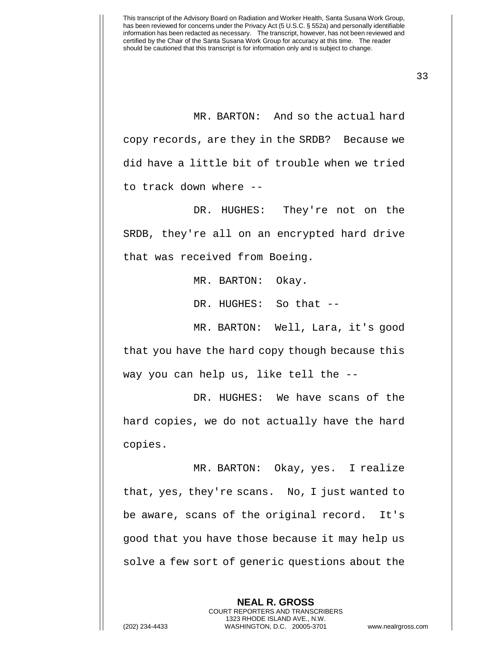MR. BARTON: And so the actual hard copy records, are they in the SRDB? Because we did have a little bit of trouble when we tried to track down where --

DR. HUGHES: They're not on the SRDB, they're all on an encrypted hard drive that was received from Boeing.

MR. BARTON: Okay.

DR. HUGHES: So that --

MR. BARTON: Well, Lara, it's good that you have the hard copy though because this way you can help us, like tell the --

DR. HUGHES: We have scans of the hard copies, we do not actually have the hard copies.

MR. BARTON: Okay, yes. I realize that, yes, they're scans. No, I just wanted to be aware, scans of the original record. It's good that you have those because it may help us solve a few sort of generic questions about the

> **NEAL R. GROSS** COURT REPORTERS AND TRANSCRIBERS 1323 RHODE ISLAND AVE., N.W.

(202) 234-4433 WASHINGTON, D.C. 20005-3701 www.nealrgross.com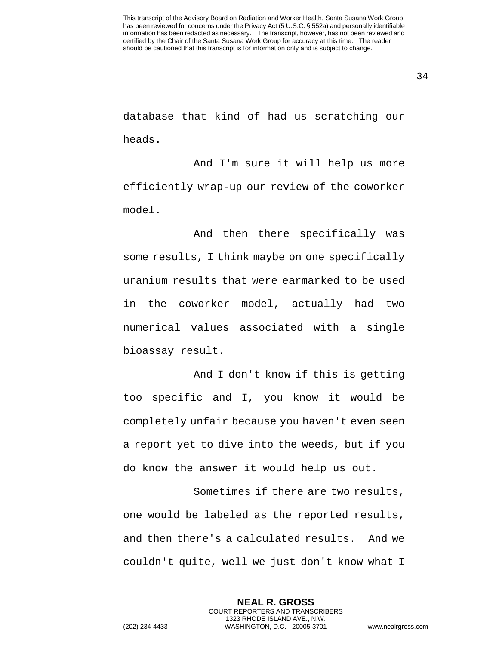34

database that kind of had us scratching our heads.

And I'm sure it will help us more efficiently wrap-up our review of the coworker model.

And then there specifically was some results, I think maybe on one specifically uranium results that were earmarked to be used in the coworker model, actually had two numerical values associated with a single bioassay result.

And I don't know if this is getting too specific and I, you know it would be completely unfair because you haven't even seen a report yet to dive into the weeds, but if you do know the answer it would help us out.

Sometimes if there are two results, one would be labeled as the reported results, and then there's a calculated results. And we couldn't quite, well we just don't know what I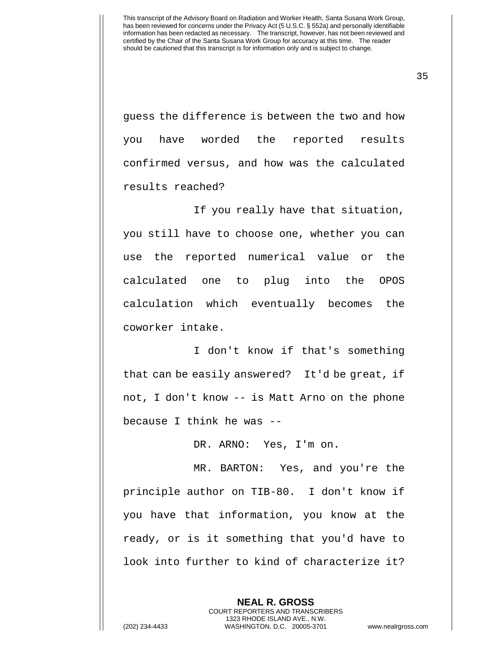35

guess the difference is between the two and how you have worded the reported results confirmed versus, and how was the calculated results reached?

If you really have that situation, you still have to choose one, whether you can use the reported numerical value or the calculated one to plug into the OPOS calculation which eventually becomes the coworker intake.

I don't know if that's something that can be easily answered? It'd be great, if not, I don't know -- is Matt Arno on the phone because I think he was --

DR. ARNO: Yes, I'm on.

MR. BARTON: Yes, and you're the principle author on TIB-80. I don't know if you have that information, you know at the ready, or is it something that you'd have to look into further to kind of characterize it?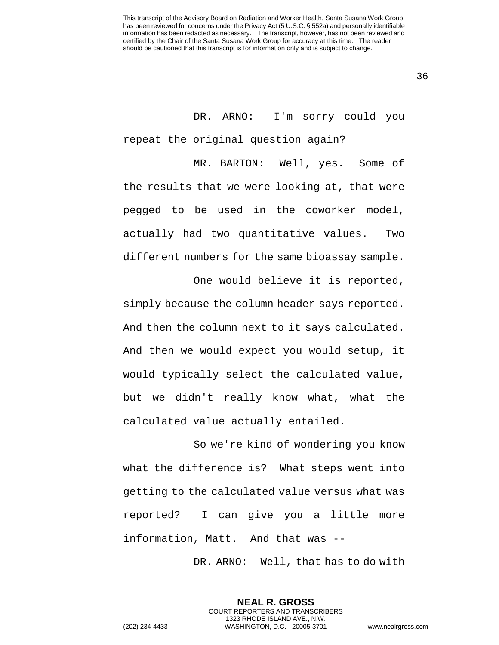36

DR. ARNO: I'm sorry could you repeat the original question again?

MR. BARTON: Well, yes. Some of the results that we were looking at, that were pegged to be used in the coworker model, actually had two quantitative values. Two different numbers for the same bioassay sample.

One would believe it is reported, simply because the column header says reported. And then the column next to it says calculated. And then we would expect you would setup, it would typically select the calculated value, but we didn't really know what, what the calculated value actually entailed.

So we're kind of wondering you know what the difference is? What steps went into getting to the calculated value versus what was reported? I can give you a little more information, Matt. And that was --

DR. ARNO: Well, that has to do with

**NEAL R. GROSS** COURT REPORTERS AND TRANSCRIBERS 1323 RHODE ISLAND AVE., N.W. (202) 234-4433 WASHINGTON, D.C. 20005-3701 www.nealrgross.com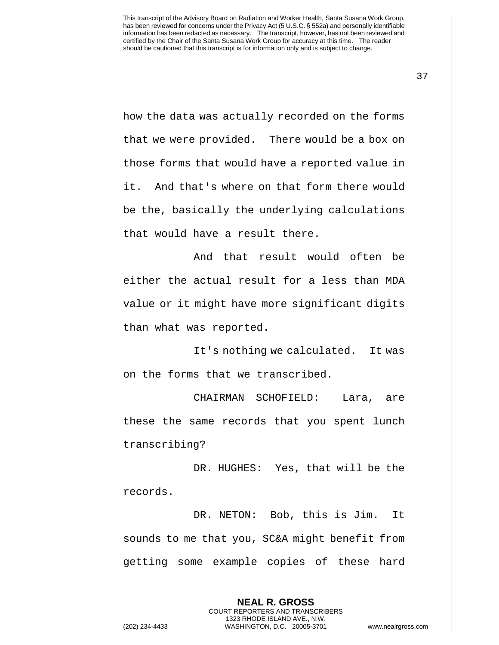37

how the data was actually recorded on the forms that we were provided. There would be a box on those forms that would have a reported value in it. And that's where on that form there would be the, basically the underlying calculations that would have a result there.

And that result would often be either the actual result for a less than MDA value or it might have more significant digits than what was reported.

It's nothing we calculated. It was on the forms that we transcribed.

CHAIRMAN SCHOFIELD: Lara, are these the same records that you spent lunch transcribing?

DR. HUGHES: Yes, that will be the records.

DR. NETON: Bob, this is Jim. It sounds to me that you, SC&A might benefit from getting some example copies of these hard

> **NEAL R. GROSS** COURT REPORTERS AND TRANSCRIBERS 1323 RHODE ISLAND AVE., N.W.

(202) 234-4433 WASHINGTON, D.C. 20005-3701 www.nealrgross.com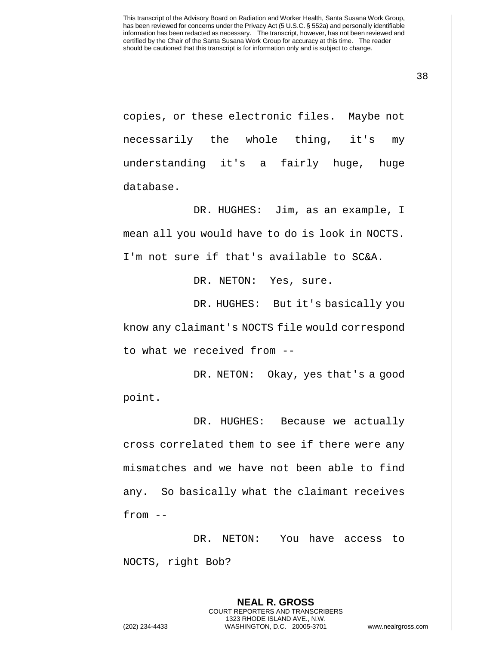38

copies, or these electronic files. Maybe not necessarily the whole thing, it's my understanding it's a fairly huge, huge database.

DR. HUGHES: Jim, as an example, I mean all you would have to do is look in NOCTS. I'm not sure if that's available to SC&A.

DR. NETON: Yes, sure.

DR. HUGHES: But it's basically you know any claimant's NOCTS file would correspond to what we received from --

DR. NETON: Okay, yes that's a good point.

DR. HUGHES: Because we actually cross correlated them to see if there were any mismatches and we have not been able to find any. So basically what the claimant receives from --

DR. NETON: You have access to NOCTS, right Bob?

**NEAL R. GROSS** COURT REPORTERS AND TRANSCRIBERS 1323 RHODE ISLAND AVE., N.W. (202) 234-4433 WASHINGTON, D.C. 20005-3701 www.nealrgross.com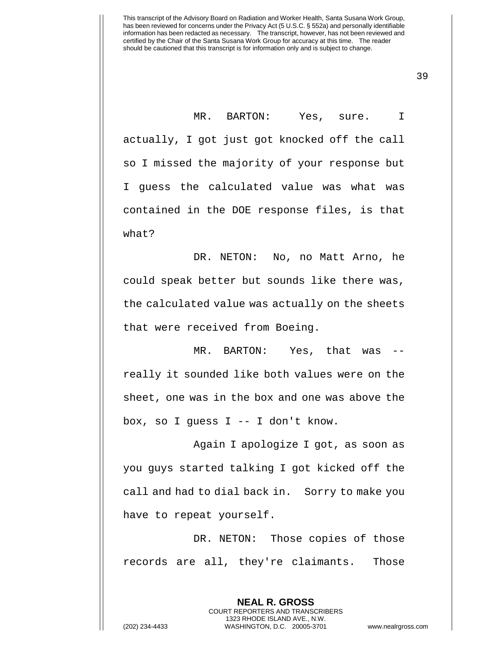MR. BARTON: Yes, sure. I actually, I got just got knocked off the call so I missed the majority of your response but I guess the calculated value was what was contained in the DOE response files, is that what?

DR. NETON: No, no Matt Arno, he could speak better but sounds like there was, the calculated value was actually on the sheets that were received from Boeing.

MR. BARTON: Yes, that was - really it sounded like both values were on the sheet, one was in the box and one was above the box, so I guess I -- I don't know.

Again I apologize I got, as soon as you guys started talking I got kicked off the call and had to dial back in. Sorry to make you have to repeat yourself.

DR. NETON: Those copies of those records are all, they're claimants. Those

> **NEAL R. GROSS** COURT REPORTERS AND TRANSCRIBERS 1323 RHODE ISLAND AVE., N.W.

(202) 234-4433 WASHINGTON, D.C. 20005-3701 www.nealrgross.com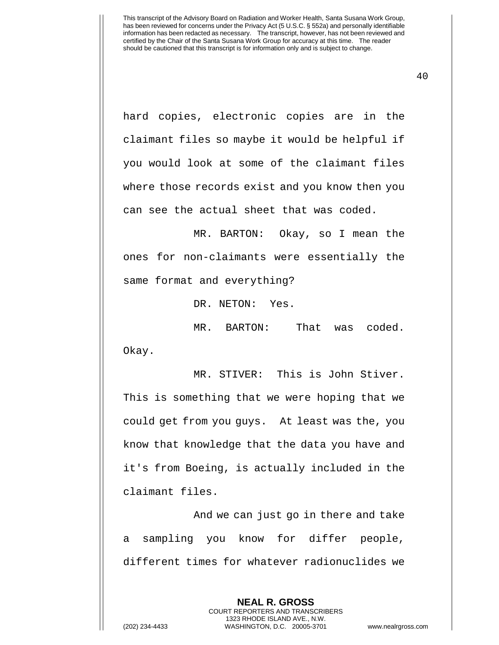40

hard copies, electronic copies are in the claimant files so maybe it would be helpful if you would look at some of the claimant files where those records exist and you know then you can see the actual sheet that was coded.

MR. BARTON: Okay, so I mean the ones for non-claimants were essentially the same format and everything?

DR. NETON: Yes.

MR. BARTON: That was coded. Okay.

MR. STIVER: This is John Stiver. This is something that we were hoping that we could get from you guys. At least was the, you know that knowledge that the data you have and it's from Boeing, is actually included in the claimant files.

And we can just go in there and take a sampling you know for differ people, different times for whatever radionuclides we

> **NEAL R. GROSS** COURT REPORTERS AND TRANSCRIBERS 1323 RHODE ISLAND AVE., N.W.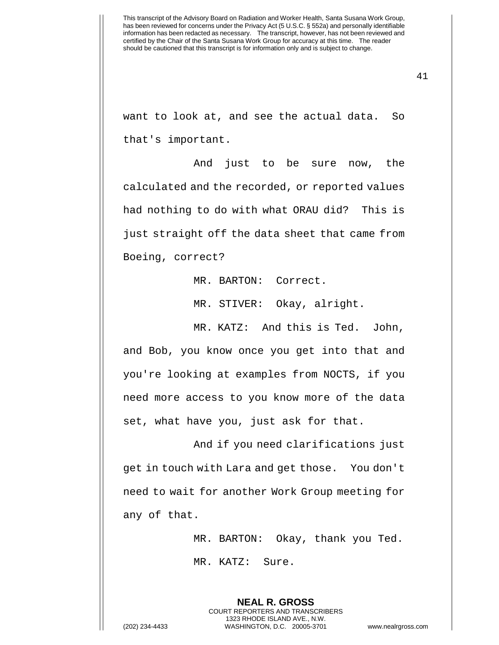41

want to look at, and see the actual data. So that's important.

And just to be sure now, the calculated and the recorded, or reported values had nothing to do with what ORAU did? This is just straight off the data sheet that came from Boeing, correct?

MR. BARTON: Correct.

MR. STIVER: Okay, alright.

MR. KATZ: And this is Ted. John, and Bob, you know once you get into that and you're looking at examples from NOCTS, if you need more access to you know more of the data set, what have you, just ask for that.

And if you need clarifications just get in touch with Lara and get those. You don't need to wait for another Work Group meeting for any of that.

MR. BARTON: Okay, thank you Ted.

MR. KATZ: Sure.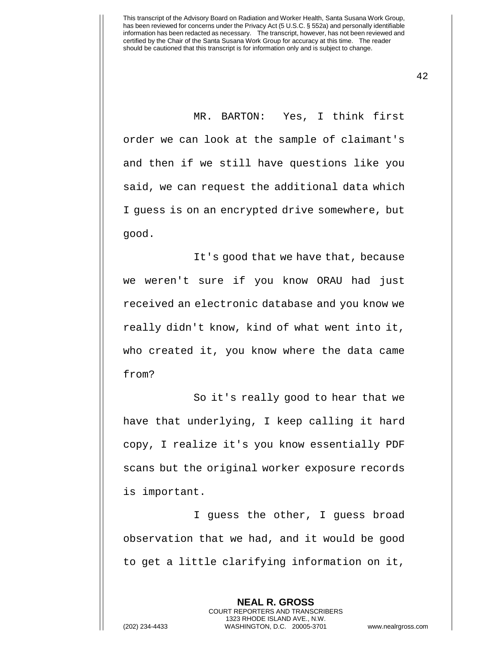MR. BARTON: Yes, I think first order we can look at the sample of claimant's and then if we still have questions like you said, we can request the additional data which I guess is on an encrypted drive somewhere, but good.

It's good that we have that, because we weren't sure if you know ORAU had just received an electronic database and you know we really didn't know, kind of what went into it, who created it, you know where the data came from?

So it's really good to hear that we have that underlying, I keep calling it hard copy, I realize it's you know essentially PDF scans but the original worker exposure records is important.

I guess the other, I guess broad observation that we had, and it would be good to get a little clarifying information on it,

**NEAL R. GROSS**

COURT REPORTERS AND TRANSCRIBERS 1323 RHODE ISLAND AVE., N.W. (202) 234-4433 WASHINGTON, D.C. 20005-3701 www.nealrgross.com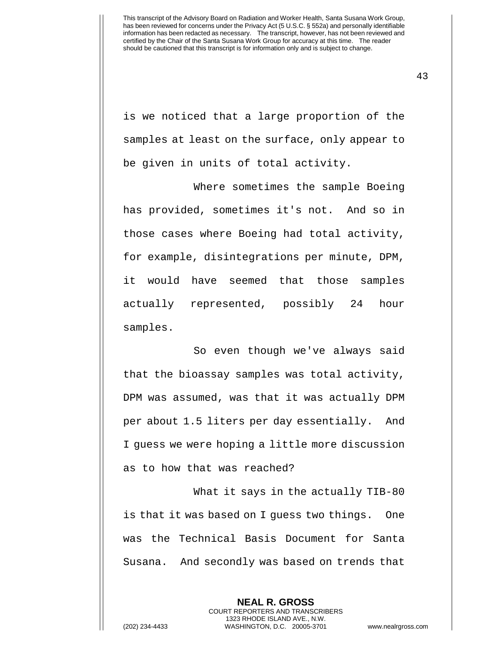is we noticed that a large proportion of the samples at least on the surface, only appear to be given in units of total activity.

Where sometimes the sample Boeing has provided, sometimes it's not. And so in those cases where Boeing had total activity, for example, disintegrations per minute, DPM, it would have seemed that those samples actually represented, possibly 24 hour samples.

So even though we've always said that the bioassay samples was total activity, DPM was assumed, was that it was actually DPM per about 1.5 liters per day essentially. And I guess we were hoping a little more discussion as to how that was reached?

What it says in the actually TIB-80 is that it was based on I guess two things. One was the Technical Basis Document for Santa Susana. And secondly was based on trends that

**NEAL R. GROSS** COURT REPORTERS AND TRANSCRIBERS 1323 RHODE ISLAND AVE., N.W. (202) 234-4433 WASHINGTON, D.C. 20005-3701 www.nealrgross.com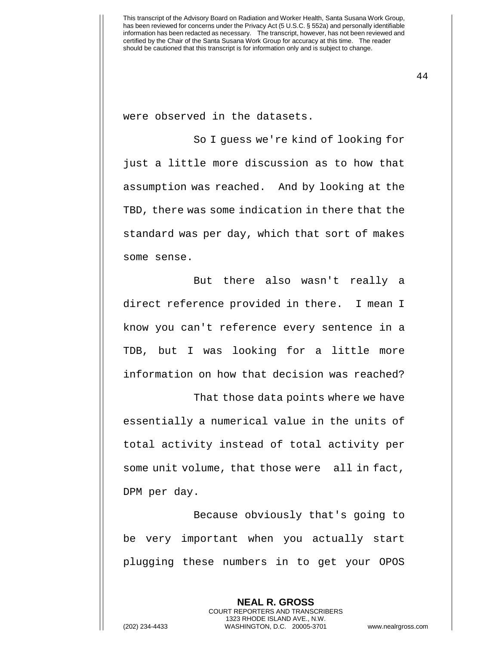were observed in the datasets.

So I guess we're kind of looking for just a little more discussion as to how that assumption was reached. And by looking at the TBD, there was some indication in there that the standard was per day, which that sort of makes some sense.

But there also wasn't really a direct reference provided in there. I mean I know you can't reference every sentence in a TDB, but I was looking for a little more information on how that decision was reached?

That those data points where we have essentially a numerical value in the units of total activity instead of total activity per some unit volume, that those were all in fact, DPM per day.

Because obviously that's going to be very important when you actually start plugging these numbers in to get your OPOS

**NEAL R. GROSS** COURT REPORTERS AND TRANSCRIBERS 1323 RHODE ISLAND AVE., N.W. (202) 234-4433 WASHINGTON, D.C. 20005-3701 www.nealrgross.com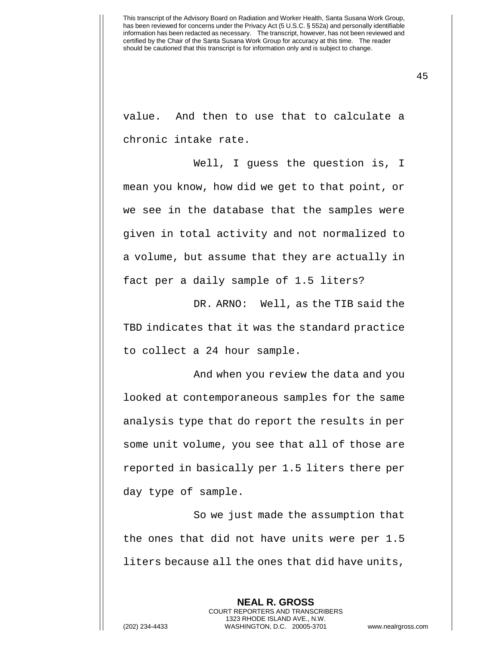value. And then to use that to calculate a chronic intake rate.

Well, I guess the question is, I mean you know, how did we get to that point, or we see in the database that the samples were given in total activity and not normalized to a volume, but assume that they are actually in fact per a daily sample of 1.5 liters?

DR. ARNO: Well, as the TIB said the TBD indicates that it was the standard practice to collect a 24 hour sample.

And when you review the data and you looked at contemporaneous samples for the same analysis type that do report the results in per some unit volume, you see that all of those are reported in basically per 1.5 liters there per day type of sample.

So we just made the assumption that the ones that did not have units were per 1.5 liters because all the ones that did have units,

> **NEAL R. GROSS** COURT REPORTERS AND TRANSCRIBERS 1323 RHODE ISLAND AVE., N.W.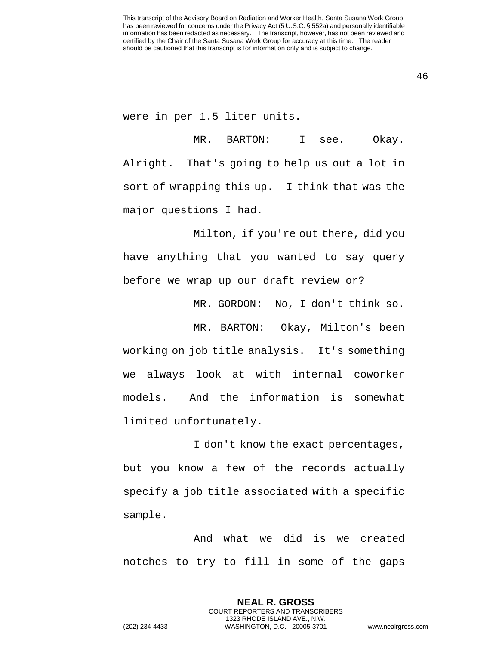were in per 1.5 liter units.

MR. BARTON: I see. Okay. Alright. That's going to help us out a lot in sort of wrapping this up. I think that was the major questions I had.

Milton, if you're out there, did you have anything that you wanted to say query before we wrap up our draft review or?

MR. GORDON: No, I don't think so.

MR. BARTON: Okay, Milton's been working on job title analysis. It's something we always look at with internal coworker models. And the information is somewhat limited unfortunately.

I don't know the exact percentages, but you know a few of the records actually specify a job title associated with a specific sample.

And what we did is we created notches to try to fill in some of the gaps

**NEAL R. GROSS** COURT REPORTERS AND TRANSCRIBERS 1323 RHODE ISLAND AVE., N.W. (202) 234-4433 WASHINGTON, D.C. 20005-3701 www.nealrgross.com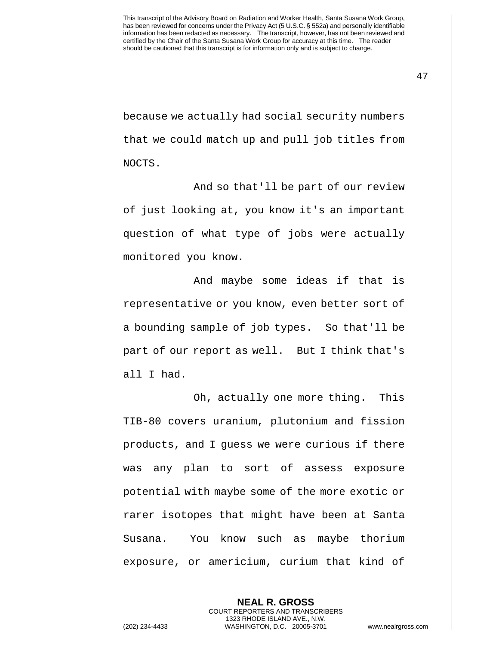47

because we actually had social security numbers that we could match up and pull job titles from NOCTS.

And so that'll be part of our review of just looking at, you know it's an important question of what type of jobs were actually monitored you know.

And maybe some ideas if that is representative or you know, even better sort of a bounding sample of job types. So that'll be part of our report as well. But I think that's all I had.

Oh, actually one more thing. This TIB-80 covers uranium, plutonium and fission products, and I guess we were curious if there was any plan to sort of assess exposure potential with maybe some of the more exotic or rarer isotopes that might have been at Santa Susana. You know such as maybe thorium exposure, or americium, curium that kind of

**NEAL R. GROSS** COURT REPORTERS AND TRANSCRIBERS 1323 RHODE ISLAND AVE., N.W. (202) 234-4433 WASHINGTON, D.C. 20005-3701 www.nealrgross.com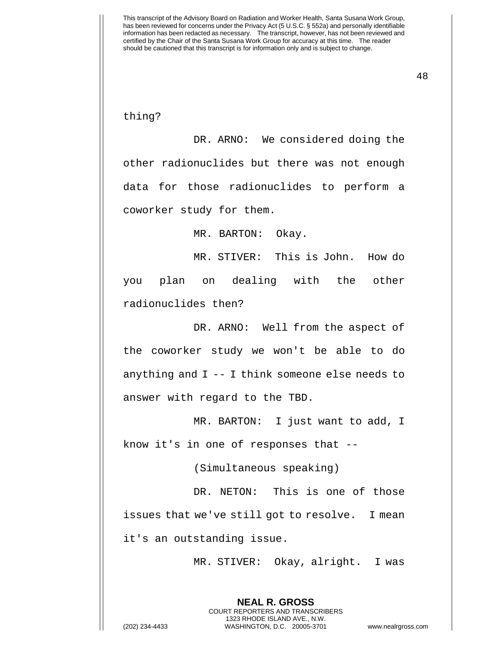thing?

DR. ARNO: We considered doing the other radionuclides but there was not enough data for those radionuclides to perform a coworker study for them.

MR. BARTON: Okay.

MR. STIVER: This is John. How do you plan on dealing with the other radionuclides then?

DR. ARNO: Well from the aspect of the coworker study we won't be able to do anything and I -- I think someone else needs to answer with regard to the TBD.

MR. BARTON: I just want to add, I know it's in one of responses that --

(Simultaneous speaking)

DR. NETON: This is one of those issues that we've still got to resolve. I mean it's an outstanding issue.

**NEAL R. GROSS**

MR. STIVER: Okay, alright. I was

COURT REPORTERS AND TRANSCRIBERS 1323 RHODE ISLAND AVE., N.W. (202) 234-4433 WASHINGTON, D.C. 20005-3701 www.nealrgross.com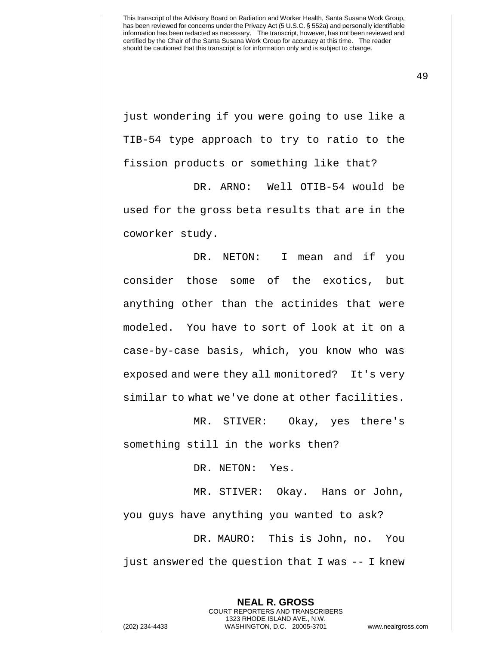just wondering if you were going to use like a TIB-54 type approach to try to ratio to the fission products or something like that?

DR. ARNO: Well OTIB-54 would be used for the gross beta results that are in the coworker study.

DR. NETON: I mean and if you consider those some of the exotics, but anything other than the actinides that were modeled. You have to sort of look at it on a case-by-case basis, which, you know who was exposed and were they all monitored? It's very similar to what we've done at other facilities.

MR. STIVER: Okay, yes there's something still in the works then?

DR. NETON: Yes.

MR. STIVER: Okay. Hans or John, you guys have anything you wanted to ask? DR. MAURO: This is John, no. You just answered the question that I was -- I knew

> **NEAL R. GROSS** COURT REPORTERS AND TRANSCRIBERS 1323 RHODE ISLAND AVE., N.W.

(202) 234-4433 WASHINGTON, D.C. 20005-3701 www.nealrgross.com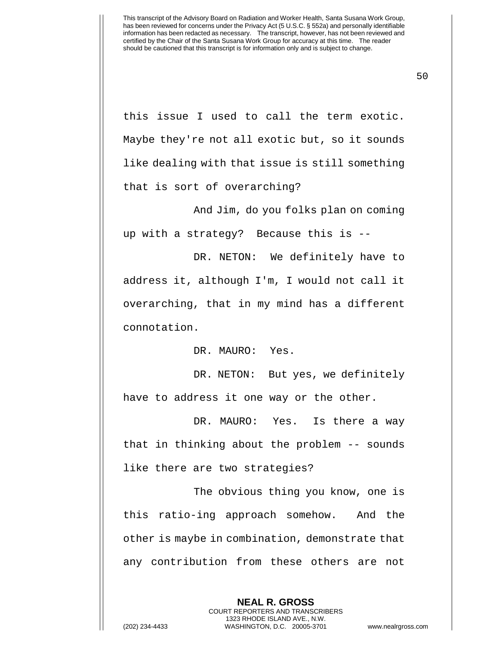50

this issue I used to call the term exotic. Maybe they're not all exotic but, so it sounds like dealing with that issue is still something that is sort of overarching?

And Jim, do you folks plan on coming up with a strategy? Because this is --

DR. NETON: We definitely have to address it, although I'm, I would not call it overarching, that in my mind has a different connotation.

DR. MAURO: Yes.

DR. NETON: But yes, we definitely have to address it one way or the other.

DR. MAURO: Yes. Is there a way that in thinking about the problem -- sounds like there are two strategies?

The obvious thing you know, one is this ratio-ing approach somehow. And the other is maybe in combination, demonstrate that any contribution from these others are not

> **NEAL R. GROSS** COURT REPORTERS AND TRANSCRIBERS 1323 RHODE ISLAND AVE., N.W.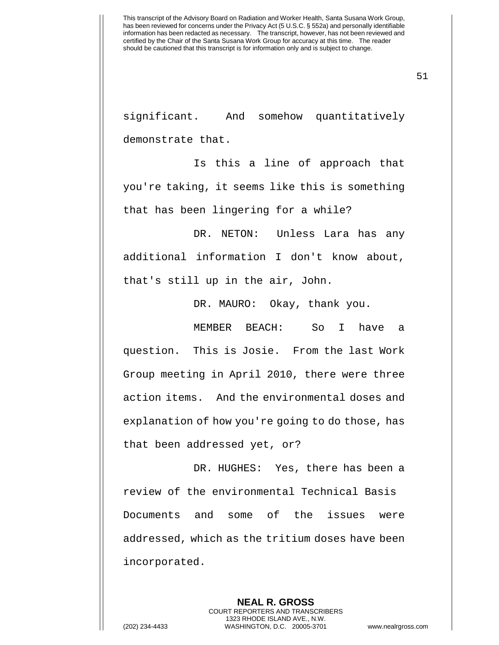51

significant. And somehow quantitatively demonstrate that.

Is this a line of approach that you're taking, it seems like this is something that has been lingering for a while?

DR. NETON: Unless Lara has any additional information I don't know about, that's still up in the air, John.

DR. MAURO: Okay, thank you.

MEMBER BEACH: So I have a question. This is Josie. From the last Work Group meeting in April 2010, there were three action items. And the environmental doses and explanation of how you're going to do those, has that been addressed yet, or?

DR. HUGHES: Yes, there has been a review of the environmental Technical Basis Documents and some of the issues were addressed, which as the tritium doses have been incorporated.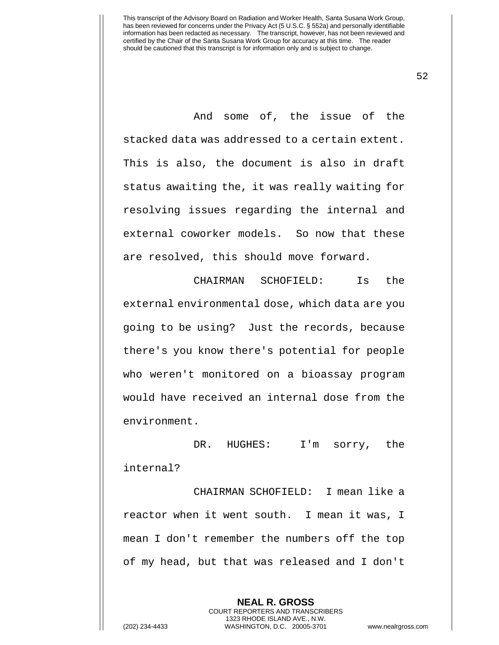52

And some of, the issue of the stacked data was addressed to a certain extent. This is also, the document is also in draft status awaiting the, it was really waiting for resolving issues regarding the internal and external coworker models. So now that these are resolved, this should move forward.

CHAIRMAN SCHOFIELD: Is the external environmental dose, which data are you going to be using? Just the records, because there's you know there's potential for people who weren't monitored on a bioassay program would have received an internal dose from the environment.

DR. HUGHES: I'm sorry, the internal?

CHAIRMAN SCHOFIELD: I mean like a reactor when it went south. I mean it was, I mean I don't remember the numbers off the top of my head, but that was released and I don't

**NEAL R. GROSS** COURT REPORTERS AND TRANSCRIBERS 1323 RHODE ISLAND AVE., N.W. (202) 234-4433 WASHINGTON, D.C. 20005-3701 www.nealrgross.com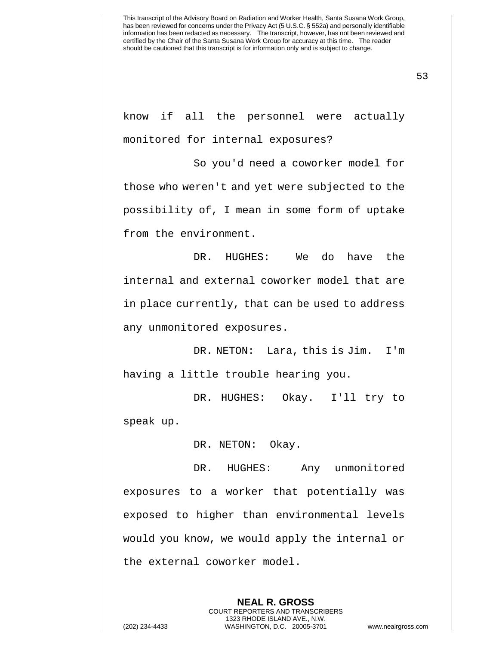53

know if all the personnel were actually monitored for internal exposures?

So you'd need a coworker model for those who weren't and yet were subjected to the possibility of, I mean in some form of uptake from the environment.

DR. HUGHES: We do have the internal and external coworker model that are in place currently, that can be used to address any unmonitored exposures.

DR. NETON: Lara, this is Jim. I'm having a little trouble hearing you.

DR. HUGHES: Okay. I'll try to speak up.

DR. NETON: Okay.

DR. HUGHES: Any unmonitored exposures to a worker that potentially was exposed to higher than environmental levels would you know, we would apply the internal or the external coworker model.

> **NEAL R. GROSS** COURT REPORTERS AND TRANSCRIBERS 1323 RHODE ISLAND AVE., N.W.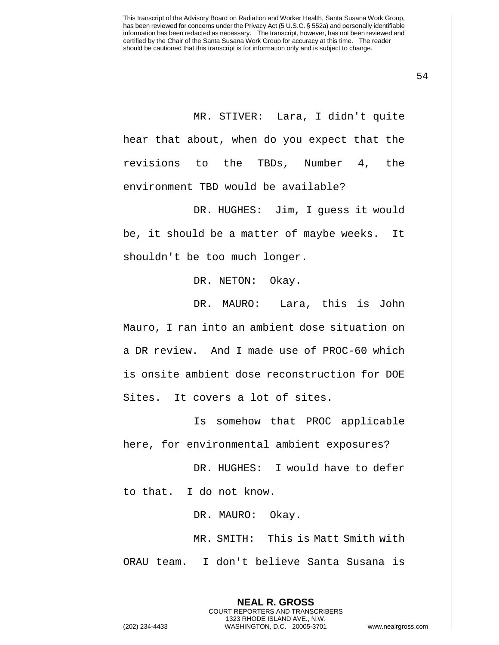MR. STIVER: Lara, I didn't quite hear that about, when do you expect that the revisions to the TBDs, Number 4, the environment TBD would be available?

DR. HUGHES: Jim, I guess it would be, it should be a matter of maybe weeks. It shouldn't be too much longer.

DR. NETON: Okay.

DR. MAURO: Lara, this is John Mauro, I ran into an ambient dose situation on a DR review. And I made use of PROC-60 which is onsite ambient dose reconstruction for DOE Sites. It covers a lot of sites.

Is somehow that PROC applicable here, for environmental ambient exposures?

DR. HUGHES: I would have to defer to that. I do not know.

DR. MAURO: Okay.

MR. SMITH: This is Matt Smith with ORAU team. I don't believe Santa Susana is

> **NEAL R. GROSS** COURT REPORTERS AND TRANSCRIBERS 1323 RHODE ISLAND AVE., N.W.

(202) 234-4433 WASHINGTON, D.C. 20005-3701 www.nealrgross.com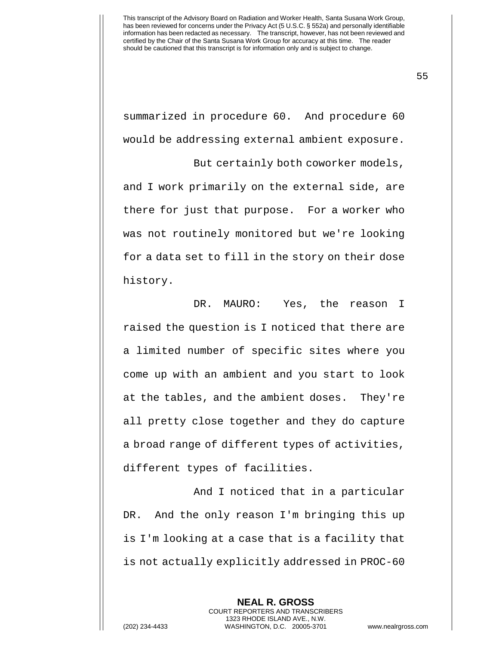summarized in procedure 60. And procedure 60 would be addressing external ambient exposure.

But certainly both coworker models, and I work primarily on the external side, are there for just that purpose. For a worker who was not routinely monitored but we're looking for a data set to fill in the story on their dose history.

DR. MAURO: Yes, the reason I raised the question is I noticed that there are a limited number of specific sites where you come up with an ambient and you start to look at the tables, and the ambient doses. They're all pretty close together and they do capture a broad range of different types of activities, different types of facilities.

And I noticed that in a particular DR. And the only reason I'm bringing this up is I'm looking at a case that is a facility that is not actually explicitly addressed in PROC-60

> **NEAL R. GROSS** COURT REPORTERS AND TRANSCRIBERS 1323 RHODE ISLAND AVE., N.W.

(202) 234-4433 WASHINGTON, D.C. 20005-3701 www.nealrgross.com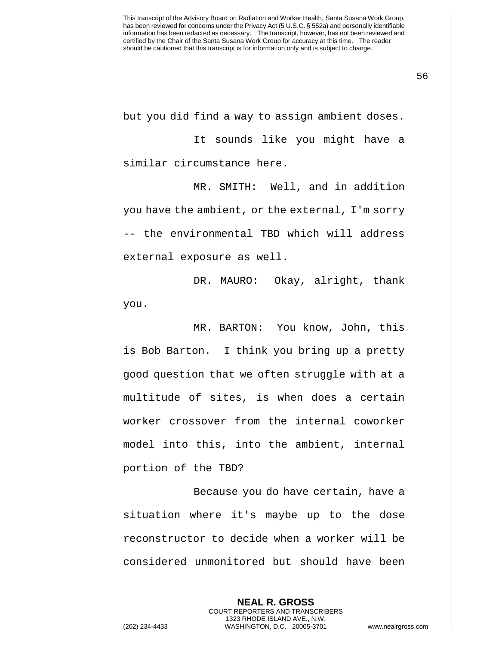but you did find a way to assign ambient doses.

It sounds like you might have a similar circumstance here.

MR. SMITH: Well, and in addition you have the ambient, or the external, I'm sorry -- the environmental TBD which will address external exposure as well.

DR. MAURO: Okay, alright, thank you.

MR. BARTON: You know, John, this is Bob Barton. I think you bring up a pretty good question that we often struggle with at a multitude of sites, is when does a certain worker crossover from the internal coworker model into this, into the ambient, internal portion of the TBD?

Because you do have certain, have a situation where it's maybe up to the dose reconstructor to decide when a worker will be considered unmonitored but should have been

**NEAL R. GROSS** COURT REPORTERS AND TRANSCRIBERS 1323 RHODE ISLAND AVE., N.W. (202) 234-4433 WASHINGTON, D.C. 20005-3701 www.nealrgross.com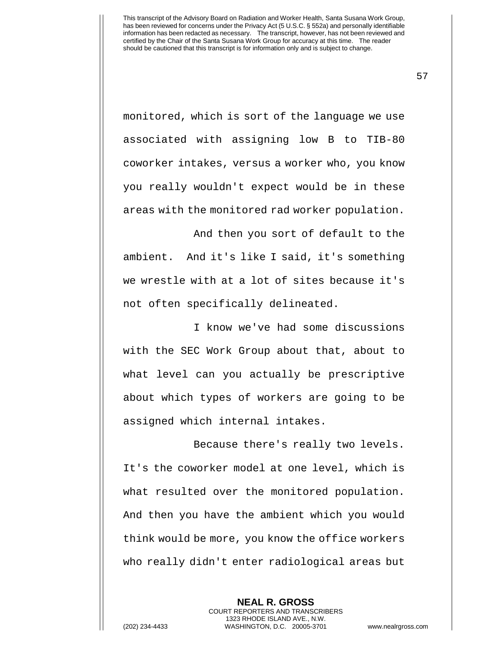monitored, which is sort of the language we use associated with assigning low B to TIB-80 coworker intakes, versus a worker who, you know you really wouldn't expect would be in these areas with the monitored rad worker population.

And then you sort of default to the ambient. And it's like I said, it's something we wrestle with at a lot of sites because it's not often specifically delineated.

I know we've had some discussions with the SEC Work Group about that, about to what level can you actually be prescriptive about which types of workers are going to be assigned which internal intakes.

Because there's really two levels. It's the coworker model at one level, which is what resulted over the monitored population. And then you have the ambient which you would think would be more, you know the office workers who really didn't enter radiological areas but

> **NEAL R. GROSS** COURT REPORTERS AND TRANSCRIBERS 1323 RHODE ISLAND AVE., N.W.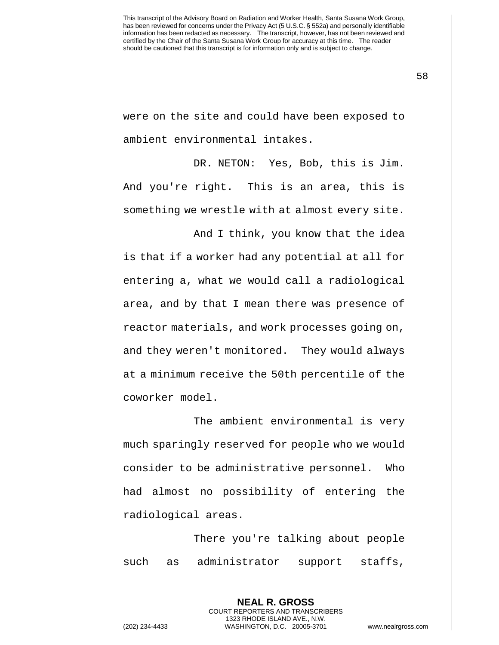were on the site and could have been exposed to ambient environmental intakes.

DR. NETON: Yes, Bob, this is Jim. And you're right. This is an area, this is something we wrestle with at almost every site.

And I think, you know that the idea is that if a worker had any potential at all for entering a, what we would call a radiological area, and by that I mean there was presence of reactor materials, and work processes going on, and they weren't monitored. They would always at a minimum receive the 50th percentile of the coworker model.

The ambient environmental is very much sparingly reserved for people who we would consider to be administrative personnel. Who had almost no possibility of entering the radiological areas.

There you're talking about people such as administrator support staffs,

> **NEAL R. GROSS** COURT REPORTERS AND TRANSCRIBERS 1323 RHODE ISLAND AVE., N.W.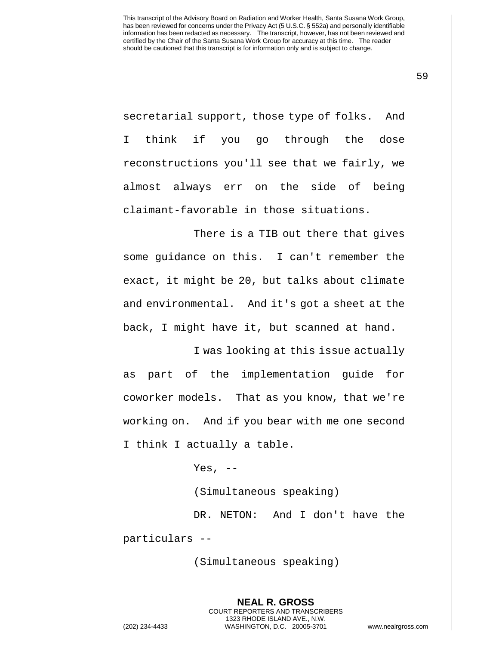secretarial support, those type of folks. And I think if you go through the dose reconstructions you'll see that we fairly, we almost always err on the side of being claimant-favorable in those situations.

There is a TIB out there that gives some guidance on this. I can't remember the exact, it might be 20, but talks about climate and environmental. And it's got a sheet at the back, I might have it, but scanned at hand.

I was looking at this issue actually as part of the implementation guide for coworker models. That as you know, that we're working on. And if you bear with me one second I think I actually a table.

Yes,  $--$ 

(Simultaneous speaking)

DR. NETON: And I don't have the particulars --

(Simultaneous speaking)

**NEAL R. GROSS** COURT REPORTERS AND TRANSCRIBERS 1323 RHODE ISLAND AVE., N.W. (202) 234-4433 WASHINGTON, D.C. 20005-3701 www.nealrgross.com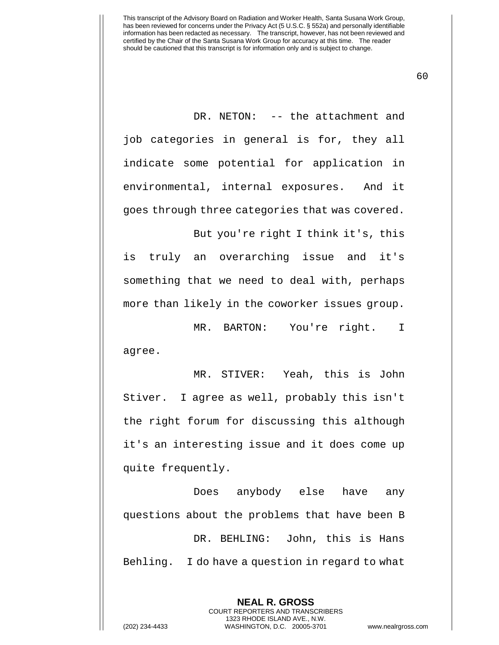DR. NETON: -- the attachment and job categories in general is for, they all indicate some potential for application in environmental, internal exposures. And it goes through three categories that was covered.

But you're right I think it's, this is truly an overarching issue and it's something that we need to deal with, perhaps more than likely in the coworker issues group.

MR. BARTON: You're right. I agree.

MR. STIVER: Yeah, this is John Stiver. I agree as well, probably this isn't the right forum for discussing this although it's an interesting issue and it does come up quite frequently.

Does anybody else have any questions about the problems that have been B DR. BEHLING: John, this is Hans Behling. I do have a question in regard to what

> **NEAL R. GROSS** COURT REPORTERS AND TRANSCRIBERS 1323 RHODE ISLAND AVE., N.W.

(202) 234-4433 WASHINGTON, D.C. 20005-3701 www.nealrgross.com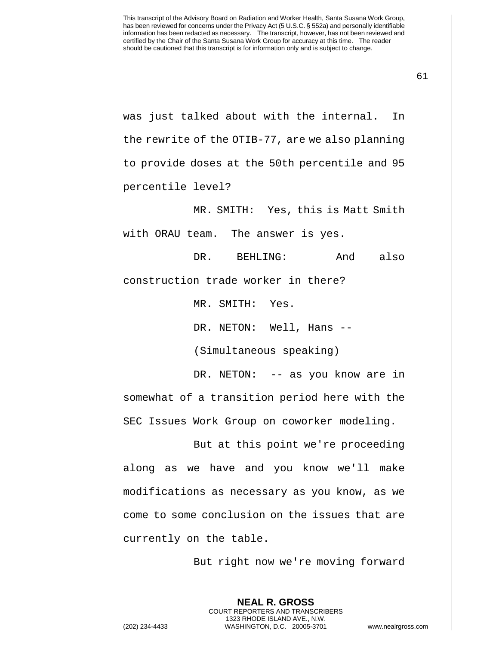61

was just talked about with the internal. In the rewrite of the OTIB-77, are we also planning to provide doses at the 50th percentile and 95 percentile level?

MR. SMITH: Yes, this is Matt Smith with ORAU team. The answer is yes.

DR. BEHLING: And also construction trade worker in there?

MR. SMITH: Yes.

DR. NETON: Well, Hans --

(Simultaneous speaking)

DR. NETON: -- as you know are in somewhat of a transition period here with the SEC Issues Work Group on coworker modeling.

But at this point we're proceeding along as we have and you know we'll make modifications as necessary as you know, as we come to some conclusion on the issues that are currently on the table.

But right now we're moving forward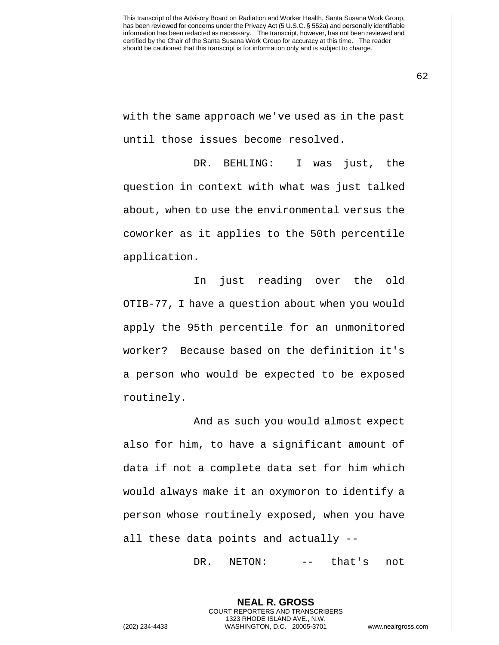with the same approach we've used as in the past until those issues become resolved.

DR. BEHLING: I was just, the question in context with what was just talked about, when to use the environmental versus the coworker as it applies to the 50th percentile application.

In just reading over the old OTIB-77, I have a question about when you would apply the 95th percentile for an unmonitored worker? Because based on the definition it's a person who would be expected to be exposed routinely.

And as such you would almost expect also for him, to have a significant amount of data if not a complete data set for him which would always make it an oxymoron to identify a person whose routinely exposed, when you have all these data points and actually --

DR. NETON: -- that's not

**NEAL R. GROSS** COURT REPORTERS AND TRANSCRIBERS 1323 RHODE ISLAND AVE., N.W. (202) 234-4433 WASHINGTON, D.C. 20005-3701 www.nealrgross.com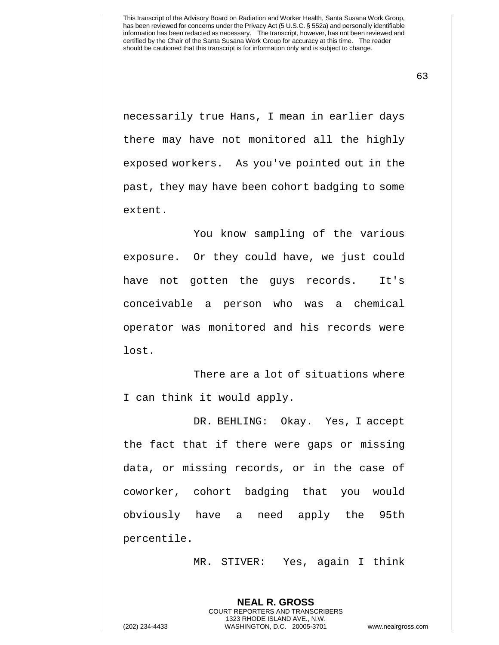63

necessarily true Hans, I mean in earlier days there may have not monitored all the highly exposed workers. As you've pointed out in the past, they may have been cohort badging to some extent.

You know sampling of the various exposure. Or they could have, we just could have not gotten the guys records. It's conceivable a person who was a chemical operator was monitored and his records were lost.

There are a lot of situations where I can think it would apply.

DR. BEHLING: Okay. Yes, I accept the fact that if there were gaps or missing data, or missing records, or in the case of coworker, cohort badging that you would obviously have a need apply the 95th percentile.

MR. STIVER: Yes, again I think

**NEAL R. GROSS** COURT REPORTERS AND TRANSCRIBERS 1323 RHODE ISLAND AVE., N.W.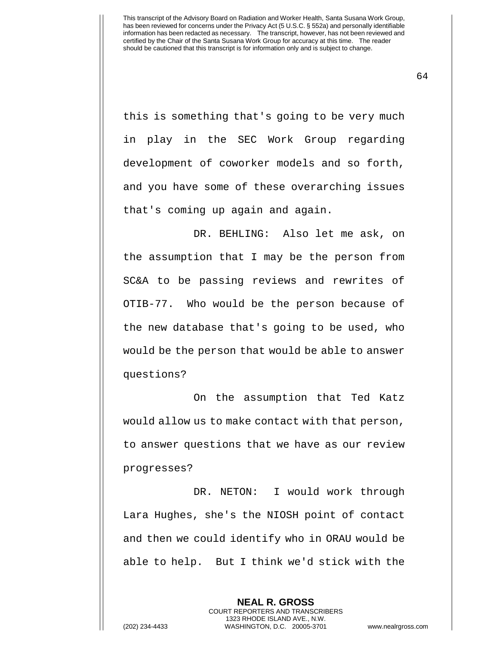this is something that's going to be very much in play in the SEC Work Group regarding development of coworker models and so forth, and you have some of these overarching issues that's coming up again and again.

DR. BEHLING: Also let me ask, on the assumption that I may be the person from SC&A to be passing reviews and rewrites of OTIB-77. Who would be the person because of the new database that's going to be used, who would be the person that would be able to answer questions?

On the assumption that Ted Katz would allow us to make contact with that person, to answer questions that we have as our review progresses?

DR. NETON: I would work through Lara Hughes, she's the NIOSH point of contact and then we could identify who in ORAU would be able to help. But I think we'd stick with the

> **NEAL R. GROSS** COURT REPORTERS AND TRANSCRIBERS 1323 RHODE ISLAND AVE., N.W.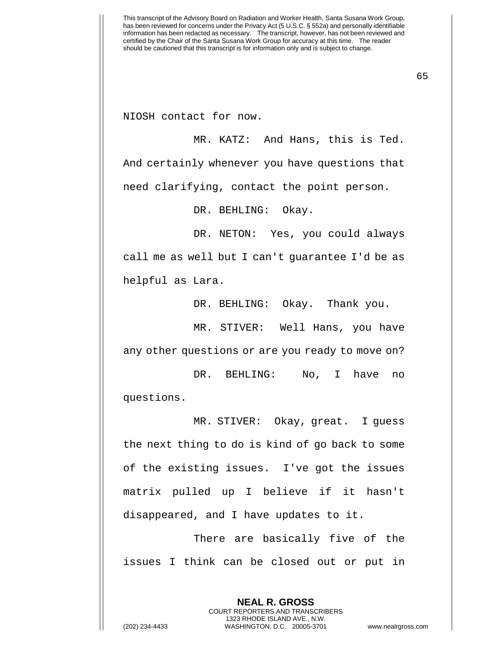NIOSH contact for now.

MR. KATZ: And Hans, this is Ted. And certainly whenever you have questions that need clarifying, contact the point person.

DR. BEHLING: Okay.

DR. NETON: Yes, you could always call me as well but I can't guarantee I'd be as helpful as Lara.

DR. BEHLING: Okay. Thank you.

MR. STIVER: Well Hans, you have any other questions or are you ready to move on?

DR. BEHLING: No, I have no questions.

MR. STIVER: Okay, great. I guess the next thing to do is kind of go back to some of the existing issues. I've got the issues matrix pulled up I believe if it hasn't disappeared, and I have updates to it.

There are basically five of the issues I think can be closed out or put in

> **NEAL R. GROSS** COURT REPORTERS AND TRANSCRIBERS 1323 RHODE ISLAND AVE., N.W.

(202) 234-4433 WASHINGTON, D.C. 20005-3701 www.nealrgross.com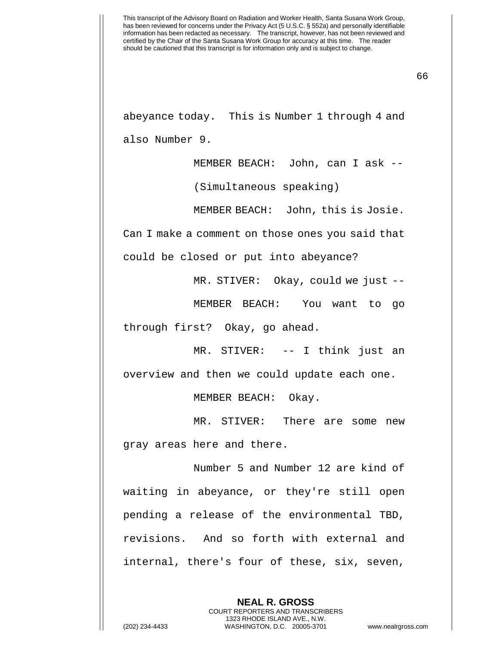66

abeyance today. This is Number 1 through 4 and also Number 9.

MEMBER BEACH: John, can I ask --

(Simultaneous speaking)

MEMBER BEACH: John, this is Josie.

Can I make a comment on those ones you said that

could be closed or put into abeyance?

MR. STIVER: Okay, could we just --

MEMBER BEACH: You want to go

through first? Okay, go ahead.

MR. STIVER: -- I think just an overview and then we could update each one.

MEMBER BEACH: Okay.

MR. STIVER: There are some new gray areas here and there.

Number 5 and Number 12 are kind of waiting in abeyance, or they're still open pending a release of the environmental TBD, revisions. And so forth with external and internal, there's four of these, six, seven,

> **NEAL R. GROSS** COURT REPORTERS AND TRANSCRIBERS 1323 RHODE ISLAND AVE., N.W.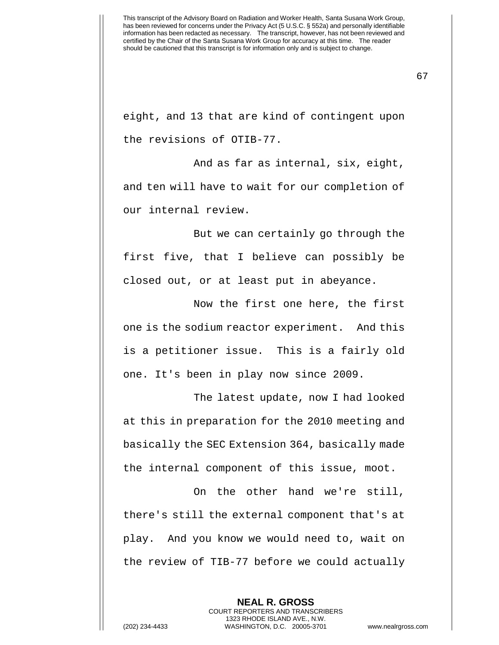eight, and 13 that are kind of contingent upon the revisions of OTIB-77.

And as far as internal, six, eight, and ten will have to wait for our completion of our internal review.

But we can certainly go through the first five, that I believe can possibly be closed out, or at least put in abeyance.

Now the first one here, the first one is the sodium reactor experiment. And this is a petitioner issue. This is a fairly old one. It's been in play now since 2009.

The latest update, now I had looked at this in preparation for the 2010 meeting and basically the SEC Extension 364, basically made the internal component of this issue, moot.

On the other hand we're still, there's still the external component that's at play. And you know we would need to, wait on the review of TIB-77 before we could actually

> **NEAL R. GROSS** COURT REPORTERS AND TRANSCRIBERS 1323 RHODE ISLAND AVE., N.W.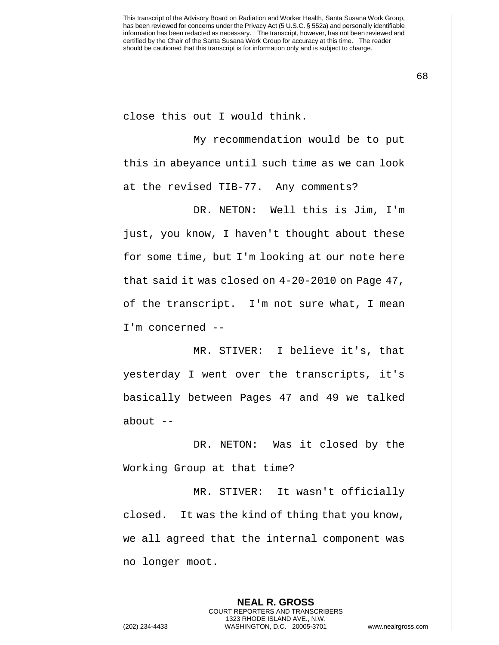close this out I would think.

My recommendation would be to put this in abeyance until such time as we can look at the revised TIB-77. Any comments?

DR. NETON: Well this is Jim, I'm just, you know, I haven't thought about these for some time, but I'm looking at our note here that said it was closed on 4-20-2010 on Page 47, of the transcript. I'm not sure what, I mean I'm concerned --

MR. STIVER: I believe it's, that yesterday I went over the transcripts, it's basically between Pages 47 and 49 we talked about --

DR. NETON: Was it closed by the Working Group at that time?

MR. STIVER: It wasn't officially closed. It was the kind of thing that you know, we all agreed that the internal component was no longer moot.

> **NEAL R. GROSS** COURT REPORTERS AND TRANSCRIBERS 1323 RHODE ISLAND AVE., N.W.

(202) 234-4433 WASHINGTON, D.C. 20005-3701 www.nealrgross.com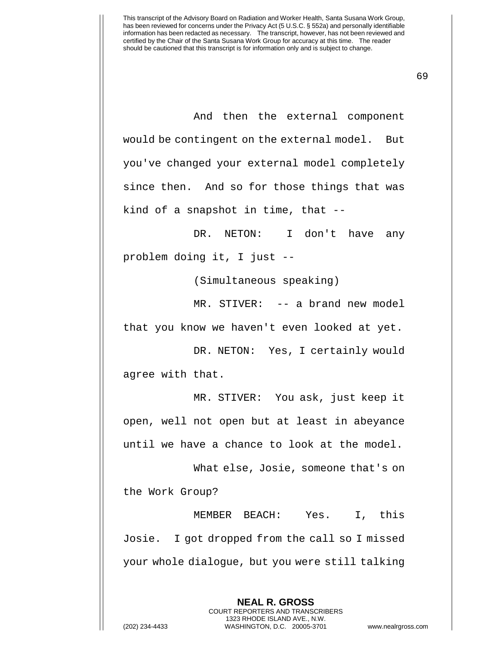And then the external component would be contingent on the external model. But you've changed your external model completely since then. And so for those things that was kind of a snapshot in time, that --

DR. NETON: I don't have any problem doing it, I just --

(Simultaneous speaking)

MR. STIVER: -- a brand new model that you know we haven't even looked at yet.

DR. NETON: Yes, I certainly would agree with that.

MR. STIVER: You ask, just keep it open, well not open but at least in abeyance until we have a chance to look at the model.

What else, Josie, someone that's on the Work Group?

MEMBER BEACH: Yes. I, this Josie. I got dropped from the call so I missed your whole dialogue, but you were still talking

**NEAL R. GROSS**

COURT REPORTERS AND TRANSCRIBERS 1323 RHODE ISLAND AVE., N.W. (202) 234-4433 WASHINGTON, D.C. 20005-3701 www.nealrgross.com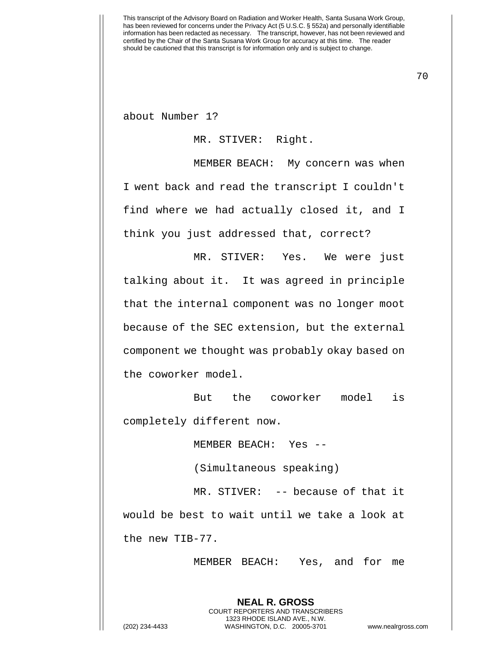about Number 1?

## MR. STIVER: Right.

MEMBER BEACH: My concern was when I went back and read the transcript I couldn't find where we had actually closed it, and I think you just addressed that, correct?

MR. STIVER: Yes. We were just talking about it. It was agreed in principle that the internal component was no longer moot because of the SEC extension, but the external component we thought was probably okay based on the coworker model.

But the coworker model is completely different now.

MEMBER BEACH: Yes --

(Simultaneous speaking)

MR. STIVER: -- because of that it would be best to wait until we take a look at the new TIB-77.

> **NEAL R. GROSS** COURT REPORTERS AND TRANSCRIBERS 1323 RHODE ISLAND AVE., N.W.

MEMBER BEACH: Yes, and for me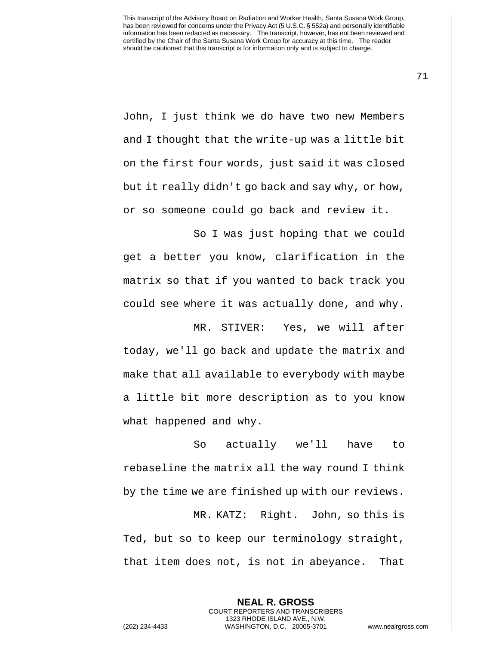John, I just think we do have two new Members and I thought that the write-up was a little bit on the first four words, just said it was closed but it really didn't go back and say why, or how, or so someone could go back and review it.

So I was just hoping that we could get a better you know, clarification in the matrix so that if you wanted to back track you could see where it was actually done, and why.

MR. STIVER: Yes, we will after today, we'll go back and update the matrix and make that all available to everybody with maybe a little bit more description as to you know what happened and why.

So actually we'll have to rebaseline the matrix all the way round I think by the time we are finished up with our reviews.

MR. KATZ: Right. John, so this is Ted, but so to keep our terminology straight, that item does not, is not in abeyance. That

> COURT REPORTERS AND TRANSCRIBERS 1323 RHODE ISLAND AVE., N.W.

**NEAL R. GROSS**

(202) 234-4433 WASHINGTON, D.C. 20005-3701 www.nealrgross.com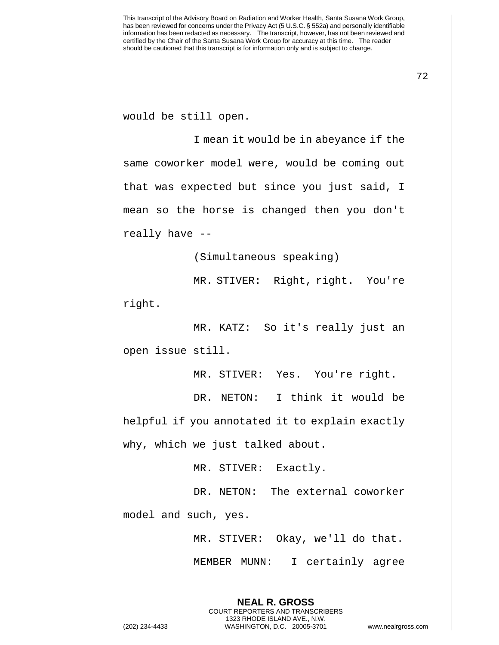would be still open.

I mean it would be in abeyance if the same coworker model were, would be coming out that was expected but since you just said, I mean so the horse is changed then you don't really have --

(Simultaneous speaking)

MR. STIVER: Right, right. You're right.

MR. KATZ: So it's really just an open issue still.

MR. STIVER: Yes. You're right.

DR. NETON: I think it would be helpful if you annotated it to explain exactly why, which we just talked about.

MR. STIVER: Exactly.

DR. NETON: The external coworker

model and such, yes.

MR. STIVER: Okay, we'll do that.

MEMBER MUNN: I certainly agree

**NEAL R. GROSS** COURT REPORTERS AND TRANSCRIBERS 1323 RHODE ISLAND AVE., N.W. (202) 234-4433 WASHINGTON, D.C. 20005-3701 www.nealrgross.com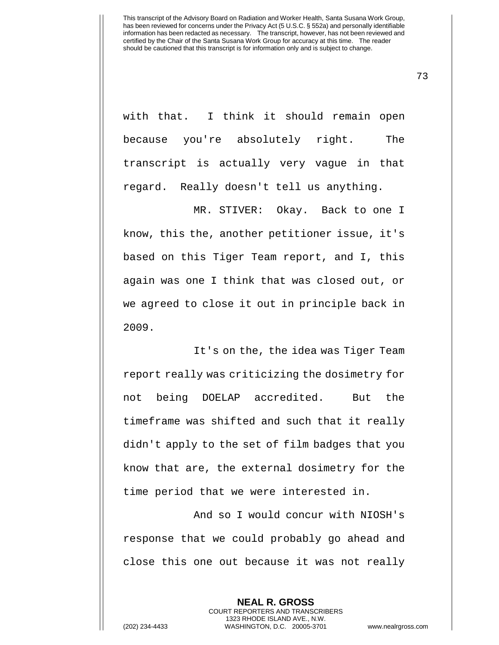with that. I think it should remain open because you're absolutely right. The transcript is actually very vague in that regard. Really doesn't tell us anything.

MR. STIVER: Okay. Back to one I know, this the, another petitioner issue, it's based on this Tiger Team report, and I, this again was one I think that was closed out, or we agreed to close it out in principle back in 2009.

It's on the, the idea was Tiger Team report really was criticizing the dosimetry for not being DOELAP accredited. But the timeframe was shifted and such that it really didn't apply to the set of film badges that you know that are, the external dosimetry for the time period that we were interested in.

And so I would concur with NIOSH's response that we could probably go ahead and close this one out because it was not really

**NEAL R. GROSS** COURT REPORTERS AND TRANSCRIBERS 1323 RHODE ISLAND AVE., N.W. (202) 234-4433 WASHINGTON, D.C. 20005-3701 www.nealrgross.com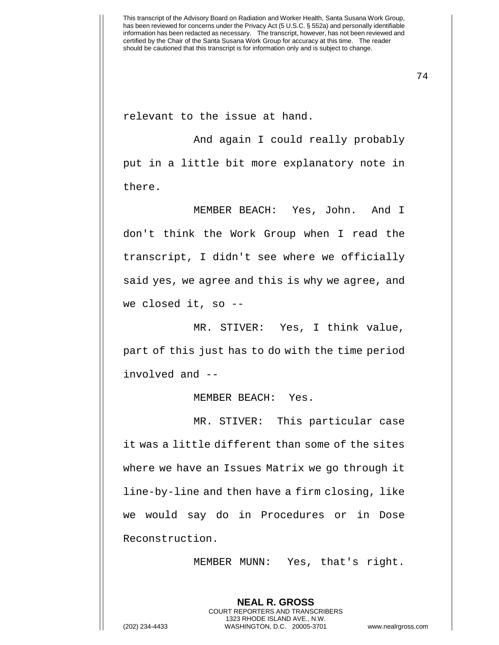relevant to the issue at hand.

And again I could really probably put in a little bit more explanatory note in there.

MEMBER BEACH: Yes, John. And I don't think the Work Group when I read the transcript, I didn't see where we officially said yes, we agree and this is why we agree, and we closed it, so --

MR. STIVER: Yes, I think value, part of this just has to do with the time period involved and --

MEMBER BEACH: Yes.

MR. STIVER: This particular case it was a little different than some of the sites where we have an Issues Matrix we go through it line-by-line and then have a firm closing, like we would say do in Procedures or in Dose Reconstruction.

MEMBER MUNN: Yes, that's right.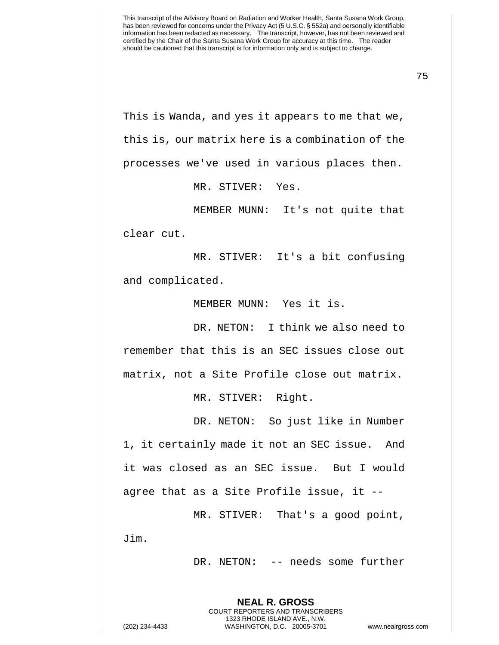This is Wanda, and yes it appears to me that we, this is, our matrix here is a combination of the processes we've used in various places then.

MR. STIVER: Yes.

MEMBER MUNN: It's not quite that clear cut.

MR. STIVER: It's a bit confusing and complicated.

MEMBER MUNN: Yes it is.

DR. NETON: I think we also need to remember that this is an SEC issues close out matrix, not a Site Profile close out matrix.

MR. STIVER: Right.

DR. NETON: So just like in Number 1, it certainly made it not an SEC issue. And it was closed as an SEC issue. But I would agree that as a Site Profile issue, it --

MR. STIVER: That's a good point, Jim.

> **NEAL R. GROSS** COURT REPORTERS AND TRANSCRIBERS 1323 RHODE ISLAND AVE., N.W.

DR. NETON: -- needs some further

(202) 234-4433 WASHINGTON, D.C. 20005-3701 www.nealrgross.com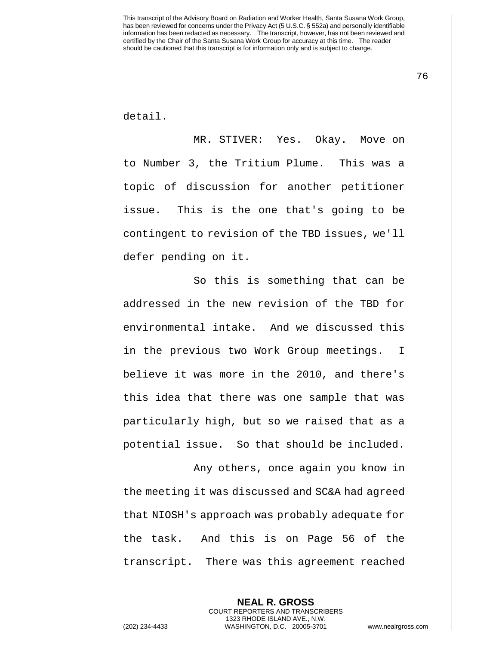76

detail.

MR. STIVER: Yes. Okay. Move on to Number 3, the Tritium Plume. This was a topic of discussion for another petitioner issue. This is the one that's going to be contingent to revision of the TBD issues, we'll defer pending on it.

So this is something that can be addressed in the new revision of the TBD for environmental intake. And we discussed this in the previous two Work Group meetings. I believe it was more in the 2010, and there's this idea that there was one sample that was particularly high, but so we raised that as a potential issue. So that should be included.

Any others, once again you know in the meeting it was discussed and SC&A had agreed that NIOSH's approach was probably adequate for the task. And this is on Page 56 of the transcript. There was this agreement reached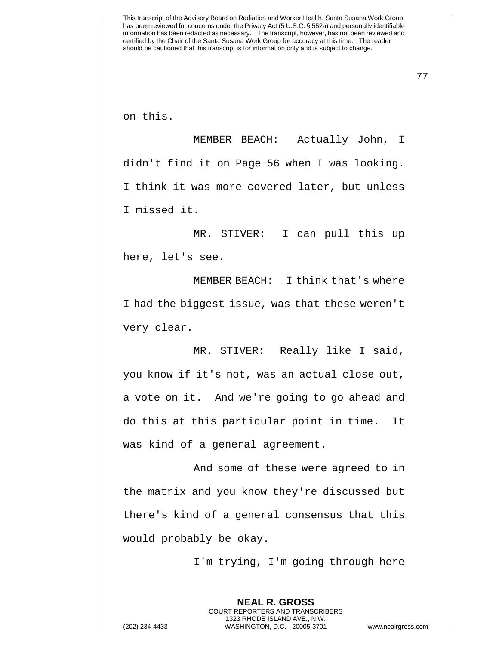on this.

MEMBER BEACH: Actually John, I didn't find it on Page 56 when I was looking. I think it was more covered later, but unless I missed it.

MR. STIVER: I can pull this up here, let's see.

MEMBER BEACH: I think that's where I had the biggest issue, was that these weren't very clear.

MR. STIVER: Really like I said, you know if it's not, was an actual close out, a vote on it. And we're going to go ahead and do this at this particular point in time. It was kind of a general agreement.

And some of these were agreed to in the matrix and you know they're discussed but there's kind of a general consensus that this would probably be okay.

I'm trying, I'm going through here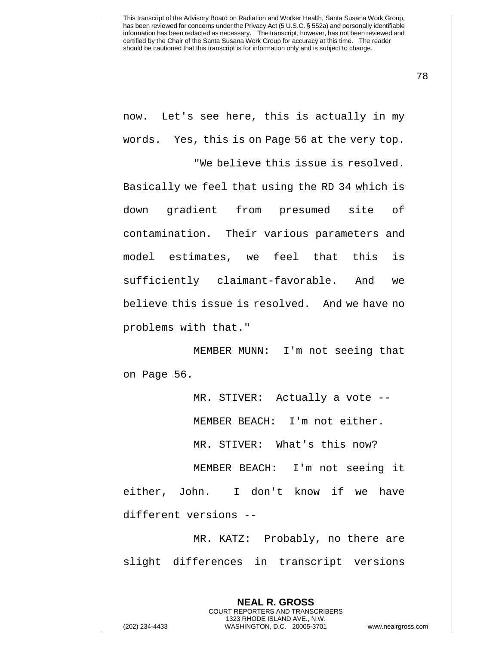78

now. Let's see here, this is actually in my words. Yes, this is on Page 56 at the very top.

"We believe this issue is resolved. Basically we feel that using the RD 34 which is down gradient from presumed site of contamination. Their various parameters and model estimates, we feel that this is sufficiently claimant-favorable. And we believe this issue is resolved. And we have no problems with that."

MEMBER MUNN: I'm not seeing that on Page 56.

MR. STIVER: Actually a vote -- MEMBER BEACH: I'm not either. MR. STIVER: What's this now? MEMBER BEACH: I'm not seeing it either, John. I don't know if we have different versions --

MR. KATZ: Probably, no there are slight differences in transcript versions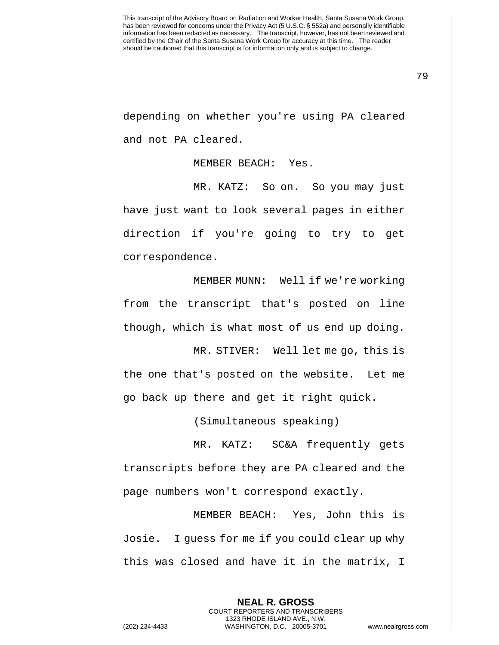79

depending on whether you're using PA cleared and not PA cleared.

MEMBER BEACH: Yes.

MR. KATZ: So on. So you may just have just want to look several pages in either direction if you're going to try to get correspondence.

MEMBER MUNN: Well if we're working from the transcript that's posted on line though, which is what most of us end up doing.

MR. STIVER: Well let me go, this is the one that's posted on the website. Let me go back up there and get it right quick.

(Simultaneous speaking)

MR. KATZ: SC&A frequently gets transcripts before they are PA cleared and the page numbers won't correspond exactly.

MEMBER BEACH: Yes, John this is Josie. I guess for me if you could clear up why this was closed and have it in the matrix, I

> **NEAL R. GROSS** COURT REPORTERS AND TRANSCRIBERS 1323 RHODE ISLAND AVE., N.W.

(202) 234-4433 WASHINGTON, D.C. 20005-3701 www.nealrgross.com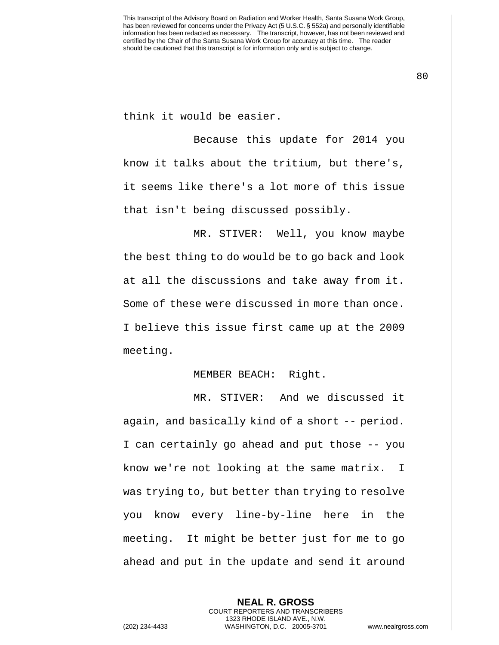think it would be easier.

Because this update for 2014 you know it talks about the tritium, but there's, it seems like there's a lot more of this issue that isn't being discussed possibly.

MR. STIVER: Well, you know maybe the best thing to do would be to go back and look at all the discussions and take away from it. Some of these were discussed in more than once. I believe this issue first came up at the 2009 meeting.

## MEMBER BEACH: Right.

MR. STIVER: And we discussed it again, and basically kind of a short -- period. I can certainly go ahead and put those -- you know we're not looking at the same matrix. I was trying to, but better than trying to resolve you know every line-by-line here in the meeting. It might be better just for me to go ahead and put in the update and send it around

**NEAL R. GROSS** COURT REPORTERS AND TRANSCRIBERS 1323 RHODE ISLAND AVE., N.W. (202) 234-4433 WASHINGTON, D.C. 20005-3701 www.nealrgross.com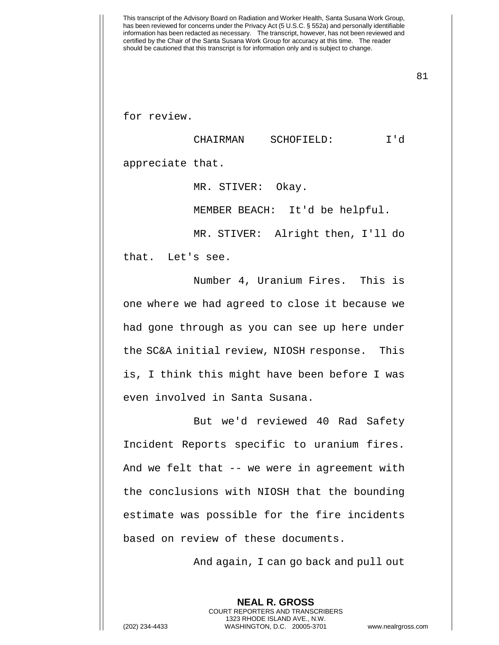for review.

CHAIRMAN SCHOFIELD: I'd

appreciate that.

MR. STIVER: Okay.

MEMBER BEACH: It'd be helpful.

MR. STIVER: Alright then, I'll do that. Let's see.

Number 4, Uranium Fires. This is one where we had agreed to close it because we had gone through as you can see up here under the SC&A initial review, NIOSH response. This is, I think this might have been before I was even involved in Santa Susana.

But we'd reviewed 40 Rad Safety Incident Reports specific to uranium fires. And we felt that -- we were in agreement with the conclusions with NIOSH that the bounding estimate was possible for the fire incidents based on review of these documents.

And again, I can go back and pull out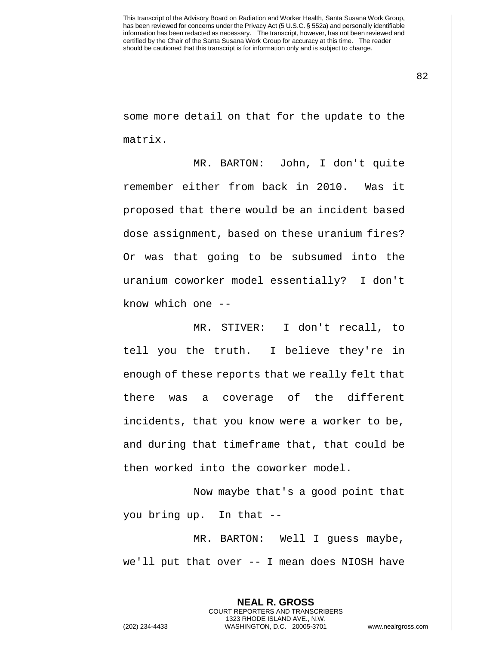82

some more detail on that for the update to the matrix.

MR. BARTON: John, I don't quite remember either from back in 2010. Was it proposed that there would be an incident based dose assignment, based on these uranium fires? Or was that going to be subsumed into the uranium coworker model essentially? I don't know which one --

MR. STIVER: I don't recall, to tell you the truth. I believe they're in enough of these reports that we really felt that there was a coverage of the different incidents, that you know were a worker to be, and during that timeframe that, that could be then worked into the coworker model.

Now maybe that's a good point that you bring up. In that --

MR. BARTON: Well I guess maybe, we'll put that over -- I mean does NIOSH have

**NEAL R. GROSS** COURT REPORTERS AND TRANSCRIBERS 1323 RHODE ISLAND AVE., N.W. (202) 234-4433 WASHINGTON, D.C. 20005-3701 www.nealrgross.com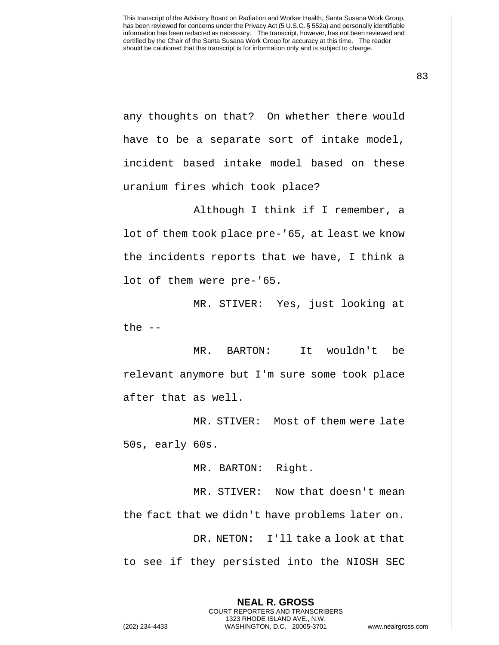83

any thoughts on that? On whether there would have to be a separate sort of intake model, incident based intake model based on these uranium fires which took place?

Although I think if I remember, a lot of them took place pre-'65, at least we know the incidents reports that we have, I think a lot of them were pre-'65.

MR. STIVER: Yes, just looking at the  $--$ 

MR. BARTON: It wouldn't be relevant anymore but I'm sure some took place after that as well.

MR. STIVER: Most of them were late 50s, early 60s.

MR. BARTON: Right.

MR. STIVER: Now that doesn't mean the fact that we didn't have problems later on. DR. NETON: I'll take a look at that to see if they persisted into the NIOSH SEC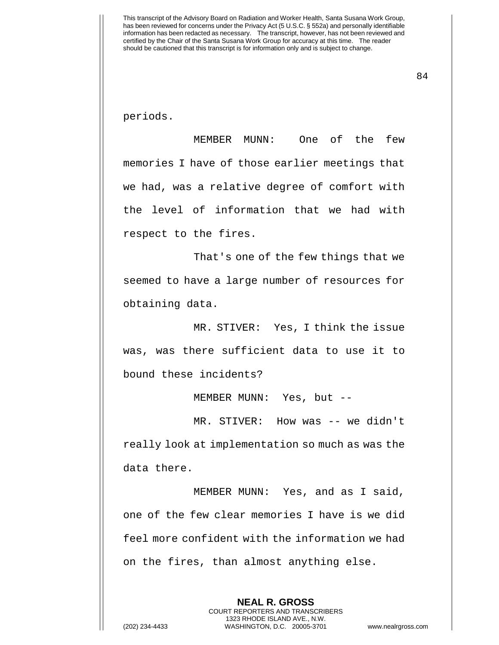84

periods.

MEMBER MUNN: One of the few memories I have of those earlier meetings that we had, was a relative degree of comfort with the level of information that we had with respect to the fires.

That's one of the few things that we seemed to have a large number of resources for obtaining data.

MR. STIVER: Yes, I think the issue was, was there sufficient data to use it to bound these incidents?

MEMBER MUNN: Yes, but --

MR. STIVER: How was -- we didn't really look at implementation so much as was the data there.

MEMBER MUNN: Yes, and as I said, one of the few clear memories I have is we did feel more confident with the information we had on the fires, than almost anything else.

> **NEAL R. GROSS** COURT REPORTERS AND TRANSCRIBERS 1323 RHODE ISLAND AVE., N.W.

(202) 234-4433 WASHINGTON, D.C. 20005-3701 www.nealrgross.com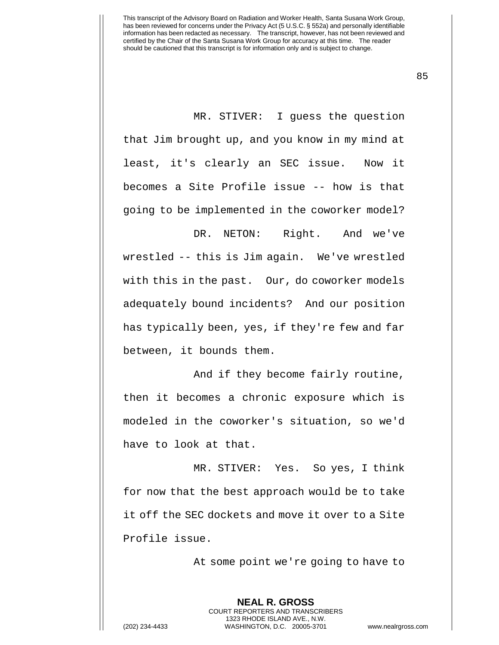MR. STIVER: I guess the question that Jim brought up, and you know in my mind at least, it's clearly an SEC issue. Now it becomes a Site Profile issue -- how is that going to be implemented in the coworker model?

DR. NETON: Right. And we've wrestled -- this is Jim again. We've wrestled with this in the past. Our, do coworker models adequately bound incidents? And our position has typically been, yes, if they're few and far between, it bounds them.

And if they become fairly routine, then it becomes a chronic exposure which is modeled in the coworker's situation, so we'd have to look at that.

MR. STIVER: Yes. So yes, I think for now that the best approach would be to take it off the SEC dockets and move it over to a Site Profile issue.

> **NEAL R. GROSS** COURT REPORTERS AND TRANSCRIBERS 1323 RHODE ISLAND AVE., N.W.

At some point we're going to have to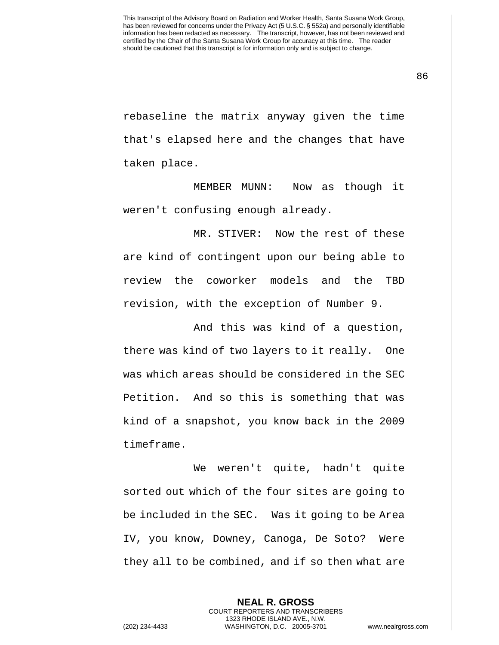86

rebaseline the matrix anyway given the time that's elapsed here and the changes that have taken place.

MEMBER MUNN: Now as though it weren't confusing enough already.

MR. STIVER: Now the rest of these are kind of contingent upon our being able to review the coworker models and the TBD revision, with the exception of Number 9.

And this was kind of a question, there was kind of two layers to it really. One was which areas should be considered in the SEC Petition. And so this is something that was kind of a snapshot, you know back in the 2009 timeframe.

We weren't quite, hadn't quite sorted out which of the four sites are going to be included in the SEC. Was it going to be Area IV, you know, Downey, Canoga, De Soto? Were they all to be combined, and if so then what are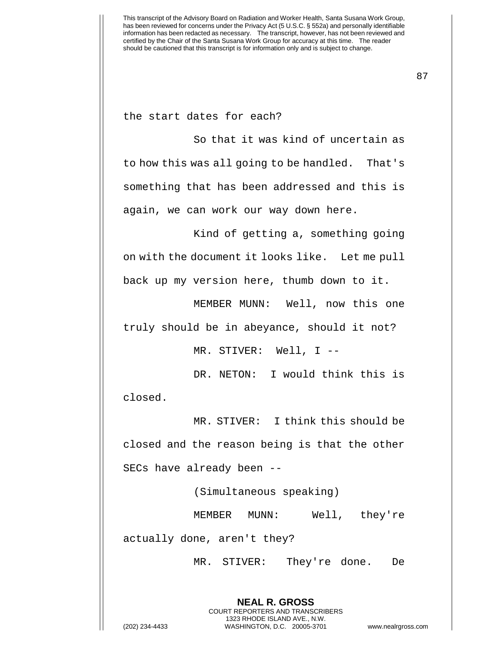the start dates for each?

So that it was kind of uncertain as to how this was all going to be handled. That's something that has been addressed and this is again, we can work our way down here.

Kind of getting a, something going on with the document it looks like. Let me pull back up my version here, thumb down to it.

MEMBER MUNN: Well, now this one truly should be in abeyance, should it not?

MR. STIVER: Well, I --

DR. NETON: I would think this is closed.

MR. STIVER: I think this should be closed and the reason being is that the other SECs have already been --

(Simultaneous speaking)

MEMBER MUNN: Well, they're actually done, aren't they?

MR. STIVER: They're done. De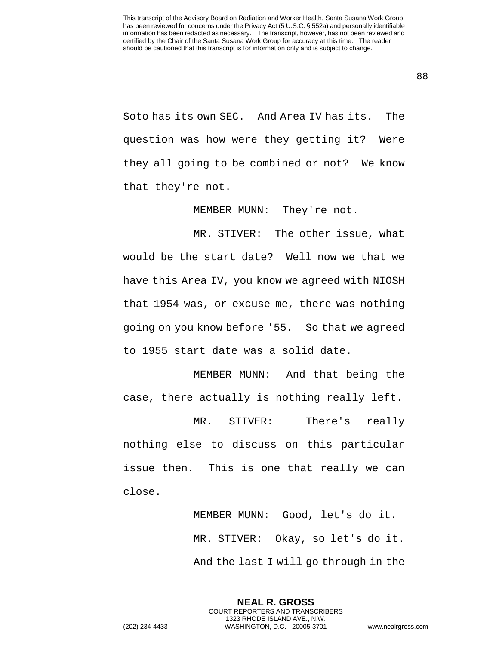88

Soto has its own SEC. And Area IV has its. The question was how were they getting it? Were they all going to be combined or not? We know that they're not.

MEMBER MUNN: They're not.

MR. STIVER: The other issue, what would be the start date? Well now we that we have this Area IV, you know we agreed with NIOSH that 1954 was, or excuse me, there was nothing going on you know before '55. So that we agreed to 1955 start date was a solid date.

MEMBER MUNN: And that being the case, there actually is nothing really left.

MR. STIVER: There's really nothing else to discuss on this particular issue then. This is one that really we can close.

> MEMBER MUNN: Good, let's do it. MR. STIVER: Okay, so let's do it. And the last I will go through in the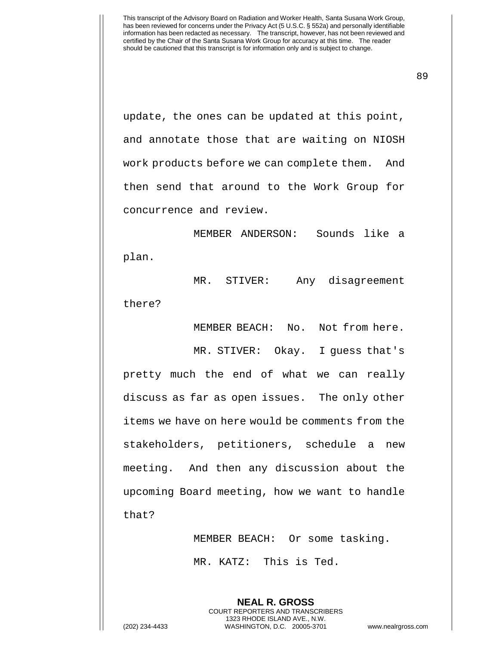89

update, the ones can be updated at this point, and annotate those that are waiting on NIOSH work products before we can complete them. And then send that around to the Work Group for concurrence and review.

MEMBER ANDERSON: Sounds like a plan.

MR. STIVER: Any disagreement there?

MEMBER BEACH: No. Not from here.

MR. STIVER: Okay. I guess that's pretty much the end of what we can really discuss as far as open issues. The only other items we have on here would be comments from the stakeholders, petitioners, schedule a new meeting. And then any discussion about the upcoming Board meeting, how we want to handle that?

MEMBER BEACH: Or some tasking.

MR. KATZ: This is Ted.

**NEAL R. GROSS** COURT REPORTERS AND TRANSCRIBERS 1323 RHODE ISLAND AVE., N.W. (202) 234-4433 WASHINGTON, D.C. 20005-3701 www.nealrgross.com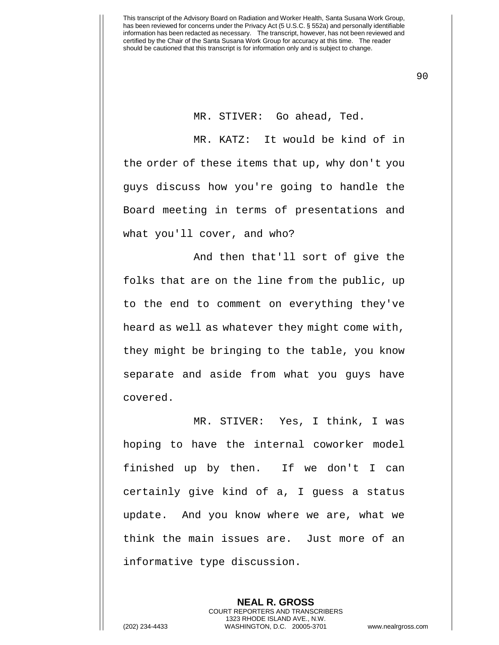MR. STIVER: Go ahead, Ted.

MR. KATZ: It would be kind of in the order of these items that up, why don't you guys discuss how you're going to handle the Board meeting in terms of presentations and what you'll cover, and who?

And then that'll sort of give the folks that are on the line from the public, up to the end to comment on everything they've heard as well as whatever they might come with, they might be bringing to the table, you know separate and aside from what you guys have covered.

MR. STIVER: Yes, I think, I was hoping to have the internal coworker model finished up by then. If we don't I can certainly give kind of a, I guess a status update. And you know where we are, what we think the main issues are. Just more of an informative type discussion.

**NEAL R. GROSS** COURT REPORTERS AND TRANSCRIBERS 1323 RHODE ISLAND AVE., N.W. (202) 234-4433 WASHINGTON, D.C. 20005-3701 www.nealrgross.com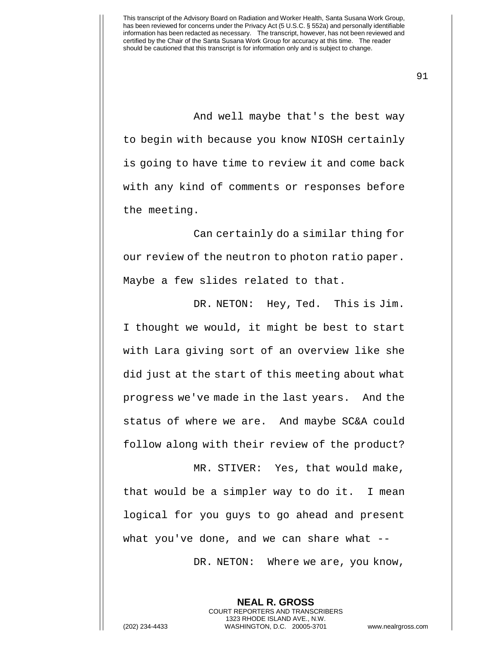91

And well maybe that's the best way to begin with because you know NIOSH certainly is going to have time to review it and come back with any kind of comments or responses before the meeting.

Can certainly do a similar thing for our review of the neutron to photon ratio paper. Maybe a few slides related to that.

DR. NETON: Hey, Ted. This is Jim. I thought we would, it might be best to start with Lara giving sort of an overview like she did just at the start of this meeting about what progress we've made in the last years. And the status of where we are. And maybe SC&A could follow along with their review of the product?

MR. STIVER: Yes, that would make, that would be a simpler way to do it. I mean logical for you guys to go ahead and present what you've done, and we can share what --

DR. NETON: Where we are, you know,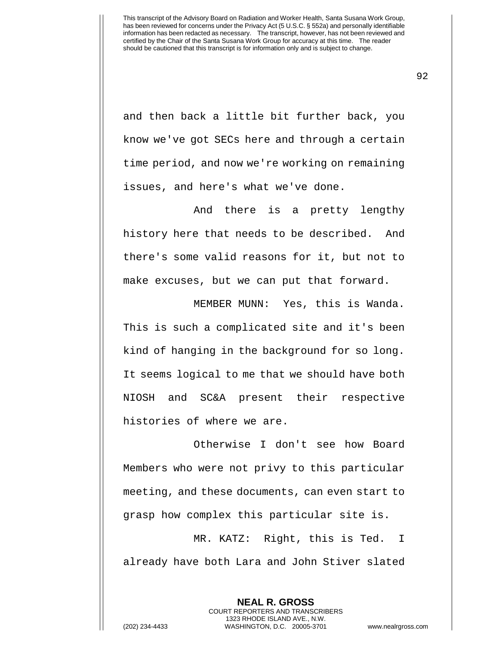and then back a little bit further back, you know we've got SECs here and through a certain time period, and now we're working on remaining issues, and here's what we've done.

And there is a pretty lengthy history here that needs to be described. And there's some valid reasons for it, but not to make excuses, but we can put that forward.

MEMBER MUNN: Yes, this is Wanda. This is such a complicated site and it's been kind of hanging in the background for so long. It seems logical to me that we should have both NIOSH and SC&A present their respective histories of where we are.

Otherwise I don't see how Board Members who were not privy to this particular meeting, and these documents, can even start to grasp how complex this particular site is.

MR. KATZ: Right, this is Ted. I already have both Lara and John Stiver slated

**NEAL R. GROSS** COURT REPORTERS AND TRANSCRIBERS 1323 RHODE ISLAND AVE., N.W. (202) 234-4433 WASHINGTON, D.C. 20005-3701 www.nealrgross.com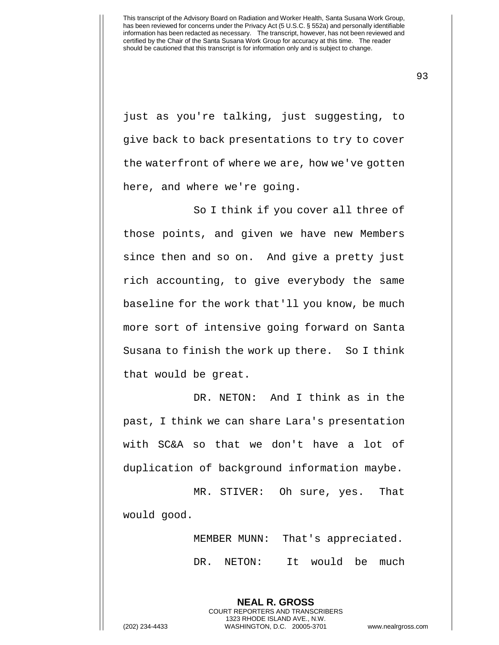93

just as you're talking, just suggesting, to give back to back presentations to try to cover the waterfront of where we are, how we've gotten here, and where we're going.

So I think if you cover all three of those points, and given we have new Members since then and so on. And give a pretty just rich accounting, to give everybody the same baseline for the work that'll you know, be much more sort of intensive going forward on Santa Susana to finish the work up there. So I think that would be great.

DR. NETON: And I think as in the past, I think we can share Lara's presentation with SC&A so that we don't have a lot of duplication of background information maybe.

MR. STIVER: Oh sure, yes. That would good.

> **NEAL R. GROSS** COURT REPORTERS AND TRANSCRIBERS 1323 RHODE ISLAND AVE., N.W.

MEMBER MUNN: That's appreciated. DR. NETON: It would be much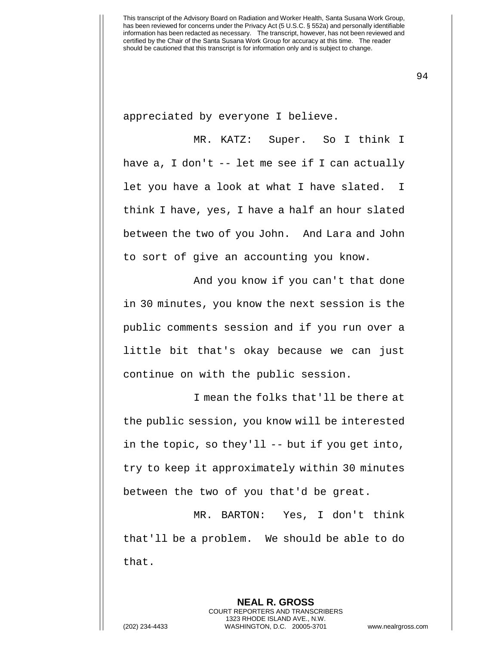appreciated by everyone I believe.

MR. KATZ: Super. So I think I have a, I don't -- let me see if I can actually let you have a look at what I have slated. I think I have, yes, I have a half an hour slated between the two of you John. And Lara and John to sort of give an accounting you know.

And you know if you can't that done in 30 minutes, you know the next session is the public comments session and if you run over a little bit that's okay because we can just continue on with the public session.

I mean the folks that'll be there at the public session, you know will be interested in the topic, so they'll -- but if you get into, try to keep it approximately within 30 minutes between the two of you that'd be great.

MR. BARTON: Yes, I don't think that'll be a problem. We should be able to do that.

**NEAL R. GROSS**

COURT REPORTERS AND TRANSCRIBERS 1323 RHODE ISLAND AVE., N.W. (202) 234-4433 WASHINGTON, D.C. 20005-3701 www.nealrgross.com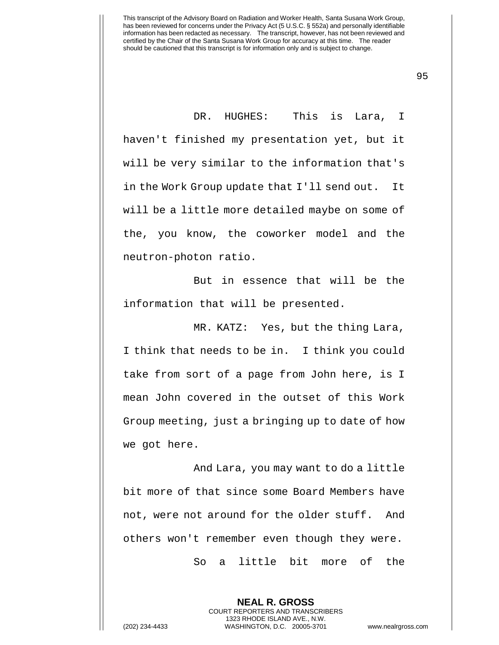DR. HUGHES: This is Lara, I haven't finished my presentation yet, but it will be very similar to the information that's in the Work Group update that I'll send out. It will be a little more detailed maybe on some of the, you know, the coworker model and the neutron-photon ratio.

But in essence that will be the information that will be presented.

MR. KATZ: Yes, but the thing Lara, I think that needs to be in. I think you could take from sort of a page from John here, is I mean John covered in the outset of this Work Group meeting, just a bringing up to date of how we got here.

And Lara, you may want to do a little bit more of that since some Board Members have not, were not around for the older stuff. And others won't remember even though they were. So a little bit more of the

**NEAL R. GROSS** COURT REPORTERS AND TRANSCRIBERS 1323 RHODE ISLAND AVE., N.W. (202) 234-4433 WASHINGTON, D.C. 20005-3701 www.nealrgross.com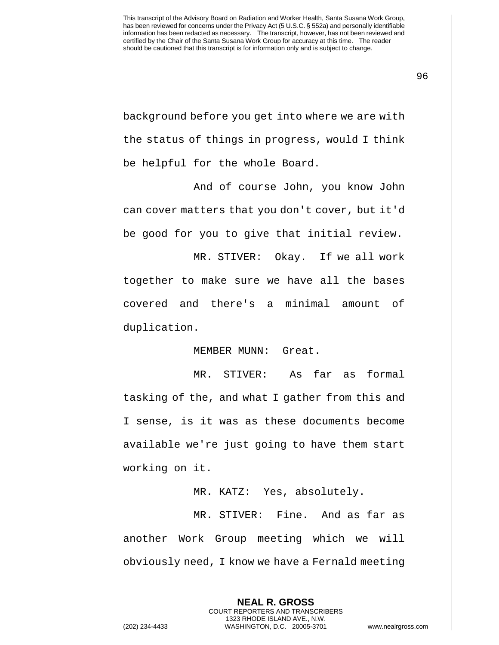background before you get into where we are with the status of things in progress, would I think be helpful for the whole Board.

And of course John, you know John can cover matters that you don't cover, but it'd be good for you to give that initial review.

MR. STIVER: Okay. If we all work together to make sure we have all the bases covered and there's a minimal amount of duplication.

MEMBER MUNN: Great.

MR. STIVER: As far as formal tasking of the, and what I gather from this and I sense, is it was as these documents become available we're just going to have them start working on it.

MR. KATZ: Yes, absolutely.

MR. STIVER: Fine. And as far as another Work Group meeting which we will obviously need, I know we have a Fernald meeting

> **NEAL R. GROSS** COURT REPORTERS AND TRANSCRIBERS 1323 RHODE ISLAND AVE., N.W.

(202) 234-4433 WASHINGTON, D.C. 20005-3701 www.nealrgross.com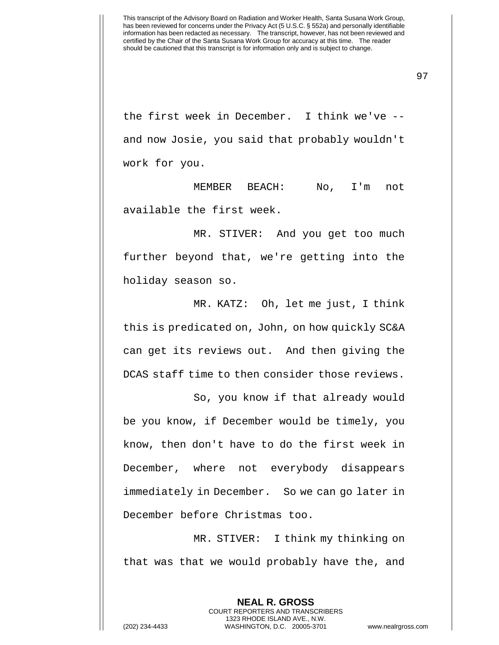97

the first week in December. I think we've - and now Josie, you said that probably wouldn't work for you.

MEMBER BEACH: No, I'm not available the first week.

MR. STIVER: And you get too much further beyond that, we're getting into the holiday season so.

MR. KATZ: Oh, let me just, I think this is predicated on, John, on how quickly SC&A can get its reviews out. And then giving the DCAS staff time to then consider those reviews.

So, you know if that already would be you know, if December would be timely, you know, then don't have to do the first week in December, where not everybody disappears immediately in December. So we can go later in December before Christmas too.

MR. STIVER: I think my thinking on that was that we would probably have the, and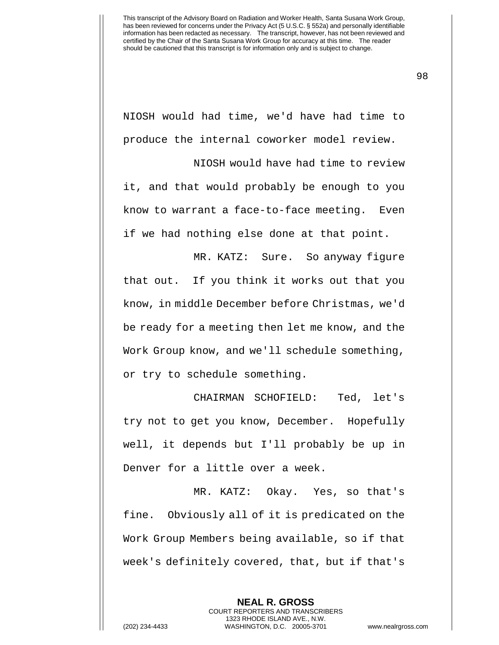NIOSH would had time, we'd have had time to produce the internal coworker model review.

NIOSH would have had time to review it, and that would probably be enough to you know to warrant a face-to-face meeting. Even if we had nothing else done at that point.

MR. KATZ: Sure. So anyway figure that out. If you think it works out that you know, in middle December before Christmas, we'd be ready for a meeting then let me know, and the Work Group know, and we'll schedule something, or try to schedule something.

CHAIRMAN SCHOFIELD: Ted, let's try not to get you know, December. Hopefully well, it depends but I'll probably be up in Denver for a little over a week.

MR. KATZ: Okay. Yes, so that's fine. Obviously all of it is predicated on the Work Group Members being available, so if that week's definitely covered, that, but if that's

> **NEAL R. GROSS** COURT REPORTERS AND TRANSCRIBERS 1323 RHODE ISLAND AVE., N.W.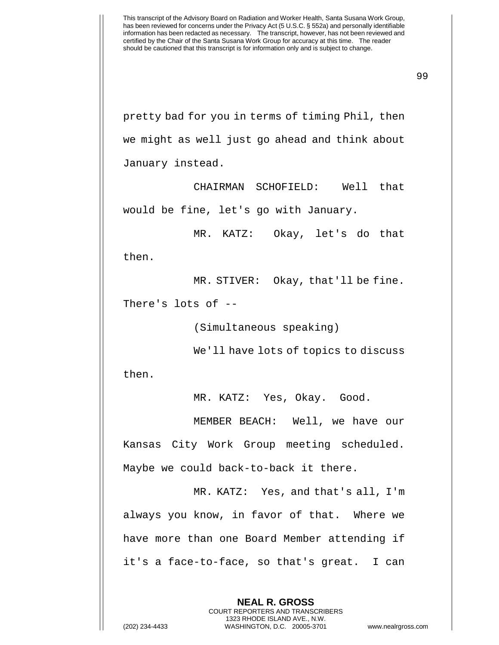99

pretty bad for you in terms of timing Phil, then we might as well just go ahead and think about January instead.

CHAIRMAN SCHOFIELD: Well that would be fine, let's go with January.

MR. KATZ: Okay, let's do that

then.

MR. STIVER: Okay, that'll be fine.

There's lots of --

(Simultaneous speaking)

We'll have lots of topics to discuss

then.

MR. KATZ: Yes, Okay. Good.

MEMBER BEACH: Well, we have our Kansas City Work Group meeting scheduled. Maybe we could back-to-back it there.

MR. KATZ: Yes, and that's all, I'm always you know, in favor of that. Where we have more than one Board Member attending if it's a face-to-face, so that's great. I can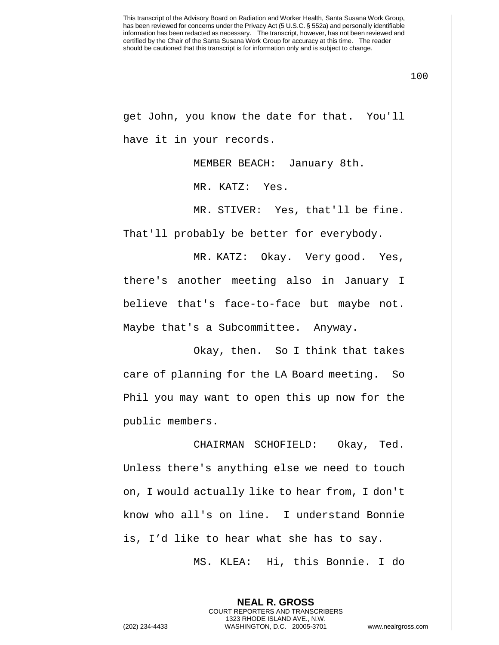100

get John, you know the date for that. You'll have it in your records.

MEMBER BEACH: January 8th.

MR. KATZ: Yes.

MR. STIVER: Yes, that'll be fine.

That'll probably be better for everybody.

MR. KATZ: Okay. Very good. Yes, there's another meeting also in January I believe that's face-to-face but maybe not. Maybe that's a Subcommittee. Anyway.

Okay, then. So I think that takes care of planning for the LA Board meeting. So Phil you may want to open this up now for the public members.

CHAIRMAN SCHOFIELD: Okay, Ted. Unless there's anything else we need to touch on, I would actually like to hear from, I don't know who all's on line. I understand Bonnie is, I'd like to hear what she has to say.

MS. KLEA: Hi, this Bonnie. I do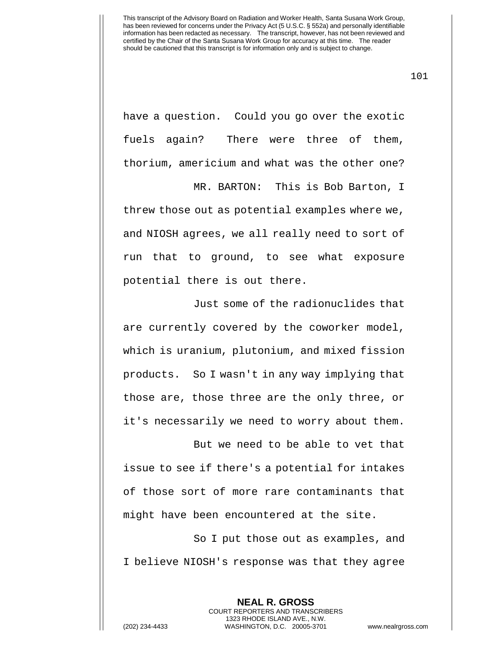101

have a question. Could you go over the exotic fuels again? There were three of them, thorium, americium and what was the other one?

MR. BARTON: This is Bob Barton, I

threw those out as potential examples where we, and NIOSH agrees, we all really need to sort of run that to ground, to see what exposure potential there is out there.

Just some of the radionuclides that are currently covered by the coworker model, which is uranium, plutonium, and mixed fission products. So I wasn't in any way implying that those are, those three are the only three, or it's necessarily we need to worry about them.

But we need to be able to vet that issue to see if there's a potential for intakes of those sort of more rare contaminants that might have been encountered at the site.

So I put those out as examples, and I believe NIOSH's response was that they agree

**NEAL R. GROSS** COURT REPORTERS AND TRANSCRIBERS 1323 RHODE ISLAND AVE., N.W. (202) 234-4433 WASHINGTON, D.C. 20005-3701 www.nealrgross.com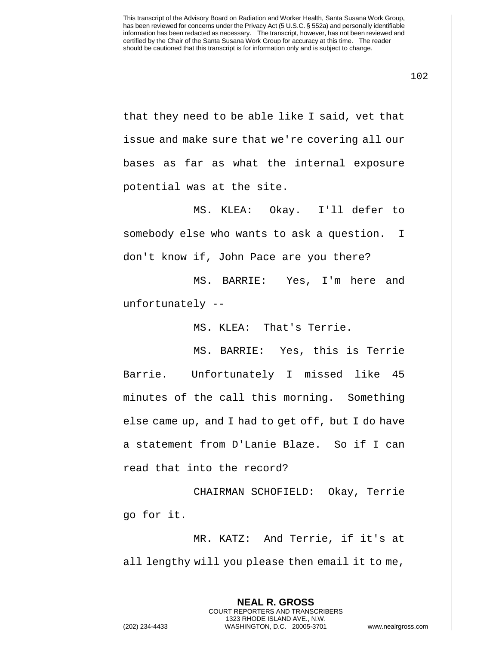that they need to be able like I said, vet that issue and make sure that we're covering all our bases as far as what the internal exposure potential was at the site.

MS. KLEA: Okay. I'll defer to somebody else who wants to ask a question. I don't know if, John Pace are you there?

MS. BARRIE: Yes, I'm here and unfortunately --

MS. KLEA: That's Terrie.

MS. BARRIE: Yes, this is Terrie Barrie. Unfortunately I missed like 45 minutes of the call this morning. Something else came up, and I had to get off, but I do have a statement from D'Lanie Blaze. So if I can read that into the record?

CHAIRMAN SCHOFIELD: Okay, Terrie go for it.

MR. KATZ: And Terrie, if it's at all lengthy will you please then email it to me,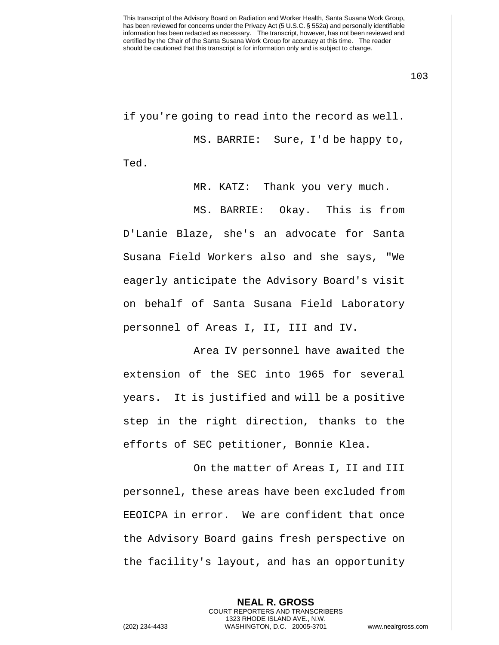103

if you're going to read into the record as well. MS. BARRIE: Sure, I'd be happy to, Ted.

MR. KATZ: Thank you very much.

MS. BARRIE: Okay. This is from D'Lanie Blaze, she's an advocate for Santa Susana Field Workers also and she says, "We eagerly anticipate the Advisory Board's visit on behalf of Santa Susana Field Laboratory personnel of Areas I, II, III and IV.

Area IV personnel have awaited the extension of the SEC into 1965 for several years. It is justified and will be a positive step in the right direction, thanks to the efforts of SEC petitioner, Bonnie Klea.

On the matter of Areas I, II and III personnel, these areas have been excluded from EEOICPA in error. We are confident that once the Advisory Board gains fresh perspective on the facility's layout, and has an opportunity

**NEAL R. GROSS**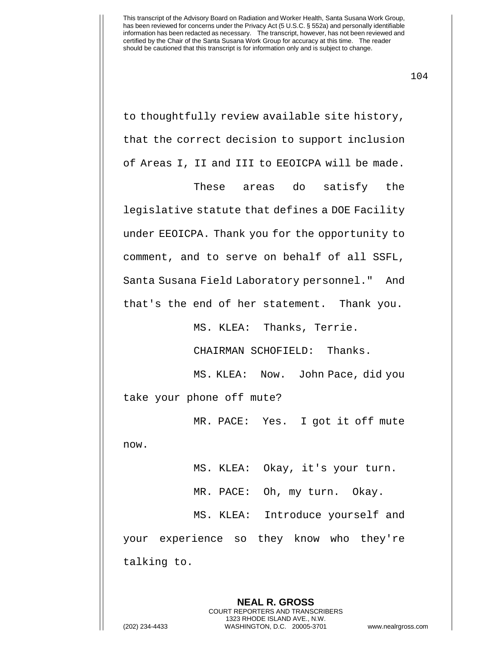to thoughtfully review available site history, that the correct decision to support inclusion of Areas I, II and III to EEOICPA will be made.

These areas do satisfy the legislative statute that defines a DOE Facility under EEOICPA. Thank you for the opportunity to comment, and to serve on behalf of all SSFL, Santa Susana Field Laboratory personnel." And that's the end of her statement. Thank you.

MS. KLEA: Thanks, Terrie.

CHAIRMAN SCHOFIELD: Thanks.

MS. KLEA: Now. John Pace, did you take your phone off mute?

MR. PACE: Yes. I got it off mute now.

MS. KLEA: Okay, it's your turn. MR. PACE: Oh, my turn. Okay. MS. KLEA: Introduce yourself and your experience so they know who they're talking to.

> **NEAL R. GROSS** COURT REPORTERS AND TRANSCRIBERS 1323 RHODE ISLAND AVE., N.W.

(202) 234-4433 WASHINGTON, D.C. 20005-3701 www.nealrgross.com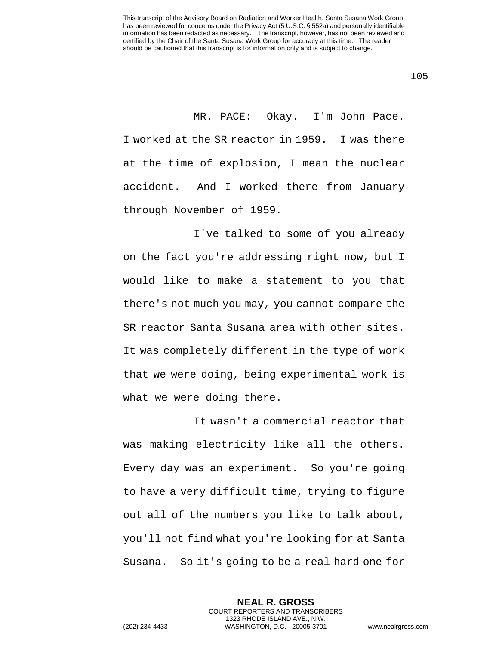MR. PACE: Okay. I'm John Pace. I worked at the SR reactor in 1959. I was there at the time of explosion, I mean the nuclear accident. And I worked there from January through November of 1959.

I've talked to some of you already on the fact you're addressing right now, but I would like to make a statement to you that there's not much you may, you cannot compare the SR reactor Santa Susana area with other sites. It was completely different in the type of work that we were doing, being experimental work is what we were doing there.

It wasn't a commercial reactor that was making electricity like all the others. Every day was an experiment. So you're going to have a very difficult time, trying to figure out all of the numbers you like to talk about, you'll not find what you're looking for at Santa Susana. So it's going to be a real hard one for

> **NEAL R. GROSS** COURT REPORTERS AND TRANSCRIBERS 1323 RHODE ISLAND AVE., N.W.

(202) 234-4433 WASHINGTON, D.C. 20005-3701 www.nealrgross.com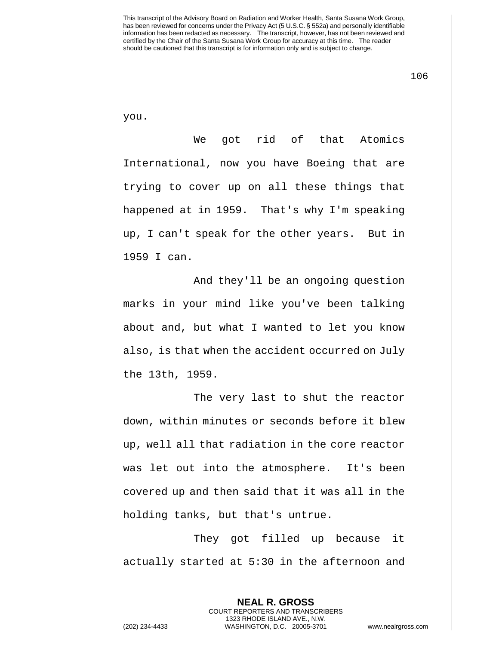106

you.

We got rid of that Atomics International, now you have Boeing that are trying to cover up on all these things that happened at in 1959. That's why I'm speaking up, I can't speak for the other years. But in 1959 I can.

And they'll be an ongoing question marks in your mind like you've been talking about and, but what I wanted to let you know also, is that when the accident occurred on July the 13th, 1959.

The very last to shut the reactor down, within minutes or seconds before it blew up, well all that radiation in the core reactor was let out into the atmosphere. It's been covered up and then said that it was all in the holding tanks, but that's untrue.

They got filled up because it actually started at 5:30 in the afternoon and

**NEAL R. GROSS**

COURT REPORTERS AND TRANSCRIBERS 1323 RHODE ISLAND AVE., N.W. (202) 234-4433 WASHINGTON, D.C. 20005-3701 www.nealrgross.com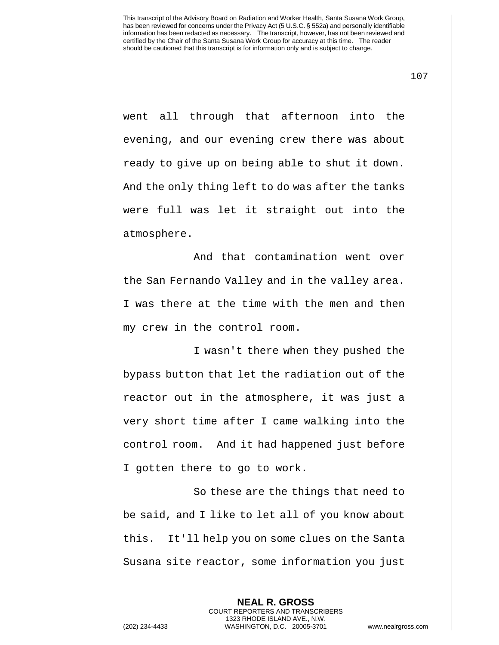107

went all through that afternoon into the evening, and our evening crew there was about ready to give up on being able to shut it down. And the only thing left to do was after the tanks were full was let it straight out into the atmosphere.

And that contamination went over the San Fernando Valley and in the valley area. I was there at the time with the men and then my crew in the control room.

I wasn't there when they pushed the bypass button that let the radiation out of the reactor out in the atmosphere, it was just a very short time after I came walking into the control room. And it had happened just before I gotten there to go to work.

So these are the things that need to be said, and I like to let all of you know about this. It'll help you on some clues on the Santa Susana site reactor, some information you just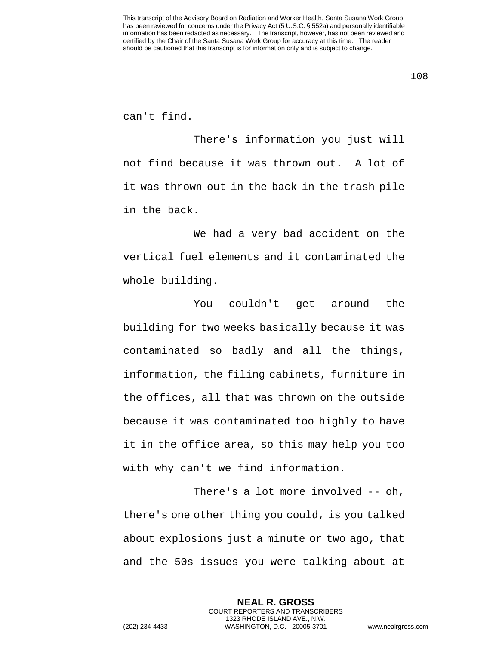108

can't find.

There's information you just will not find because it was thrown out. A lot of it was thrown out in the back in the trash pile in the back.

We had a very bad accident on the vertical fuel elements and it contaminated the whole building.

You couldn't get around the building for two weeks basically because it was contaminated so badly and all the things, information, the filing cabinets, furniture in the offices, all that was thrown on the outside because it was contaminated too highly to have it in the office area, so this may help you too with why can't we find information.

There's a lot more involved -- oh, there's one other thing you could, is you talked about explosions just a minute or two ago, that and the 50s issues you were talking about at

> **NEAL R. GROSS** COURT REPORTERS AND TRANSCRIBERS 1323 RHODE ISLAND AVE., N.W.

(202) 234-4433 WASHINGTON, D.C. 20005-3701 www.nealrgross.com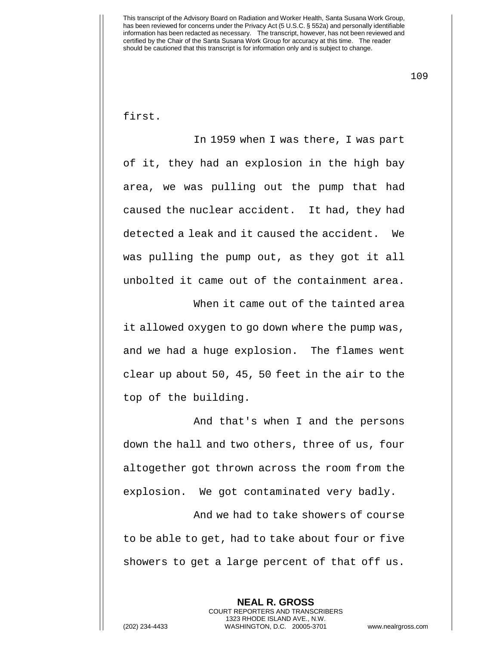109

first.

In 1959 when I was there, I was part of it, they had an explosion in the high bay area, we was pulling out the pump that had caused the nuclear accident. It had, they had detected a leak and it caused the accident. We was pulling the pump out, as they got it all unbolted it came out of the containment area.

When it came out of the tainted area it allowed oxygen to go down where the pump was, and we had a huge explosion. The flames went clear up about 50, 45, 50 feet in the air to the top of the building.

And that's when I and the persons down the hall and two others, three of us, four altogether got thrown across the room from the explosion. We got contaminated very badly.

And we had to take showers of course to be able to get, had to take about four or five showers to get a large percent of that off us.

> **NEAL R. GROSS** COURT REPORTERS AND TRANSCRIBERS 1323 RHODE ISLAND AVE., N.W.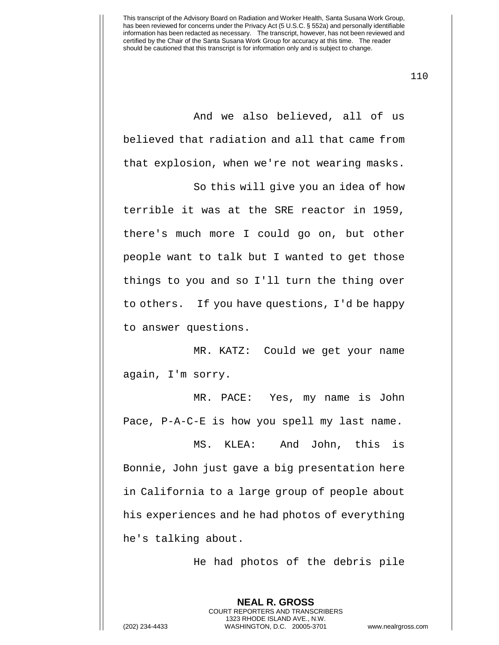110

And we also believed, all of us believed that radiation and all that came from that explosion, when we're not wearing masks.

So this will give you an idea of how

terrible it was at the SRE reactor in 1959, there's much more I could go on, but other people want to talk but I wanted to get those things to you and so I'll turn the thing over to others. If you have questions, I'd be happy to answer questions.

MR. KATZ: Could we get your name again, I'm sorry.

MR. PACE: Yes, my name is John Pace, P-A-C-E is how you spell my last name.

MS. KLEA: And John, this is Bonnie, John just gave a big presentation here in California to a large group of people about his experiences and he had photos of everything he's talking about.

He had photos of the debris pile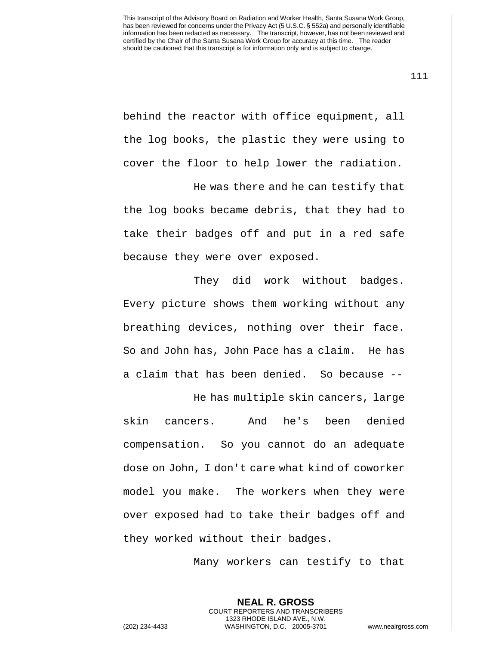behind the reactor with office equipment, all the log books, the plastic they were using to cover the floor to help lower the radiation.

He was there and he can testify that the log books became debris, that they had to take their badges off and put in a red safe because they were over exposed.

They did work without badges. Every picture shows them working without any breathing devices, nothing over their face. So and John has, John Pace has a claim. He has a claim that has been denied. So because --

He has multiple skin cancers, large skin cancers. And he's been denied compensation. So you cannot do an adequate dose on John, I don't care what kind of coworker model you make. The workers when they were over exposed had to take their badges off and they worked without their badges.

Many workers can testify to that

**NEAL R. GROSS**

111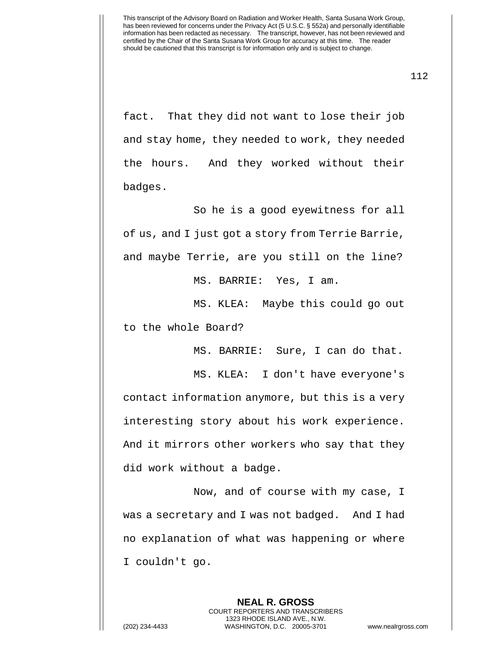fact. That they did not want to lose their job and stay home, they needed to work, they needed the hours. And they worked without their badges.

So he is a good eyewitness for all of us, and I just got a story from Terrie Barrie, and maybe Terrie, are you still on the line?

MS. BARRIE: Yes, I am.

MS. KLEA: Maybe this could go out to the whole Board?

MS. BARRIE: Sure, I can do that.

MS. KLEA: I don't have everyone's contact information anymore, but this is a very interesting story about his work experience. And it mirrors other workers who say that they did work without a badge.

Now, and of course with my case, I was a secretary and I was not badged. And I had no explanation of what was happening or where I couldn't go.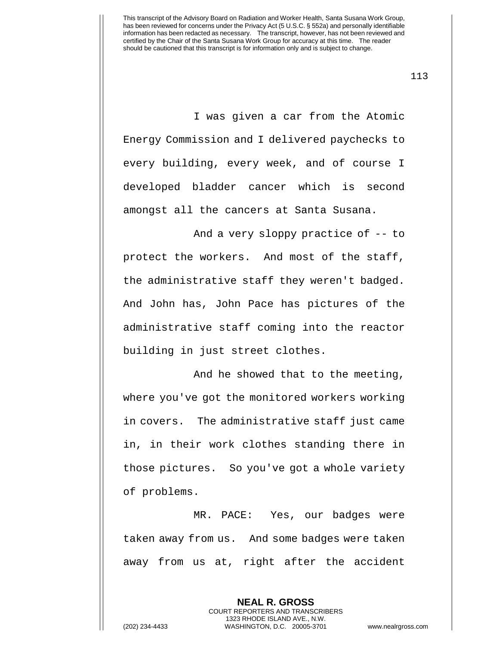113

I was given a car from the Atomic Energy Commission and I delivered paychecks to every building, every week, and of course I developed bladder cancer which is second amongst all the cancers at Santa Susana.

And a very sloppy practice of -- to protect the workers. And most of the staff, the administrative staff they weren't badged. And John has, John Pace has pictures of the administrative staff coming into the reactor building in just street clothes.

And he showed that to the meeting, where you've got the monitored workers working in covers. The administrative staff just came in, in their work clothes standing there in those pictures. So you've got a whole variety of problems.

MR. PACE: Yes, our badges were taken away from us. And some badges were taken away from us at, right after the accident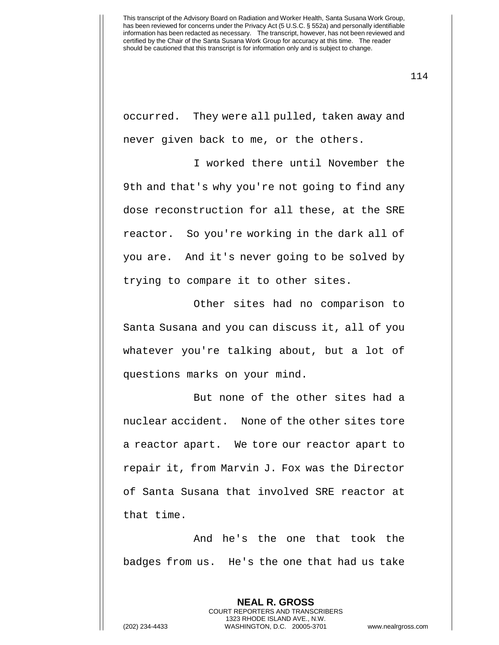occurred. They were all pulled, taken away and never given back to me, or the others.

I worked there until November the 9th and that's why you're not going to find any dose reconstruction for all these, at the SRE reactor. So you're working in the dark all of you are. And it's never going to be solved by trying to compare it to other sites.

Other sites had no comparison to Santa Susana and you can discuss it, all of you whatever you're talking about, but a lot of questions marks on your mind.

But none of the other sites had a nuclear accident. None of the other sites tore a reactor apart. We tore our reactor apart to repair it, from Marvin J. Fox was the Director of Santa Susana that involved SRE reactor at that time.

And he's the one that took the badges from us. He's the one that had us take

**NEAL R. GROSS**

COURT REPORTERS AND TRANSCRIBERS 1323 RHODE ISLAND AVE., N.W. (202) 234-4433 WASHINGTON, D.C. 20005-3701 www.nealrgross.com

114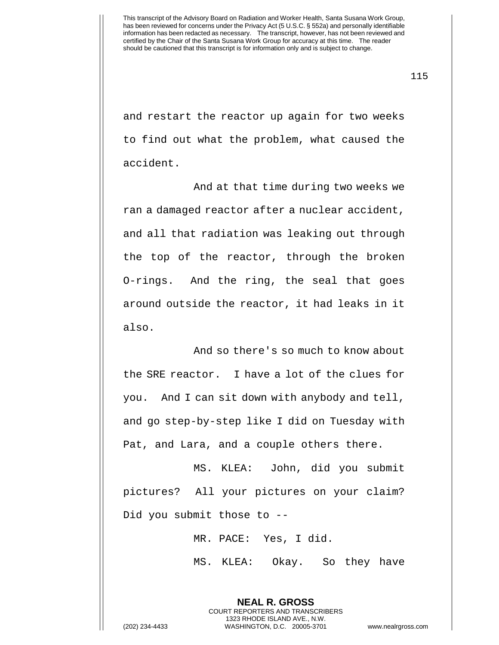115

and restart the reactor up again for two weeks to find out what the problem, what caused the accident.

And at that time during two weeks we ran a damaged reactor after a nuclear accident, and all that radiation was leaking out through the top of the reactor, through the broken O-rings. And the ring, the seal that goes around outside the reactor, it had leaks in it also.

And so there's so much to know about the SRE reactor. I have a lot of the clues for you. And I can sit down with anybody and tell, and go step-by-step like I did on Tuesday with Pat, and Lara, and a couple others there.

MS. KLEA: John, did you submit pictures? All your pictures on your claim? Did you submit those to --

MR. PACE: Yes, I did.

**NEAL R. GROSS** COURT REPORTERS AND TRANSCRIBERS 1323 RHODE ISLAND AVE., N.W.

MS. KLEA: Okay. So they have

(202) 234-4433 WASHINGTON, D.C. 20005-3701 www.nealrgross.com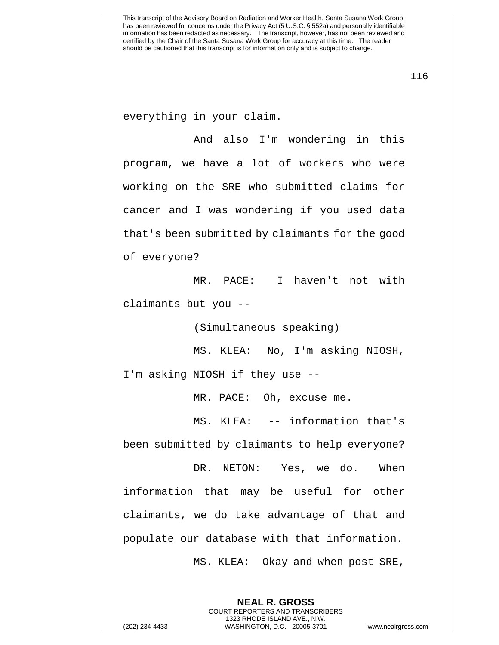everything in your claim.

And also I'm wondering in this program, we have a lot of workers who were working on the SRE who submitted claims for cancer and I was wondering if you used data that's been submitted by claimants for the good of everyone?

MR. PACE: I haven't not with claimants but you --

(Simultaneous speaking)

MS. KLEA: No, I'm asking NIOSH,

I'm asking NIOSH if they use --

MR. PACE: Oh, excuse me.

MS. KLEA: -- information that's been submitted by claimants to help everyone?

DR. NETON: Yes, we do. When information that may be useful for other claimants, we do take advantage of that and populate our database with that information.

MS. KLEA: Okay and when post SRE,

**NEAL R. GROSS** COURT REPORTERS AND TRANSCRIBERS 1323 RHODE ISLAND AVE., N.W.

(202) 234-4433 WASHINGTON, D.C. 20005-3701 www.nealrgross.com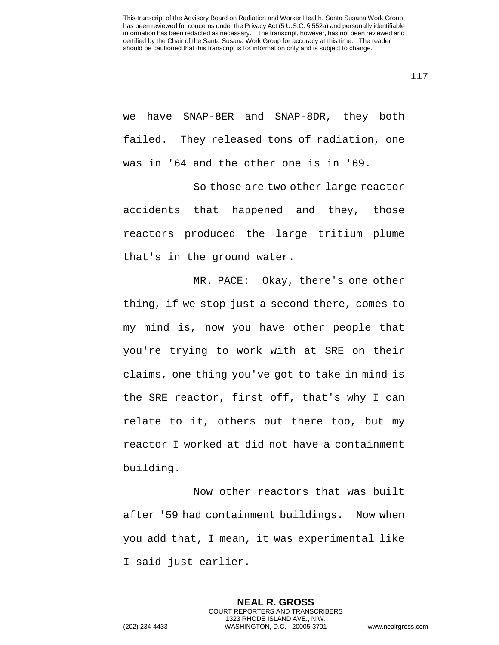we have SNAP-8ER and SNAP-8DR, they both failed. They released tons of radiation, one was in '64 and the other one is in '69.

So those are two other large reactor accidents that happened and they, those reactors produced the large tritium plume that's in the ground water.

MR. PACE: Okay, there's one other thing, if we stop just a second there, comes to my mind is, now you have other people that you're trying to work with at SRE on their claims, one thing you've got to take in mind is the SRE reactor, first off, that's why I can relate to it, others out there too, but my reactor I worked at did not have a containment building.

Now other reactors that was built after '59 had containment buildings. Now when you add that, I mean, it was experimental like I said just earlier.

> **NEAL R. GROSS** COURT REPORTERS AND TRANSCRIBERS 1323 RHODE ISLAND AVE., N.W.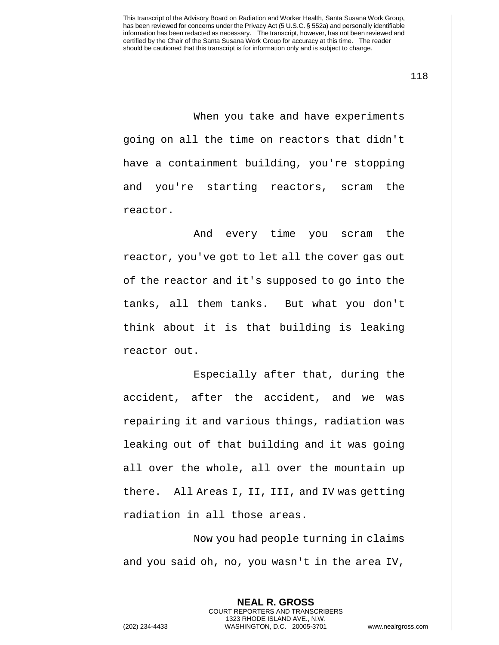118

When you take and have experiments going on all the time on reactors that didn't have a containment building, you're stopping and you're starting reactors, scram the reactor.

And every time you scram the reactor, you've got to let all the cover gas out of the reactor and it's supposed to go into the tanks, all them tanks. But what you don't think about it is that building is leaking reactor out.

Especially after that, during the accident, after the accident, and we was repairing it and various things, radiation was leaking out of that building and it was going all over the whole, all over the mountain up there. All Areas I, II, III, and IV was getting radiation in all those areas.

Now you had people turning in claims and you said oh, no, you wasn't in the area IV,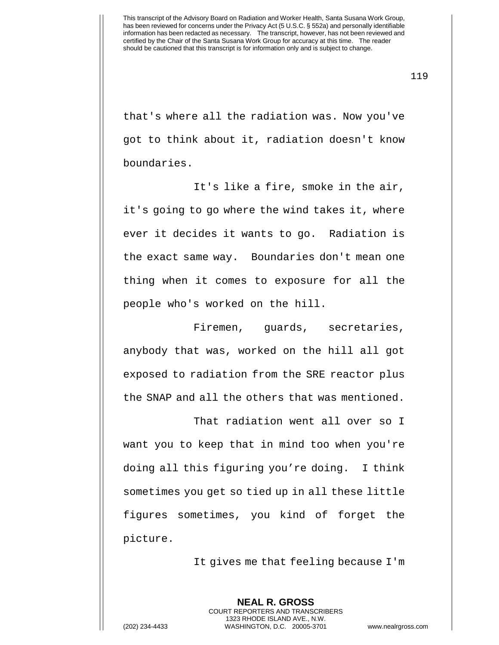119

that's where all the radiation was. Now you've got to think about it, radiation doesn't know boundaries.

It's like a fire, smoke in the air, it's going to go where the wind takes it, where ever it decides it wants to go. Radiation is the exact same way. Boundaries don't mean one thing when it comes to exposure for all the people who's worked on the hill.

Firemen, guards, secretaries, anybody that was, worked on the hill all got exposed to radiation from the SRE reactor plus the SNAP and all the others that was mentioned.

That radiation went all over so I want you to keep that in mind too when you're doing all this figuring you're doing. I think sometimes you get so tied up in all these little figures sometimes, you kind of forget the picture.

It gives me that feeling because I'm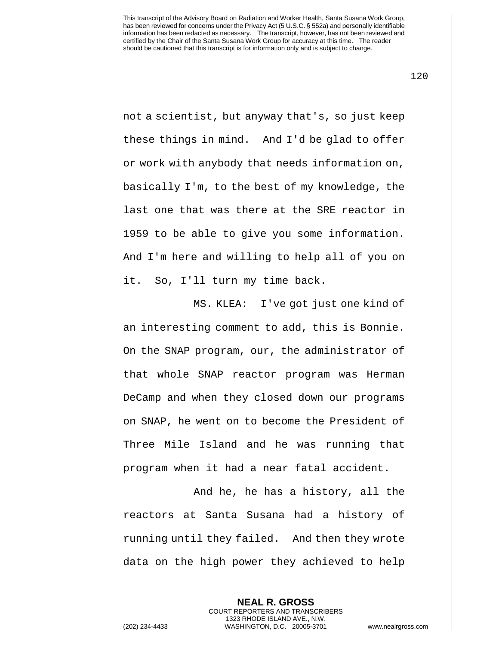120

not a scientist, but anyway that's, so just keep these things in mind. And I'd be glad to offer or work with anybody that needs information on, basically I'm, to the best of my knowledge, the last one that was there at the SRE reactor in 1959 to be able to give you some information. And I'm here and willing to help all of you on it. So, I'll turn my time back.

MS. KLEA: I've got just one kind of an interesting comment to add, this is Bonnie. On the SNAP program, our, the administrator of that whole SNAP reactor program was Herman DeCamp and when they closed down our programs on SNAP, he went on to become the President of Three Mile Island and he was running that program when it had a near fatal accident.

And he, he has a history, all the reactors at Santa Susana had a history of running until they failed. And then they wrote data on the high power they achieved to help

> **NEAL R. GROSS** COURT REPORTERS AND TRANSCRIBERS 1323 RHODE ISLAND AVE., N.W.

(202) 234-4433 WASHINGTON, D.C. 20005-3701 www.nealrgross.com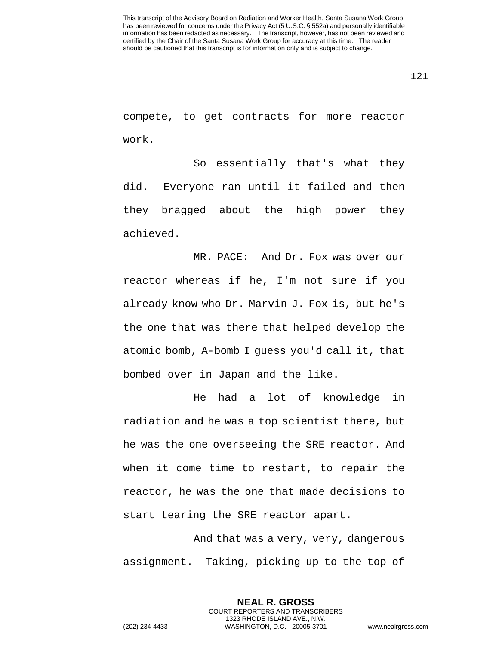121

compete, to get contracts for more reactor work.

So essentially that's what they did. Everyone ran until it failed and then they bragged about the high power they achieved.

MR. PACE: And Dr. Fox was over our reactor whereas if he, I'm not sure if you already know who Dr. Marvin J. Fox is, but he's the one that was there that helped develop the atomic bomb, A-bomb I guess you'd call it, that bombed over in Japan and the like.

He had a lot of knowledge in radiation and he was a top scientist there, but he was the one overseeing the SRE reactor. And when it come time to restart, to repair the reactor, he was the one that made decisions to start tearing the SRE reactor apart.

And that was a very, very, dangerous assignment. Taking, picking up to the top of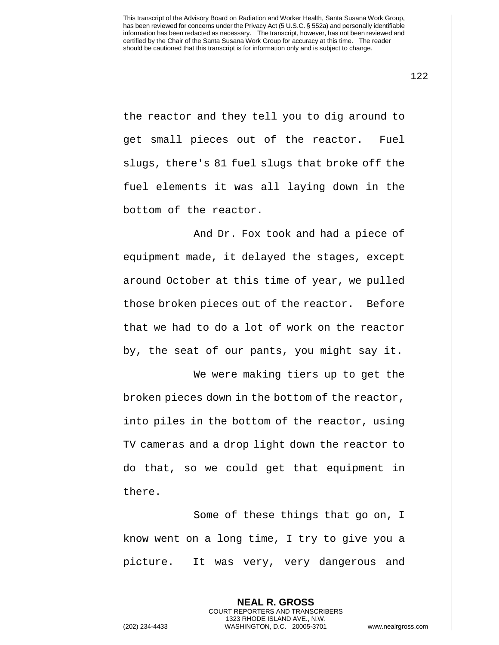122

the reactor and they tell you to dig around to get small pieces out of the reactor. Fuel slugs, there's 81 fuel slugs that broke off the fuel elements it was all laying down in the bottom of the reactor.

And Dr. Fox took and had a piece of equipment made, it delayed the stages, except around October at this time of year, we pulled those broken pieces out of the reactor. Before that we had to do a lot of work on the reactor by, the seat of our pants, you might say it.

We were making tiers up to get the broken pieces down in the bottom of the reactor, into piles in the bottom of the reactor, using TV cameras and a drop light down the reactor to do that, so we could get that equipment in there.

Some of these things that go on, I know went on a long time, I try to give you a picture. It was very, very dangerous and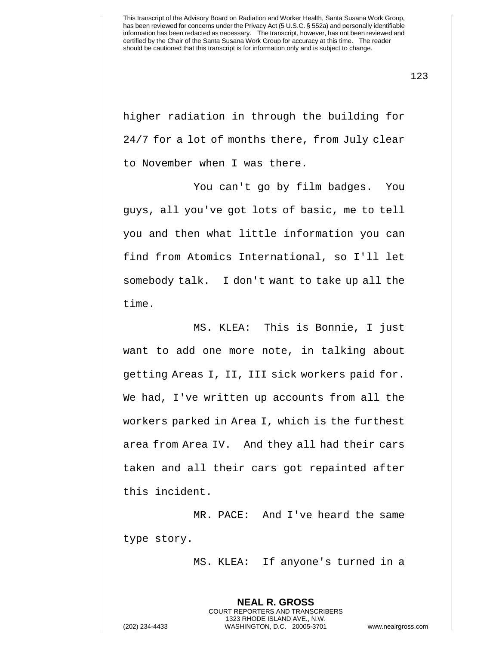123

higher radiation in through the building for 24/7 for a lot of months there, from July clear to November when I was there.

You can't go by film badges. You guys, all you've got lots of basic, me to tell you and then what little information you can find from Atomics International, so I'll let somebody talk. I don't want to take up all the time.

MS. KLEA: This is Bonnie, I just want to add one more note, in talking about getting Areas I, II, III sick workers paid for. We had, I've written up accounts from all the workers parked in Area I, which is the furthest area from Area IV. And they all had their cars taken and all their cars got repainted after this incident.

MR. PACE: And I've heard the same type story.

MS. KLEA: If anyone's turned in a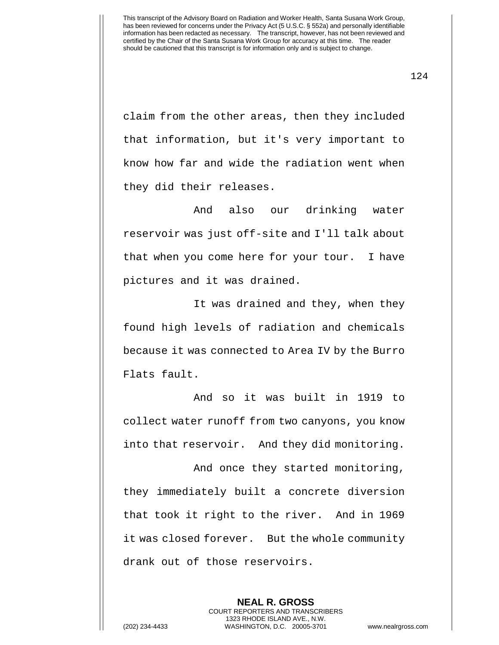124

claim from the other areas, then they included that information, but it's very important to know how far and wide the radiation went when they did their releases.

And also our drinking water reservoir was just off-site and I'll talk about that when you come here for your tour. I have pictures and it was drained.

It was drained and they, when they found high levels of radiation and chemicals because it was connected to Area IV by the Burro Flats fault.

And so it was built in 1919 to collect water runoff from two canyons, you know into that reservoir. And they did monitoring.

And once they started monitoring, they immediately built a concrete diversion that took it right to the river. And in 1969 it was closed forever. But the whole community drank out of those reservoirs.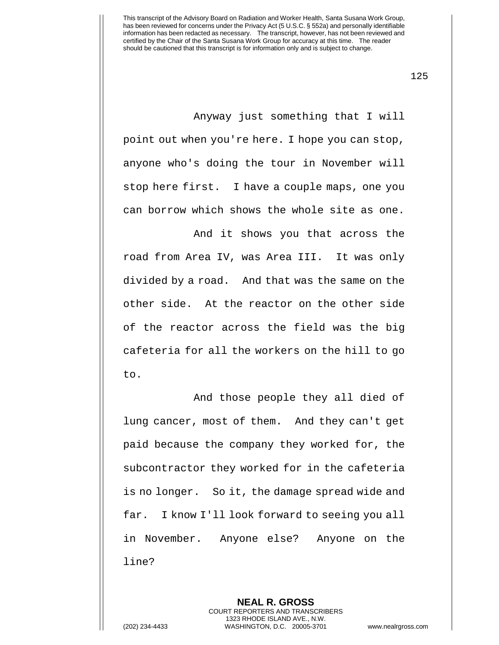125

Anyway just something that I will point out when you're here. I hope you can stop, anyone who's doing the tour in November will stop here first. I have a couple maps, one you can borrow which shows the whole site as one.

And it shows you that across the road from Area IV, was Area III. It was only divided by a road. And that was the same on the other side. At the reactor on the other side of the reactor across the field was the big cafeteria for all the workers on the hill to go to.

And those people they all died of lung cancer, most of them. And they can't get paid because the company they worked for, the subcontractor they worked for in the cafeteria is no longer. So it, the damage spread wide and far. I know I'll look forward to seeing you all in November. Anyone else? Anyone on the line?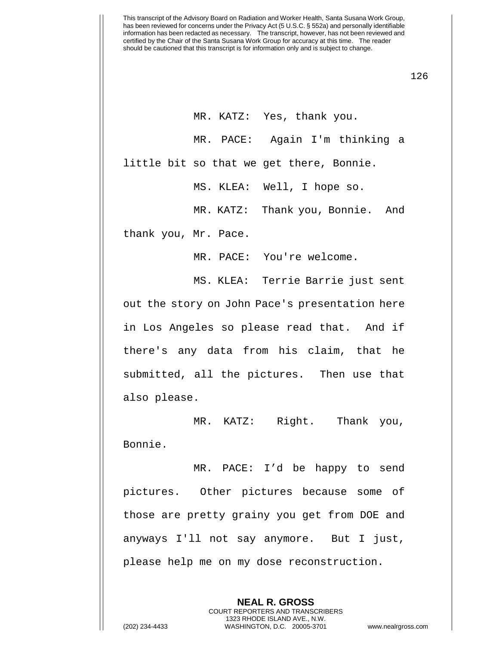126

MR. KATZ: Yes, thank you. MR. PACE: Again I'm thinking a little bit so that we get there, Bonnie.

MS. KLEA: Well, I hope so.

MR. KATZ: Thank you, Bonnie. And

thank you, Mr. Pace.

MR. PACE: You're welcome.

MS. KLEA: Terrie Barrie just sent out the story on John Pace's presentation here in Los Angeles so please read that. And if there's any data from his claim, that he submitted, all the pictures. Then use that also please.

MR. KATZ: Right. Thank you, Bonnie.

MR. PACE: I'd be happy to send pictures. Other pictures because some of those are pretty grainy you get from DOE and anyways I'll not say anymore. But I just, please help me on my dose reconstruction.

> **NEAL R. GROSS** COURT REPORTERS AND TRANSCRIBERS 1323 RHODE ISLAND AVE., N.W.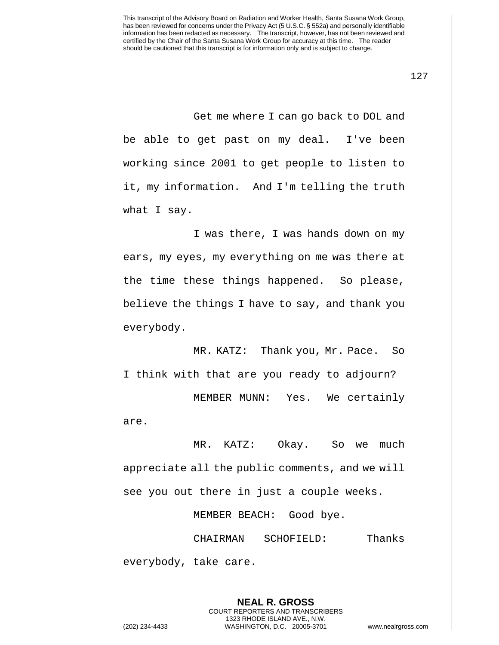127

Get me where I can go back to DOL and be able to get past on my deal. I've been working since 2001 to get people to listen to it, my information. And I'm telling the truth what I say.

I was there, I was hands down on my ears, my eyes, my everything on me was there at the time these things happened. So please, believe the things I have to say, and thank you everybody.

MR. KATZ: Thank you, Mr. Pace. So I think with that are you ready to adjourn?

MEMBER MUNN: Yes. We certainly are.

MR. KATZ: Okay. So we much appreciate all the public comments, and we will see you out there in just a couple weeks.

MEMBER BEACH: Good bye.

CHAIRMAN SCHOFIELD: Thanks everybody, take care.